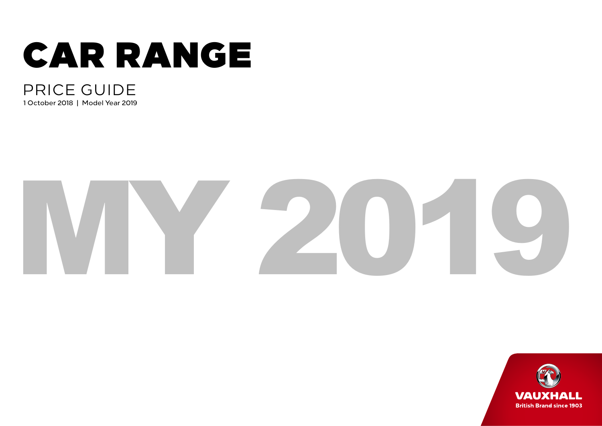

## PRICE GUIDE 1 October 2018 | Model Year 2019

# MY 2019

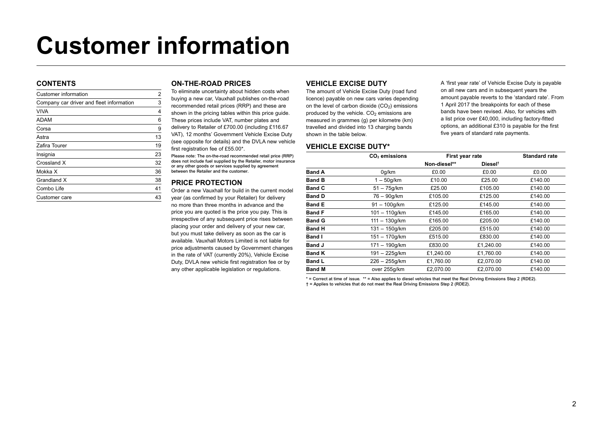# **Customer information**

#### **CONTENTS**

| Customer information                     | 2  |
|------------------------------------------|----|
| Company car driver and fleet information | 3  |
| <b>VIVA</b>                              | 4  |
| <b>ADAM</b>                              | 6  |
| Corsa                                    | 9  |
| Astra                                    | 13 |
| Zafira Tourer                            | 19 |
| Insignia                                 | 23 |
| Crossland X                              | 32 |
| Mokka X                                  | 36 |
| Grandland X                              | 38 |
| Combo Life                               | 41 |
| Customer care                            | 43 |
|                                          |    |

#### **ON-THE-ROAD PRICES**

To eliminate uncertainty about hidden costs when buying a new car, Vauxhall publishes on-the-road recommended retail prices (RRP) and these are shown in the pricing tables within this price guide. These prices include VAT, number plates and delivery to Retailer of £700.00 (including £116.67 VAT), 12 months' Government Vehicle Excise Duty (see opposite for details) and the DVLA new vehicle first registration fee of £55.00\*.

Please note: The on-the-road recommended retail price (RRP) does not include fuel supplied by the Retailer, motor insurance or any other goods or services supplied by agreement between the Retailer and the customer.

#### **PRICE PROTECTION**

Order a new Vauxhall for build in the current model year (as confirmed by your Retailer) for delivery no more than three months in advance and the price you are quoted is the price you pay. This is irrespective of any subsequent price rises between placing your order and delivery of your new car, but you must take delivery as soon as the car is available. Vauxhall Motors Limited is not liable for price adjustments caused by Government changes in the rate of VAT (currently 20%), Vehicle Excise Duty, DVLA new vehicle first registration fee or by any other applicable legislation or regulations.

#### **VEHICLE EXCISE DUTY**

The amount of Vehicle Excise Duty (road fund licence) payable on new cars varies depending on the level of carbon dioxide  $(CO<sub>2</sub>)$  emissions produced by the vehicle.  $CO<sub>2</sub>$  emissions are measured in grammes (g) per kilometre (km) travelled and divided into 13 charging bands shown in the table below.

#### **VEHICLE EXCISE DUTY\***

A 'first year rate' of Vehicle Excise Duty is payable on all new cars and in subsequent years the amount payable reverts to the 'standard rate'. From 1 April 2017 the breakpoints for each of these bands have been revised. Also, for vehicles with a list price over £40,000, including factory-fitted options, an additional £310 is payable for the first five years of standard rate payments.

|               | CO <sub>2</sub> emissions | First year rate |                     | <b>Standard rate</b> |
|---------------|---------------------------|-----------------|---------------------|----------------------|
|               |                           | Non-diesel**    | Diesel <sup>t</sup> |                      |
| <b>Band A</b> | 0q/km                     | £0.00           | £0.00               | £0.00                |
| <b>Band B</b> | $1 - 50q/km$              | £10.00          | £25.00              | £140.00              |
| <b>Band C</b> | $51 - 75q/km$             | £25.00          | £105.00             | £140.00              |
| <b>Band D</b> | 76 - 90g/km               | £105.00         | £125.00             | £140.00              |
| <b>Band E</b> | $91 - 100q/km$            | £125.00         | £145.00             | £140.00              |
| <b>Band F</b> | $101 - 110q/km$           | £145.00         | £165.00             | £140.00              |
| <b>Band G</b> | $111 - 130q/km$           | £165.00         | £205.00             | £140.00              |
| <b>Band H</b> | $131 - 150$ g/km          | £205.00         | £515.00             | £140.00              |
| <b>Band I</b> | $151 - 170q/km$           | £515.00         | £830.00             | £140.00              |
| <b>Band J</b> | $171 - 190q/km$           | £830.00         | £1.240.00           | £140.00              |
| <b>Band K</b> | $191 - 225$ g/km          | £1,240.00       | £1,760.00           | £140.00              |
| <b>Band L</b> | $226 - 255q/km$           | £1,760.00       | £2.070.00           | £140.00              |
| <b>Band M</b> | over 255q/km              | £2.070.00       | £2.070.00           | £140.00              |

\* = Correct at time of issue. \*\* = Also applies to diesel vehicles that meet the Real Driving Emissions Step 2 (RDE2). † = Applies to vehicles that do not meet the Real Driving Emissions Step 2 (RDE2).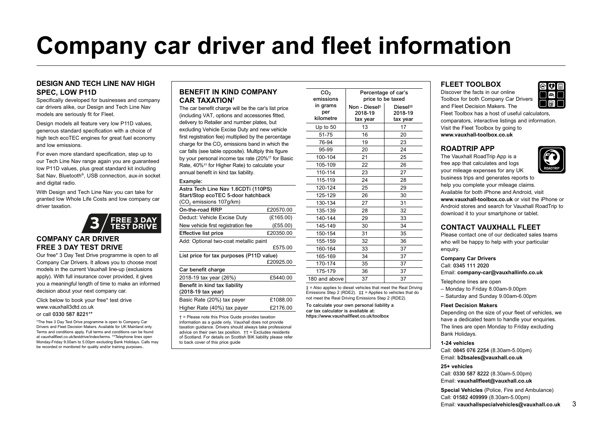# **Company car driver and fleet information**

#### **DESIGN AND TECH LINE NAV HIGH SPEC, LOW P11D**

Specifically developed for businesses and company car drivers alike, our Design and Tech Line Nav models are seriously fit for Fleet.

Design models all feature very low P11D values. generous standard specification with a choice of high tech ecoTEC engines for great fuel economy and low emissions.

For even more standard specification, step up to our Tech Line Nav range again you are guaranteed low P11D values, plus great standard kit including Sat Nav, Bluetooth®, USB connection, aux-in socket and digital radio.

With Design and Tech Line Nav you can take for granted low Whole Life Costs and low company car driver taxation.



#### **COMPANY CAR DRIVER FREE 3 DAY TEST DRIVE**

Our free\* 3 Day Test Drive programme is open to all Company Car Drivers. It allows you to choose most models in the current Vauxhall line-up (exclusions apply). With full insurance cover provided, it gives you a meaningful length of time to make an informed decision about your next company car.

Click below to book your free\* test drive www.vauxhall3dtd.co.uk or call 0330 587 8221\*\*

\*The free 3 Day Test Drive programme is open to Company Car Drivers and Fleet Decision Makers. Available for UK Mainland only. Terms and conditions apply. Full terms and conditions can be found at vauxhallfleet.co.uk/testdrive/index/terms. \*\*Telephone lines open Monday-Friday 9.00am to 5.00pm excluding Bank Holidays. Calls may be recorded or monitored for quality and/or training purposes..

#### **BENEFIT IN KIND COMPANY CAR TAXATION†**

The car benefit charge will be the car's list price (including VAT, options and accessories fitted, delivery to Retailer and number plates, but excluding Vehicle Excise Duty and new vehicle first registration fee) multiplied by the percentage charge for the CO<sub>2</sub> emissions band in which the car falls (see table opposite). Multiply this figure by your personal income tax rate (20%†† for Basic Rate, 40%†† for Higher Rate) to calculate your annual benefit in kind tax liability.

#### Example: Astra Tech Line Nav 1.6CDTi (110PS)

| Start/Stop ecoTEC 5-door hatchback<br>(CO <sub>2</sub> emissions 107g/km) |           |
|---------------------------------------------------------------------------|-----------|
| On-the-road RRP                                                           | £20570.00 |
| Deduct: Vehicle Excise Duty                                               | (E165.00) |
| New vehicle first registration fee                                        | (E55.00)  |
| <b>Effective list price</b>                                               | £20350.00 |
| Add: Optional two-coat metallic paint                                     |           |
|                                                                           | £575.00   |
| List price for tax purposes (P11D value)                                  |           |
|                                                                           | £20925.00 |
| Car benefit charge                                                        |           |
| 2018-19 tax year (26%)                                                    | £5440.00  |
| Benefit in kind tax liability                                             |           |
| (2018-19 tax year)                                                        |           |
| Basic Rate (20%) tax payer                                                | £1088.00  |
| Higher Rate (40%) tax payer                                               | £2176.00  |

† = Please note this Price Guide provides taxation information as a guide only. Vauxhall does not provide taxation guidance. Drivers should always take professional advice on their own tax position.  $\uparrow \uparrow$  = Excludes residents of Scotland. For details on Scottish BIK liability please refer to back cover of this price guide

| CO <sub>2</sub><br>emissions | Percentage of car's                  | price to be taxed  |
|------------------------------|--------------------------------------|--------------------|
| in grams<br>per              | Non - Diesel <sup>‡</sup><br>2018-19 | Diesel#<br>2018-19 |
| kilometre                    | tax year                             | tax year           |
| Up to 50                     | 13                                   | 17                 |
| 51-75                        | 16                                   | 20                 |
| 76-94                        | 19                                   | 23                 |
| 95-99                        | 20                                   | 24                 |
| 100-104                      | 21                                   | 25                 |
| 105-109                      | 22                                   | 26                 |
| 110-114                      | 23                                   | 27                 |
| 115-119                      | 24                                   | 28                 |
| 120-124                      | 25                                   | 29                 |
| 125-129                      | 26                                   | 30                 |
| 130-134                      | 27                                   | 31                 |
| 135-139                      | 28                                   | 32                 |
| 140-144                      | 29                                   | 33                 |
| 145-149                      | 30                                   | 34                 |
| 150-154                      | 31                                   | 35                 |
| 155-159                      | 32                                   | 36                 |
| 160-164                      | 33                                   | 37                 |
| 165-169                      | 34                                   | 37                 |
| 170-174                      | 35                                   | 37                 |
| 175-179                      | 36                                   | 37                 |
| 180 and above                | 37                                   | 37                 |

‡ = Also applies to diesel vehicles that meet the Real Driving Emissions Step 2 (RDE2). ‡‡ = Applies to vehicles that do not meet the Real Driving Emissions Step 2 (RDE2).

To calculate your own personal liability a car tax calculator is available at: https://www.vauxhallfleet.co.uk/toolbox

#### **FLEET TOOLBOX**

Discover the facts in our online Toolbox for both Company Car Drivers and Fleet Decision Makers. The

Fleet Toolbox has a host of useful calculators, comparators, interactive listings and information. Visit the Fleet Toolbox by going to **www.vauxhall-toolbox.co.uk**

#### **ROADTRIP APP**

The Vauxhall RoadTrip App is a free app that calculates and logs your mileage expenses for any UK

business trips and generates reports to help you complete your mileage claims. Available for both iPhone and Android, visit **www.vauxhall-toolbox.co.uk** or visit the iPhone or Android stores and search for Vauxhall RoadTrip to download it to your smartphone or tablet.

#### **CONTACT VAUXHALL FLEET**

Please contact one of our dedicated sales teams who will be happy to help with your particular enquiry.

#### **Company Car Drivers**

Call: 0345 111 2020 Email: **company-car@vauxhallinfo.co.uk**

Telephone lines are open

- Monday to Friday 8.00am-9.00pm
- Saturday and Sunday 9.00am-6.00pm

#### **Fleet Decision Makers**

Depending on the size of your fleet of vehicles, we have a dedicated team to handle your enquiries. The lines are open Monday to Friday excluding Bank Holidays.

#### **1-24 vehicles**

Call: 0845 076 2254 (8.30am-5.00pm) Email: **b2bsales@vauxhall.co.uk**

#### **25+ vehicles**

Call: 0330 587 8222 (8.30am-5.00pm) Email: **vauxhallfleet@vauxhall.co.uk**

**Special Vehicles** (Police, Fire and Ambulance) Call: 01582 409999 (8.30am-5.00pm) Email: **vauxhallspecialvehicles@vauxhall.co.uk** 3

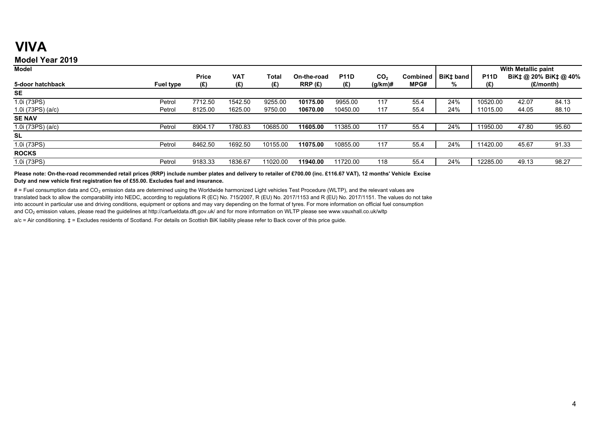## **VIVA**

## **Model Year 2019**

| <b>Model</b>      |                  |              |            |          |             |             |                 |                 |                       | With Metallic paint |       |                       |  |
|-------------------|------------------|--------------|------------|----------|-------------|-------------|-----------------|-----------------|-----------------------|---------------------|-------|-----------------------|--|
|                   |                  | <b>Price</b> | <b>VAT</b> | Total    | On-the-road | <b>P11D</b> | CO <sub>2</sub> | <b>Combined</b> | BiK <sub>‡</sub> band | <b>P11D</b>         |       | BiK‡ @ 20% BiK‡ @ 40% |  |
| 5-door hatchback  | <b>Fuel type</b> | (£)          | (E)        | (E)      | RRP(E)      | (£)         | $(g/km)$ #      | MPG#            | %                     | (£)                 |       | (£/month)             |  |
| <b>SE</b>         |                  |              |            |          |             |             |                 |                 |                       |                     |       |                       |  |
| 1.0i (73PS)       | Petrol           | 7712.50      | 1542.50    | 9255.00  | 10175.00    | 9955.00     | 117             | 55.4            | 24%                   | 10520.00            | 42.07 | 84.13                 |  |
| 1.0i (73PS) (a/c) | Petrol           | 8125.00      | 1625.00    | 9750.00  | 10670.00    | 10450.00    | 117             | 55.4            | 24%                   | 11015.00            | 44.05 | 88.10                 |  |
| <b>SE NAV</b>     |                  |              |            |          |             |             |                 |                 |                       |                     |       |                       |  |
| 1.0i (73PS) (a/c) | Petrol           | 8904.17      | 1780.83    | 10685.00 | 11605.00    | 11385.00    | 117             | 55.4            | 24%                   | 1950.00             | 47.80 | 95.60                 |  |
| <b>SL</b>         |                  |              |            |          |             |             |                 |                 |                       |                     |       |                       |  |
| 1.0i (73PS)       | Petrol           | 8462.50      | 1692.50    | 10155.00 | 11075.00    | 10855.00    | 117             | 55.4            | 24%                   | 1420.00             | 45.67 | 91.33                 |  |
| <b>ROCKS</b>      |                  |              |            |          |             |             |                 |                 |                       |                     |       |                       |  |
| 1.0i (73PS)       | Petrol           | 9183.33      | 1836.67    | 11020.00 | 11940.00    | 11720.00    | 118             | 55.4            | 24%                   | 12285.00            | 49.13 | 98.27                 |  |

**Please note: On-the-road recommended retail prices (RRP) include number plates and delivery to retailer of £700.00 (inc. £116.67 VAT), 12 months' Vehicle Excise Duty and new vehicle first registration fee of £55.00. Excludes fuel and insurance.**

# = Fuel consumption data and CO<sub>2</sub> emission data are determined using the Worldwide harmonized Light vehicles Test Procedure (WLTP), and the relevant values are translated back to allow the comparability into NEDC, according to regulations R (EC) No. 715/2007, R (EU) No. 2017/1153 and R (EU) No. 2017/1151. The values do not take into account in particular use and driving conditions, equipment or options and may vary depending on the format of tyres. For more information on official fuel consumption and CO<sub>2</sub> emission values, please read the guidelines at http://carfueldata.dft.gov.uk/ and for more information on WLTP please see www.vauxhall.co.uk/wltp

a/c = Air conditioning.  $t$  = Excludes residents of Scotland. For details on Scottish BiK liability please refer to Back cover of this price quide.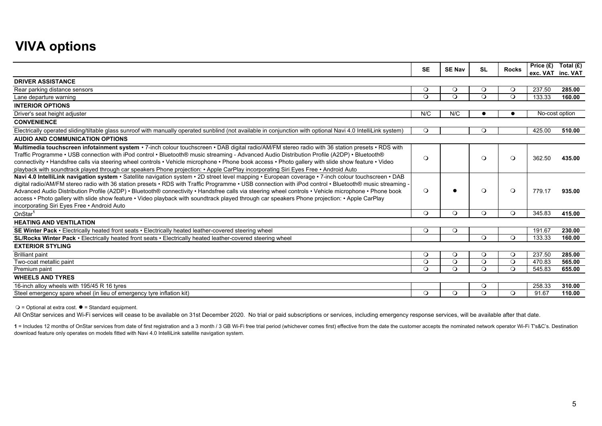## **VIVA options**

|                                                                                                                                                                                                                                                                                                                                                                                                                                                                                                                                                                                                                                                                         | <b>SE</b> | <b>SE Nav</b> | <b>SL</b> | <b>Rocks</b> | Price $(E)$ | Total $(E)$<br>exc. VAT inc. VAT |
|-------------------------------------------------------------------------------------------------------------------------------------------------------------------------------------------------------------------------------------------------------------------------------------------------------------------------------------------------------------------------------------------------------------------------------------------------------------------------------------------------------------------------------------------------------------------------------------------------------------------------------------------------------------------------|-----------|---------------|-----------|--------------|-------------|----------------------------------|
| <b>DRIVER ASSISTANCE</b>                                                                                                                                                                                                                                                                                                                                                                                                                                                                                                                                                                                                                                                |           |               |           |              |             |                                  |
| Rear parking distance sensors                                                                                                                                                                                                                                                                                                                                                                                                                                                                                                                                                                                                                                           | $\circ$   | $\circ$       | $\circ$   | $\circ$      | 237.50      | 285.00                           |
| Lane departure warning                                                                                                                                                                                                                                                                                                                                                                                                                                                                                                                                                                                                                                                  | $\Omega$  | $\Omega$      | $\Omega$  | $\Omega$     | 133.33      | 160.00                           |
| <b>INTERIOR OPTIONS</b>                                                                                                                                                                                                                                                                                                                                                                                                                                                                                                                                                                                                                                                 |           |               |           |              |             |                                  |
| Driver's seat height adjuster                                                                                                                                                                                                                                                                                                                                                                                                                                                                                                                                                                                                                                           | N/C       | N/C           |           |              |             | No-cost option                   |
| <b>CONVENIENCE</b>                                                                                                                                                                                                                                                                                                                                                                                                                                                                                                                                                                                                                                                      |           |               |           |              |             |                                  |
| Electrically operated sliding/tiltable glass sunroof with manually operated sunblind (not available in conjunction with optional Navi 4.0 IntelliLink system)                                                                                                                                                                                                                                                                                                                                                                                                                                                                                                           | $\circ$   |               | $\Omega$  |              | 425.00      | 510.00                           |
| <b>AUDIO AND COMMUNICATION OPTIONS</b>                                                                                                                                                                                                                                                                                                                                                                                                                                                                                                                                                                                                                                  |           |               |           |              |             |                                  |
| Multimedia touchscreen infotainment system • 7-inch colour touchscreen • DAB digital radio/AM/FM stereo radio with 36 station presets • RDS with<br>Traffic Programme • USB connection with iPod control • Bluetooth® music streaming - Advanced Audio Distribution Profile (A2DP) • Bluetooth®<br>connectivity . Handsfree calls via steering wheel controls . Vehicle microphone . Phone book access . Photo gallery with slide show feature . Video<br>playback with soundtrack played through car speakers Phone projection: • Apple CarPlay incorporating Siri Eyes Free • Android Auto                                                                            | $\circ$   |               | $\Omega$  | $\circ$      | 362.50      | 435.00                           |
| Navi 4.0 IntelliLink navigation system • Satellite navigation system • 2D street level mapping • European coverage • 7-inch colour touchscreen • DAB<br>digital radio/AM/FM stereo radio with 36 station presets • RDS with Traffic Programme • USB connection with iPod control • Bluetooth® music streaming -<br>Advanced Audio Distribution Profile (A2DP) • Bluetooth® connectivity • Handsfree calls via steering wheel controls • Vehicle microphone • Phone book<br>access • Photo gallery with slide show feature • Video playback with soundtrack played through car speakers Phone projection: • Apple CarPlay<br>incorporating Siri Eyes Free • Android Auto | $\circ$   |               | $\Omega$  | $\circ$      | 779.17      | 935.00                           |
| OnStar <sup>1</sup>                                                                                                                                                                                                                                                                                                                                                                                                                                                                                                                                                                                                                                                     | $\Omega$  | $\circ$       | $\Omega$  | $\Omega$     | 345.83      | 415.00                           |
| <b>HEATING AND VENTILATION</b>                                                                                                                                                                                                                                                                                                                                                                                                                                                                                                                                                                                                                                          |           |               |           |              |             |                                  |
| SE Winter Pack • Electrically heated front seats • Electrically heated leather-covered steering wheel                                                                                                                                                                                                                                                                                                                                                                                                                                                                                                                                                                   | $\circ$   | $\circ$       |           |              | 191.67      | 230.00                           |
| <b>SL/Rocks Winter Pack •</b> Electrically heated front seats • Electrically heated leather-covered steering wheel                                                                                                                                                                                                                                                                                                                                                                                                                                                                                                                                                      |           |               | $\circ$   | $\circ$      | 133.33      | 160.00                           |
| <b>EXTERIOR STYLING</b>                                                                                                                                                                                                                                                                                                                                                                                                                                                                                                                                                                                                                                                 |           |               |           |              |             |                                  |
| <b>Brilliant paint</b>                                                                                                                                                                                                                                                                                                                                                                                                                                                                                                                                                                                                                                                  | $\Omega$  | $\circ$       | $\circ$   | $\circ$      | 237.50      | 285.00                           |
| Two-coat metallic paint                                                                                                                                                                                                                                                                                                                                                                                                                                                                                                                                                                                                                                                 | $\circ$   | $\circ$       | $\circ$   | $\circ$      | 470.83      | 565.00                           |
| Premium paint                                                                                                                                                                                                                                                                                                                                                                                                                                                                                                                                                                                                                                                           | $\circ$   | $\circ$       | $\Omega$  | $\Omega$     | 545.83      | 655.00                           |
| <b>WHEELS AND TYRES</b>                                                                                                                                                                                                                                                                                                                                                                                                                                                                                                                                                                                                                                                 |           |               |           |              |             |                                  |
| 16-inch alloy wheels with 195/45 R 16 tyres                                                                                                                                                                                                                                                                                                                                                                                                                                                                                                                                                                                                                             |           |               | $\circ$   |              | 258.33      | 310.00                           |
| Steel emergency spare wheel (in lieu of emergency tyre inflation kit)                                                                                                                                                                                                                                                                                                                                                                                                                                                                                                                                                                                                   | $\Omega$  | $\Omega$      | $\Omega$  | $\Omega$     | 91.67       | 110.00                           |

#### $Q =$  Optional at extra cost.  $\bullet =$  Standard equipment.

All OnStar services and Wi-Fi services will cease to be available on 31st December 2020. No trial or paid subscriptions or services, including emergency response services, will be available after that date.

1 = Includes 12 months of OnStar services from date of first registration and a 3 month / 3 GB Wi-Fi free trial period (whichever comes first) effective from the date the customer accepts the nominated network operator Widownload feature only operates on models fitted with Navi 4.0 IntelliLink satellite navigation system.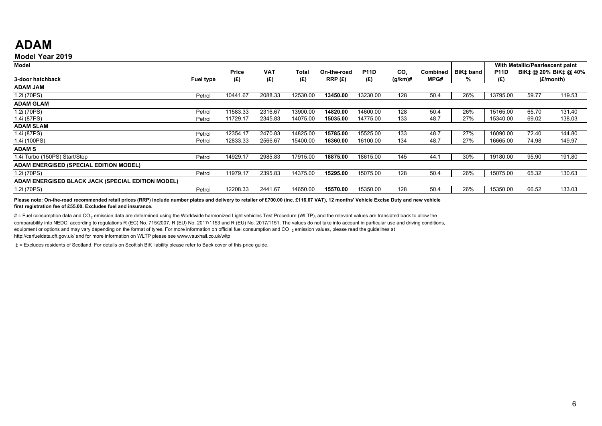## **ADAM**

#### **Model Year 2019**

| Model                                             |           |              |            |          |             |             |                 |          |           |             | With Metallic/Pearlescent paint |                       |
|---------------------------------------------------|-----------|--------------|------------|----------|-------------|-------------|-----------------|----------|-----------|-------------|---------------------------------|-----------------------|
|                                                   |           | <b>Price</b> | <b>VAT</b> | Total    | On-the-road | <b>P11D</b> | CO <sub>2</sub> | Combined | BiK‡ band | <b>P11D</b> |                                 | BiK‡ @ 20% BiK‡ @ 40% |
| 3-door hatchback                                  |           | (E)          | (£)        | (£)      | RRP(E)      | (£)         | $(g/km)$ #      | MPG#     | %         | (E)         |                                 | (£/month)             |
|                                                   | Fuel type |              |            |          |             |             |                 |          |           |             |                                 |                       |
| <b>ADAM JAM</b>                                   |           |              |            |          |             |             |                 |          |           |             |                                 |                       |
| 1.2i (70PS)                                       | Petrol    | 10441.67     | 2088.33    | 12530.00 | 13450.00    | 13230.00    | 128             | 50.4     | 26%       | 13795.00    | 59.77                           | 119.53                |
| <b>ADAM GLAM</b>                                  |           |              |            |          |             |             |                 |          |           |             |                                 |                       |
| 1.2i (70PS)                                       | Petrol    | 11583.33     | 2316.67    | 13900.00 | 14820.00    | 14600.00    | 128             | 50.4     | 26%       | 15165.00    | 65.70                           | 131.40                |
| 1.4i (87PS)                                       | Petrol    | 11729.17     | 2345.83    | 14075.00 | 15035.00    | 14775.00    | 133             | 48.7     | 27%       | 15340.00    | 69.02                           | 138.03                |
| <b>ADAM SLAM</b>                                  |           |              |            |          |             |             |                 |          |           |             |                                 |                       |
| 1.4i (87PS)                                       | Petrol    | 12354.17     | 2470.83    | 14825.00 | 15785.00    | 15525.00    | 133             | 48.7     | 27%       | 16090.00    | 72.40                           | 144.80                |
| 1.4i (100PS)                                      | Petrol    | 12833.33     | 2566.67    | 15400.00 | 16360.00    | 16100.00    | 134             | 48.7     | 27%       | 16665.00    | 74.98                           | 149.97                |
| <b>ADAMS</b>                                      |           |              |            |          |             |             |                 |          |           |             |                                 |                       |
| 1.4i Turbo (150PS) Start/Stop                     | Petrol    | 14929.17     | 2985.83    | 17915.00 | 18875.00    | 18615.00    | 145             | 44.1     | 30%       | 19180.00    | 95.90                           | 191.80                |
| <b>ADAM ENERGISED (SPECIAL EDITION MODEL)</b>     |           |              |            |          |             |             |                 |          |           |             |                                 |                       |
| 1.2i (70PS)                                       | Petrol    | 11979.17     | 2395.83    | 14375.00 | 15295.00    | 15075.00    | 128             | 50.4     | 26%       | 15075.00    | 65.32                           | 130.63                |
| ADAM ENERGISED BLACK JACK (SPECIAL EDITION MODEL) |           |              |            |          |             |             |                 |          |           |             |                                 |                       |
| 1.2i (70PS)                                       | Petrol    | 12208.33     | 2441.67    | 14650.00 | 15570.00    | 15350.00    | 128             | 50.4     | 26%       | 15350.00    | 66.52                           | 133.03                |

Please note: On-the-road recommended retail prices (RRP) include number plates and delivery to retailer of £700.00 (inc. £116.67 VAT), 12 months' Vehicle Excise Duty and new vehicle **first registration fee of £55.00. Excludes fuel and insurance.**

 $#$  = Fuel consumption data and CO<sub>2</sub> emission data are determined using the Worldwide harmonized Light vehicles Test Procedure (WLTP), and the relevant values are translated back to allow the comparability into NEDC, according to regulations R (EC) No. 715/2007, R (EU) No. 2017/1153 and R (EU) No. 2017/1151. The values do not take into account in particular use and driving conditions, equipment or options and may vary depending on the format of tyres. For more information on official fuel consumption and CO  $_2$  emission values, please read the guidelines at http://carfueldata.dft.gov.uk/ and for more information on WLTP please see www.vauxhall.co.uk/wltp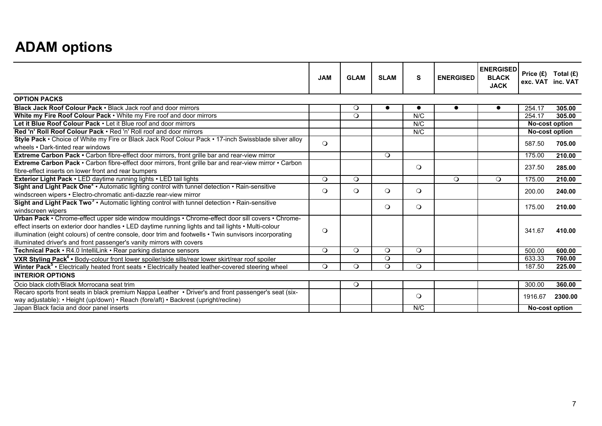## **ADAM options**

|                                                                                                                                                                                                                                                                                                                                                                                             | <b>JAM</b> | <b>GLAM</b> | <b>SLAM</b> | S         | <b>ENERGISED</b> | <b>ENERGISED</b><br><b>BLACK</b><br><b>JACK</b> |         | Price $(E)$ Total $(E)$<br>exc. VAT inc. VAT |
|---------------------------------------------------------------------------------------------------------------------------------------------------------------------------------------------------------------------------------------------------------------------------------------------------------------------------------------------------------------------------------------------|------------|-------------|-------------|-----------|------------------|-------------------------------------------------|---------|----------------------------------------------|
| <b>OPTION PACKS</b>                                                                                                                                                                                                                                                                                                                                                                         |            |             |             |           |                  |                                                 |         |                                              |
| Black Jack Roof Colour Pack . Black Jack roof and door mirrors                                                                                                                                                                                                                                                                                                                              |            | $\circ$     |             | $\bullet$ | $\bullet$        | $\bullet$                                       | 254.17  | 305.00                                       |
| White my Fire Roof Colour Pack . White my Fire roof and door mirrors                                                                                                                                                                                                                                                                                                                        |            | $\circ$     |             | N/C       |                  |                                                 | 254.17  | 305.00                                       |
| Let it Blue Roof Colour Pack . Let it Blue roof and door mirrors                                                                                                                                                                                                                                                                                                                            |            |             |             | N/C       |                  |                                                 |         | No-cost option                               |
| Red 'n' Roll Roof Colour Pack . Red 'n' Roll roof and door mirrors                                                                                                                                                                                                                                                                                                                          |            |             |             | N/C       |                  |                                                 |         | <b>No-cost option</b>                        |
| Style Pack • Choice of White my Fire or Black Jack Roof Colour Pack • 17-inch Swissblade silver alloy<br>wheels • Dark-tinted rear windows                                                                                                                                                                                                                                                  | $\Omega$   |             |             |           |                  |                                                 | 587.50  | 705.00                                       |
| Extreme Carbon Pack . Carbon fibre-effect door mirrors, front grille bar and rear-view mirror                                                                                                                                                                                                                                                                                               |            |             | $\Omega$    |           |                  |                                                 | 175.00  | 210.00                                       |
| Extreme Carbon Pack • Carbon fibre-effect door mirrors, front grille bar and rear-view mirror • Carbon<br>fibre-effect inserts on lower front and rear bumpers                                                                                                                                                                                                                              |            |             |             | $\circ$   |                  |                                                 | 237.50  | 285.00                                       |
| Exterior Light Pack . LED daytime running lights . LED tail lights                                                                                                                                                                                                                                                                                                                          | $\circ$    | $\circ$     |             |           | $\circ$          | $\circ$                                         | 175.00  | 210.00                                       |
| Sight and Light Pack One <sup>2</sup> • Automatic lighting control with tunnel detection • Rain-sensitive<br>windscreen wipers • Electro-chromatic anti-dazzle rear-view mirror                                                                                                                                                                                                             | $\Omega$   | $\Omega$    | $\circ$     | $\circ$   |                  |                                                 | 200.00  | 240.00                                       |
| Sight and Light Pack Two <sup>3</sup> . Automatic lighting control with tunnel detection . Rain-sensitive<br>windscreen wipers                                                                                                                                                                                                                                                              |            |             | $\circ$     | $\circ$   |                  |                                                 | 175.00  | 210.00                                       |
| Urban Pack • Chrome-effect upper side window mouldings • Chrome-effect door sill covers • Chrome-<br>effect inserts on exterior door handles • LED daytime running lights and tail lights • Multi-colour<br>illumination (eight colours) of centre console, door trim and footwells • Twin sunvisors incorporating<br>illuminated driver's and front passenger's vanity mirrors with covers | $\Omega$   |             |             |           |                  |                                                 | 341.67  | 410.00                                       |
| Technical Pack • R4.0 IntelliLink • Rear parking distance sensors                                                                                                                                                                                                                                                                                                                           | $\circ$    | $\circ$     | $\circ$     | $\circ$   |                  |                                                 | 500.00  | 600.00                                       |
| VXR Styling Pack <sup>4</sup> • Body-colour front lower spoiler/side sills/rear lower skirt/rear roof spoiler                                                                                                                                                                                                                                                                               |            |             | $\circ$     |           |                  |                                                 | 633.33  | 760.00                                       |
| Winter Pack <sup>5</sup> • Electrically heated front seats • Electrically heated leather-covered steering wheel                                                                                                                                                                                                                                                                             | $\circ$    | $\circ$     | $\circ$     | $\circ$   |                  |                                                 | 187.50  | 225.00                                       |
| <b>INTERIOR OPTIONS</b>                                                                                                                                                                                                                                                                                                                                                                     |            |             |             |           |                  |                                                 |         |                                              |
| Ocio black cloth/Black Morrocana seat trim                                                                                                                                                                                                                                                                                                                                                  |            | $\circ$     |             |           |                  |                                                 | 300.00  | 360.00                                       |
| Recaro sports front seats in black premium Nappa Leather • Driver's and front passenger's seat (six-<br>way adjustable): • Height (up/down) • Reach (fore/aft) • Backrest (upright/recline)                                                                                                                                                                                                 |            |             |             | $\circ$   |                  |                                                 | 1916.67 | 2300.00                                      |
| Japan Black facia and door panel inserts                                                                                                                                                                                                                                                                                                                                                    |            |             |             | N/C       |                  |                                                 |         | No-cost option                               |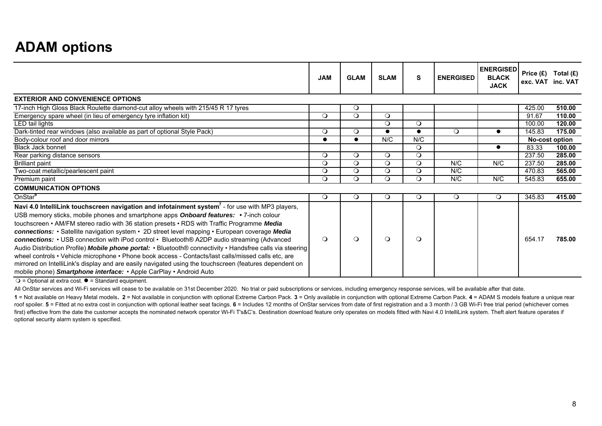## **ADAM options**

|                                                                                                                                                                                                                                                                                                                                                                                                                                                                                                                                                                                                                                                                                                                                                                                                                                                                                                             | <b>JAM</b> | <b>GLAM</b> | <b>SLAM</b> | S         | <b>ENERGISED</b> | <b>ENERGISED</b><br><b>BLACK</b><br><b>JACK</b> | Price (£) | Total (£)<br>exc. VAT inc. VAT |
|-------------------------------------------------------------------------------------------------------------------------------------------------------------------------------------------------------------------------------------------------------------------------------------------------------------------------------------------------------------------------------------------------------------------------------------------------------------------------------------------------------------------------------------------------------------------------------------------------------------------------------------------------------------------------------------------------------------------------------------------------------------------------------------------------------------------------------------------------------------------------------------------------------------|------------|-------------|-------------|-----------|------------------|-------------------------------------------------|-----------|--------------------------------|
| <b>EXTERIOR AND CONVENIENCE OPTIONS</b>                                                                                                                                                                                                                                                                                                                                                                                                                                                                                                                                                                                                                                                                                                                                                                                                                                                                     |            |             |             |           |                  |                                                 |           |                                |
| 17-inch High Gloss Black Roulette diamond-cut alloy wheels with 215/45 R 17 tyres                                                                                                                                                                                                                                                                                                                                                                                                                                                                                                                                                                                                                                                                                                                                                                                                                           |            | O           |             |           |                  |                                                 | 425.00    | 510.00                         |
| Emergency spare wheel (in lieu of emergency tyre inflation kit)                                                                                                                                                                                                                                                                                                                                                                                                                                                                                                                                                                                                                                                                                                                                                                                                                                             | $\circ$    | $\circ$     | $\circ$     |           |                  |                                                 | 91.67     | 110.00                         |
| LED tail lights                                                                                                                                                                                                                                                                                                                                                                                                                                                                                                                                                                                                                                                                                                                                                                                                                                                                                             |            |             | $\circ$     | $\circ$   |                  |                                                 | 100.00    | 120.00                         |
| Dark-tinted rear windows (also available as part of optional Style Pack)                                                                                                                                                                                                                                                                                                                                                                                                                                                                                                                                                                                                                                                                                                                                                                                                                                    | $\circ$    | $\circ$     |             | $\bullet$ | $\circ$          | $\bullet$                                       | 145.83    | 175.00                         |
| Body-colour roof and door mirrors                                                                                                                                                                                                                                                                                                                                                                                                                                                                                                                                                                                                                                                                                                                                                                                                                                                                           |            | $\bullet$   | N/C         | N/C       |                  |                                                 |           | No-cost option                 |
| <b>Black Jack bonnet</b>                                                                                                                                                                                                                                                                                                                                                                                                                                                                                                                                                                                                                                                                                                                                                                                                                                                                                    |            |             |             | $\circ$   |                  | $\bullet$                                       | 83.33     | 100.00                         |
| Rear parking distance sensors                                                                                                                                                                                                                                                                                                                                                                                                                                                                                                                                                                                                                                                                                                                                                                                                                                                                               | $\circ$    | $\circ$     | $\circ$     | $\circ$   |                  |                                                 | 237.50    | 285.00                         |
| <b>Brilliant paint</b>                                                                                                                                                                                                                                                                                                                                                                                                                                                                                                                                                                                                                                                                                                                                                                                                                                                                                      | $\circ$    | $\circ$     | $\circ$     | $\circ$   | N/C              | N/C                                             | 237.50    | 285.00                         |
| Two-coat metallic/pearlescent paint                                                                                                                                                                                                                                                                                                                                                                                                                                                                                                                                                                                                                                                                                                                                                                                                                                                                         | $\circ$    | $\circ$     | $\circ$     | $\circ$   | N/C              |                                                 | 470.83    | 565.00                         |
| Premium paint                                                                                                                                                                                                                                                                                                                                                                                                                                                                                                                                                                                                                                                                                                                                                                                                                                                                                               | $\Omega$   | $\Omega$    | $\Omega$    | $\Omega$  | N/C              | N/C                                             | 545.83    | 655.00                         |
| <b>COMMUNICATION OPTIONS</b>                                                                                                                                                                                                                                                                                                                                                                                                                                                                                                                                                                                                                                                                                                                                                                                                                                                                                |            |             |             |           |                  |                                                 |           |                                |
| OnStar <sup>6</sup>                                                                                                                                                                                                                                                                                                                                                                                                                                                                                                                                                                                                                                                                                                                                                                                                                                                                                         | $\circ$    | $\circ$     | $\circ$     | $\circ$   | $\circ$          | $\circ$                                         | 345.83    | 415.00                         |
| Navi 4.0 IntelliLink touchscreen navigation and infotainment system <sup>7</sup> - for use with MP3 players,<br>USB memory sticks, mobile phones and smartphone apps Onboard features: • 7-inch colour<br>touchscreen • AM/FM stereo radio with 36 station presets • RDS with Traffic Programme Media<br>connections: • Satellite navigation system • 2D street level mapping • European coverage Media<br>connections: • USB connection with iPod control • Bluetooth® A2DP audio streaming (Advanced<br>Audio Distribution Profile) Mobile phone portal: • Bluetooth® connectivity • Handsfree calls via steering<br>wheel controls • Vehicle microphone • Phone book access - Contacts/last calls/missed calls etc, are<br>mirrored on IntelliLink's display and are easily navigated using the touchscreen (features dependent on<br>mobile phone) Smartphone interface: • Apple CarPlay • Android Auto | $\Omega$   | $\Omega$    | $\Omega$    | $\Omega$  |                  |                                                 | 654.17    | 785.00                         |

 $Q =$  Optional at extra cost.  $\bullet =$  Standard equipment.

All OnStar services and Wi-Fi services will cease to be available on 31st December 2020. No trial or paid subscriptions or services, including emergency response services, will be available after that date.

1 = Not available on Heavy Metal models. 2 = Not available in conjunction with optional Extreme Carbon Pack. 3 = Only available in conjunction with optional Extreme Carbon Pack. 4 = ADAM S models feature a unique rear roof spoiler. 5 = Fitted at no extra cost in conjunction with optional leather seat facings. 6 = Includes 12 months of OnStar services from date of first registration and a 3 month / 3 GB Wi-Fi free trial period (whichever first) effective from the date the customer accepts the nominated network operator Wi-Fi T's&C's. Destination download feature only operates on models fitted with Navi 4.0 IntelliLink system. Theft alert feature operates i optional security alarm system is specified.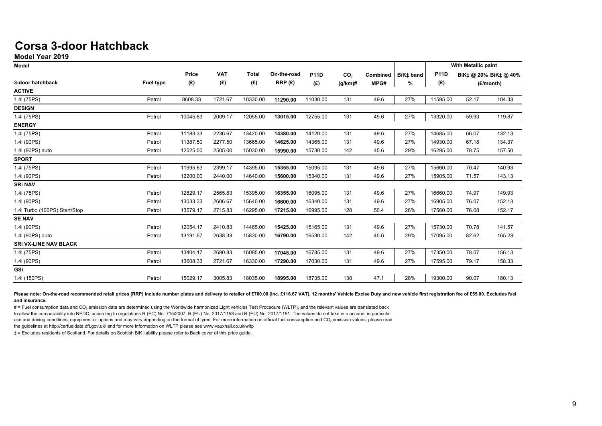## **Corsa 3-door Hatchback**

**Model Year 2019**

| <b>Model</b>                  |                  |          |            |              |             |             |                 |          |           |             | With Metallic paint |                       |
|-------------------------------|------------------|----------|------------|--------------|-------------|-------------|-----------------|----------|-----------|-------------|---------------------|-----------------------|
|                               |                  | Price    | <b>VAT</b> | <b>Total</b> | On-the-road | <b>P11D</b> | CO <sub>2</sub> | Combined | BiK‡ band | <b>P11D</b> |                     | BiK‡ @ 20% BiK‡ @ 40% |
| 3-door hatchback              | <b>Fuel type</b> | (E)      | (E)        | (£)          | RRP (£)     | (E)         | $(g/km)$ #      | MPG#     | %         | (£)         |                     | (£/month)             |
| <b>ACTIVE</b>                 |                  |          |            |              |             |             |                 |          |           |             |                     |                       |
| 1.4i (75PS)                   | Petrol           | 8608.33  | 1721.67    | 10330.00     | 11290.00    | 11030.00    | 131             | 49.6     | 27%       | 11595.00    | 52.17               | 104.33                |
| <b>DESIGN</b>                 |                  |          |            |              |             |             |                 |          |           |             |                     |                       |
| 1.4i (75PS)                   | Petrol           | 10045.83 | 2009.17    | 12055.00     | 13015.00    | 12755.00    | 131             | 49.6     | 27%       | 13320.00    | 59.93               | 119.87                |
| <b>ENERGY</b>                 |                  |          |            |              |             |             |                 |          |           |             |                     |                       |
| 1.4i (75PS)                   | Petrol           | 11183.33 | 2236.67    | 13420.00     | 14380.00    | 14120.00    | 131             | 49.6     | 27%       | 14685.00    | 66.07               | 132.13                |
| 1.4i (90PS)                   | Petrol           | 11387.50 | 2277.50    | 13665.00     | 14625.00    | 14365.00    | 131             | 49.6     | 27%       | 14930.00    | 67.18               | 134.37                |
| 1.4i (90PS) auto              | Petrol           | 12525.00 | 2505.00    | 15030.00     | 15990.00    | 15730.00    | 142             | 45.6     | 29%       | 16295.00    | 78.75               | 157.50                |
| <b>SPORT</b>                  |                  |          |            |              |             |             |                 |          |           |             |                     |                       |
| 1.4i (75PS)                   | Petrol           | 11995.83 | 2399.17    | 14395.00     | 15355.00    | 15095.00    | 131             | 49.6     | 27%       | 15660.00    | 70.47               | 140.93                |
| 1.4i (90PS)                   | Petrol           | 12200.00 | 2440.00    | 14640.00     | 15600.00    | 15340.00    | 131             | 49.6     | 27%       | 15905.00    | 71.57               | 143.13                |
| <b>SRI NAV</b>                |                  |          |            |              |             |             |                 |          |           |             |                     |                       |
| 1.4i (75PS)                   | Petrol           | 12829.17 | 2565.83    | 15395.00     | 16355.00    | 16095.00    | 131             | 49.6     | 27%       | 16660.00    | 74.97               | 149.93                |
| 1.4i (90PS)                   | Petrol           | 13033.33 | 2606.67    | 15640.00     | 16600.00    | 16340.00    | 131             | 49.6     | 27%       | 16905.00    | 76.07               | 152.13                |
| 1.4i Turbo (100PS) Start/Stop | Petrol           | 13579.17 | 2715.83    | 16295.00     | 17215.00    | 16995.00    | 128             | 50.4     | 26%       | 17560.00    | 76.08               | 152.17                |
| <b>SE NAV</b>                 |                  |          |            |              |             |             |                 |          |           |             |                     |                       |
| 1.4i (90PS)                   | Petrol           | 12054.17 | 2410.83    | 14465.00     | 15425.00    | 15165.00    | 131             | 49.6     | 27%       | 15730.00    | 70.78               | 141.57                |
| 1.4i (90PS) auto              | Petrol           | 13191.67 | 2638.33    | 15830.00     | 16790.00    | 16530.00    | 142             | 45.6     | 29%       | 17095.00    | 82.62               | 165.23                |
| <b>SRI VX-LINE NAV BLACK</b>  |                  |          |            |              |             |             |                 |          |           |             |                     |                       |
| 1.4i (75PS)                   | Petrol           | 13404.17 | 2680.83    | 16085.00     | 17045.00    | 16785.00    | 131             | 49.6     | 27%       | 17350.00    | 78.07               | 156.13                |
| 1.4i (90PS)                   | Petrol           | 13608.33 | 2721.67    | 16330.00     | 17290.00    | 17030.00    | 131             | 49.6     | 27%       | 17595.00    | 79.17               | 158.33                |
| GSi                           |                  |          |            |              |             |             |                 |          |           |             |                     |                       |
| 1.4i (150PS)                  | Petrol           | 15029.17 | 3005.83    | 18035.00     | 18995.00    | 18735.00    | 138             | 47.1     | 28%       | 19300.00    | 90.07               | 180.13                |

Please note: On-the-road recommended retail prices (RRP) include number plates and delivery to retailer of £700.00 (inc. £116.67 VAT), 12 months' Vehicle Excise Duty and new vehicle first registration fee of £55.00. Exclud **and insurance.** 

# = Fuel consumption data and CO<sub>2</sub> emission data are determined using the Worldwide harmonized Light vehicles Test Procedure (WLTP), and the relevant values are translated back to allow the comparability into NEDC, according to regulations R (EC) No. 715/2007, R (EU) No. 2017/1153 and R (EU) No. 2017/1151. The values do not take into account in particular use and driving conditions, equipment or options and may vary depending on the format of tyres. For more information on official fuel consumption and CO, emission values, please read the guidelines at http://carfueldata.dft.gov.uk/ and for more information on WLTP please see www.vauxhall.co.uk/wltp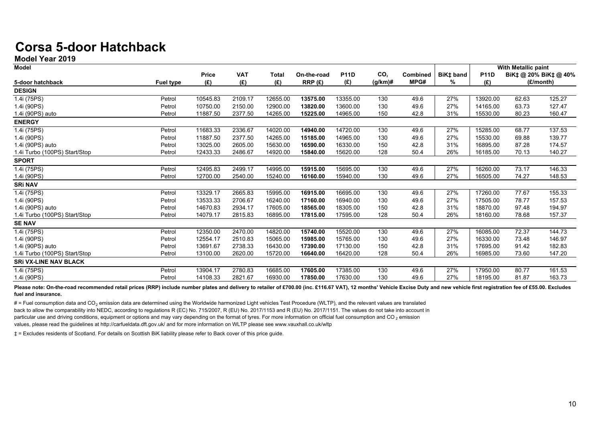## **Corsa 5-door Hatchback**

**Model Year 2019**

| <b>Model</b>                  |                  |              |            |              |             |             |                 |                 |           |             | <b>With Metallic paint</b> |                       |
|-------------------------------|------------------|--------------|------------|--------------|-------------|-------------|-----------------|-----------------|-----------|-------------|----------------------------|-----------------------|
|                               |                  | <b>Price</b> | <b>VAT</b> | <b>Total</b> | On-the-road | <b>P11D</b> | CO <sub>2</sub> | <b>Combined</b> | BiK‡ band | <b>P11D</b> |                            | BiK‡ @ 20% BiK‡ @ 40% |
| 5-door hatchback              | <b>Fuel type</b> | (E)          | (E)        | (E)          | RRP(E)      | (E)         | $(q/km)$ #      | MPG#            | ℅         | (E)         |                            | (E/month)             |
| <b>DESIGN</b>                 |                  |              |            |              |             |             |                 |                 |           |             |                            |                       |
| 1.4i (75PS)                   | Petrol           | 10545.83     | 2109.17    | 12655.00     | 13575.00    | 13355.00    | 130             | 49.6            | 27%       | 13920.00    | 62.63                      | 125.27                |
| 1.4i (90PS)                   | Petrol           | 10750.00     | 2150.00    | 12900.00     | 13820.00    | 13600.00    | 130             | 49.6            | 27%       | 14165.00    | 63.73                      | 127.47                |
| 1.4i (90PS) auto              | Petrol           | 11887.50     | 2377.50    | 14265.00     | 15225.00    | 14965.00    | 150             | 42.8            | 31%       | 15530.00    | 80.23                      | 160.47                |
| <b>ENERGY</b>                 |                  |              |            |              |             |             |                 |                 |           |             |                            |                       |
| 1.4i (75PS)                   | Petrol           | 11683.33     | 2336.67    | 14020.00     | 14940.00    | 14720.00    | 130             | 49.6            | 27%       | 15285.00    | 68.77                      | 137.53                |
| 1.4i (90PS)                   | Petrol           | 11887.50     | 2377.50    | 14265.00     | 15185.00    | 14965.00    | 130             | 49.6            | 27%       | 15530.00    | 69.88                      | 139.77                |
| 1.4i (90PS) auto              | Petrol           | 13025.00     | 2605.00    | 15630.00     | 16590.00    | 16330.00    | 150             | 42.8            | 31%       | 16895.00    | 87.28                      | 174.57                |
| 1.4i Turbo (100PS) Start/Stop | Petrol           | 12433.33     | 2486.67    | 14920.00     | 15840.00    | 15620.00    | 128             | 50.4            | 26%       | 16185.00    | 70.13                      | 140.27                |
| <b>SPORT</b>                  |                  |              |            |              |             |             |                 |                 |           |             |                            |                       |
| 1.4i (75PS)                   | Petrol           | 12495.83     | 2499.17    | 14995.00     | 15915.00    | 15695.00    | 130             | 49.6            | 27%       | 16260.00    | 73.17                      | 146.33                |
| 1.4i (90PS)                   | Petrol           | 12700.00     | 2540.00    | 15240.00     | 16160.00    | 15940.00    | 130             | 49.6            | 27%       | 16505.00    | 74.27                      | 148.53                |
| <b>SRI NAV</b>                |                  |              |            |              |             |             |                 |                 |           |             |                            |                       |
| 1.4i (75PS)                   | Petrol           | 13329.17     | 2665.83    | 15995.00     | 16915.00    | 16695.00    | 130             | 49.6            | 27%       | 17260.00    | 77.67                      | 155.33                |
| 1.4i (90PS)                   | Petrol           | 13533.33     | 2706.67    | 16240.00     | 17160.00    | 16940.00    | 130             | 49.6            | 27%       | 17505.00    | 78.77                      | 157.53                |
| 1.4i (90PS) auto              | Petrol           | 14670.83     | 2934.17    | 17605.00     | 18565.00    | 18305.00    | 150             | 42.8            | 31%       | 18870.00    | 97.48                      | 194.97                |
| 1.4i Turbo (100PS) Start/Stop | Petrol           | 14079.17     | 2815.83    | 16895.00     | 17815.00    | 17595.00    | 128             | 50.4            | 26%       | 18160.00    | 78.68                      | 157.37                |
| <b>SE NAV</b>                 |                  |              |            |              |             |             |                 |                 |           |             |                            |                       |
| 1.4i (75PS)                   | Petrol           | 12350.00     | 2470.00    | 14820.00     | 15740.00    | 15520.00    | 130             | 49.6            | 27%       | 16085.00    | 72.37                      | 144.73                |
| 1.4i (90PS)                   | Petrol           | 12554.17     | 2510.83    | 15065.00     | 15985.00    | 15765.00    | 130             | 49.6            | 27%       | 16330.00    | 73.48                      | 146.97                |
| 1.4i (90PS) auto              | Petrol           | 13691.67     | 2738.33    | 16430.00     | 17390.00    | 17130.00    | 150             | 42.8            | 31%       | 17695.00    | 91.42                      | 182.83                |
| 1.4i Turbo (100PS) Start/Stop | Petrol           | 13100.00     | 2620.00    | 15720.00     | 16640.00    | 16420.00    | 128             | 50.4            | 26%       | 16985.00    | 73.60                      | 147.20                |
| <b>SRI VX-LINE NAV BLACK</b>  |                  |              |            |              |             |             |                 |                 |           |             |                            |                       |
| 1.4i (75PS)                   | Petrol           | 13904.17     | 2780.83    | 16685.00     | 17605.00    | 17385.00    | 130             | 49.6            | 27%       | 17950.00    | 80.77                      | 161.53                |
| 1.4i (90PS)                   | Petrol           | 14108.33     | 2821.67    | 16930.00     | 17850.00    | 17630.00    | 130             | 49.6            | 27%       | 18195.00    | 81.87                      | 163.73                |

Please note: On-the-road recommended retail prices (RRP) include number plates and delivery to retailer of £700.00 (inc. £116.67 VAT), 12 months' Vehicle Excise Duty and new vehicle first registration fee of £55.00. Exclud **fuel and insurance.**

 $#$  = Fuel consumption data and CO<sub>2</sub> emission data are determined using the Worldwide harmonized Light vehicles Test Procedure (WLTP), and the relevant values are translated back to allow the comparability into NEDC, according to regulations R (EC) No. 715/2007, R (EU) No. 2017/1153 and R (EU) No. 2017/1151. The values do not take into account in particular use and driving conditions, equipment or options and may vary depending on the format of tyres. For more information on official fuel consumption and CO<sub>2</sub> emission values, please read the guidelines at http://carfueldata.dft.gov.uk/ and for more information on WLTP please see www.vauxhall.co.uk/wltp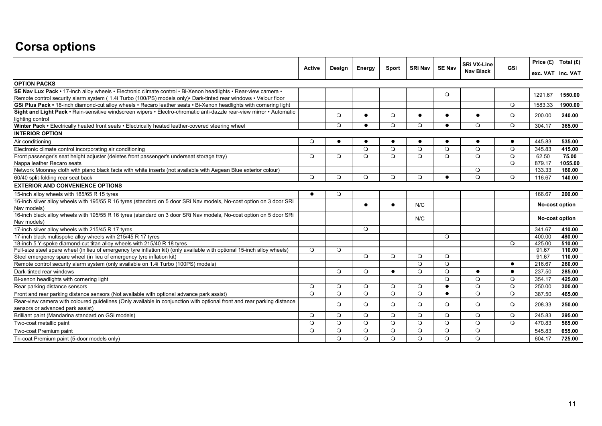## **Corsa options**

|                                                                                                                           |               |           |           |           |                                                                            |           | <b>SRi VX-Line</b> |                | Price $(E)$ Total $(E)$ |
|---------------------------------------------------------------------------------------------------------------------------|---------------|-----------|-----------|-----------|----------------------------------------------------------------------------|-----------|--------------------|----------------|-------------------------|
|                                                                                                                           | <b>Active</b> | Design    | Energy    |           | <b>SE Nav</b><br><b>GSi</b><br><b>SRi Nav</b><br>Sport<br><b>Nav Black</b> |           | exc. VAT inc. VAT  |                |                         |
| <b>OPTION PACKS</b>                                                                                                       |               |           |           |           |                                                                            |           |                    |                |                         |
| SE Nav Lux Pack • 17-inch alloy wheels • Electronic climate control • Bi-Xenon headlights • Rear-view camera •            |               |           |           |           |                                                                            | $\circ$   |                    |                | 1550.00<br>1291.67      |
| Remote control security alarm system (1.4i Turbo (100/PS) models only) · Dark-tinted rear windows · Velour floor          |               |           |           |           |                                                                            |           |                    |                |                         |
| GSi Plus Pack • 18-inch diamond-cut alloy wheels • Recaro leather seats • Bi-Xenon headlights with cornering light        |               |           |           |           |                                                                            |           |                    | $\circ$        | 1583.33<br>1900.00      |
| Sight and Light Pack · Rain-sensitive windscreen wipers · Electro-chromatic anti-dazzle rear-view mirror · Automatic      |               | $\circ$   | $\bullet$ | $\circ$   | $\bullet$                                                                  | $\bullet$ |                    | $\circ$        | 200.00<br>240.00        |
| lighting control                                                                                                          |               |           |           |           |                                                                            |           |                    |                |                         |
| Winter Pack . Electrically heated front seats . Electrically heated leather-covered steering wheel                        |               | $\circ$   | $\bullet$ | $\circ$   | $\Omega$                                                                   | $\bullet$ | $\circ$            | $\circ$        | 304.17<br>365.00        |
| <b>INTERIOR OPTION</b>                                                                                                    |               |           |           |           |                                                                            |           |                    |                |                         |
| Air conditioning                                                                                                          | $\Omega$      | $\bullet$ | $\bullet$ | $\bullet$ | $\bullet$                                                                  | $\bullet$ | $\bullet$          | $\bullet$      | 535.00<br>445.83        |
| Electronic climate control incorporating air conditioning                                                                 |               |           | $\circ$   | $\circ$   | $\Omega$                                                                   | $\Omega$  | $\Omega$           | $\circ$        | 345.83<br>415.00        |
| Front passenger's seat height adjuster (deletes front passenger's underseat storage tray)                                 | $\circ$       | $\circ$   | $\circ$   | $\circ$   | $\circ$                                                                    | $\circ$   | $\circ$            | $\circ$        | 62.50<br>75.00          |
| Nappa leather Recaro seats                                                                                                |               |           |           |           |                                                                            |           |                    | $\circ$        | 879.17<br>1055.00       |
| Network Moonray cloth with piano black facia with white inserts (not available with Aegean Blue exterior colour)          |               |           |           |           |                                                                            |           | $\circ$            |                | 133.33<br>160.00        |
| 60/40 split-folding rear seat back                                                                                        | $\circ$       | $\circ$   | $\circ$   | $\circ$   | $\circ$                                                                    | $\bullet$ | $\circ$            | $\circ$        | 116.67<br>140.00        |
| <b>EXTERIOR AND CONVENIENCE OPTIONS</b>                                                                                   |               |           |           |           |                                                                            |           |                    |                |                         |
| 15-inch alloy wheels with 185/65 R 15 tyres                                                                               | $\bullet$     | $\circ$   |           |           |                                                                            |           |                    |                | 200.00<br>166.67        |
| 16-inch silver alloy wheels with 195/55 R 16 tyres (standard on 5 door SRi Nav models, No-cost option on 3 door SRi       |               |           | $\bullet$ | $\bullet$ |                                                                            |           |                    |                |                         |
| Nav models)                                                                                                               |               |           |           |           | N/C                                                                        |           |                    |                | No-cost option          |
| 16-inch black alloy wheels with 195/55 R 16 tyres (standard on 3 door SRi Nav models, No-cost option on 5 door SRi        |               |           |           |           | N/C                                                                        |           |                    |                | No-cost option          |
| Nav models)                                                                                                               |               |           |           |           |                                                                            |           |                    |                |                         |
| 17-inch silver alloy wheels with 215/45 R 17 tyres                                                                        |               |           | $\circ$   |           |                                                                            |           |                    |                | 341.67<br>410.00        |
| 17-inch black multispoke alloy wheels with 215/45 R 17 tyres                                                              |               |           |           |           |                                                                            | $\circ$   |                    |                | 400.00<br>480.00        |
| 18-inch 5 Y-spoke diamond-cut titan alloy wheels with 215/40 R 18 tyres                                                   |               |           |           |           |                                                                            |           |                    | $\circ$        | 510.00<br>425.00        |
| Full-size steel spare wheel (in lieu of emergency tyre inflation kit) (only available with optional 15-inch alloy wheels) | $\circ$       | $\circ$   |           |           |                                                                            |           |                    |                | 91.67<br>110.00         |
| Steel emergency spare wheel (in lieu of emergency tyre inflation kit)                                                     |               |           | $\Omega$  | $\Omega$  | $\Omega$                                                                   | $\Omega$  |                    |                | 91.67<br>110.00         |
| Remote control security alarm system (only available on 1.4i Turbo (100PS) models)                                        |               |           |           |           | $\Omega$                                                                   | $\circ$   |                    | $\bullet$      | 216.67<br>260.00        |
| Dark-tinted rear windows                                                                                                  |               | $\circ$   | $\circ$   | $\bullet$ | $\circ$                                                                    | $\circ$   | $\bullet$          | $\bullet$      | 237.50<br>285.00        |
| Bi-xenon headlights with cornering light                                                                                  |               |           |           |           |                                                                            | $\circ$   | $\circ$            | $\circ$        | 354.17<br>425.00        |
| Rear parking distance sensors                                                                                             | $\Omega$      | $\circ$   | $\circ$   | $\circ$   | $\Omega$                                                                   | $\bullet$ | $\overline{O}$     | $\overline{O}$ | 250.00<br>300.00        |
| Front and rear parking distance sensors (Not available with optional advance park assist)                                 | $\Omega$      | $\Omega$  | $\Omega$  | $\circ$   | $\Omega$                                                                   | $\bullet$ | $\Omega$           | $\Omega$       | 387.50<br>465.00        |
| Rear-view camera with coloured guidelines (Only available in conjunction with optional front and rear parking distance    |               | $\circ$   | $\circ$   | $\circ$   | $\circ$                                                                    | $\circ$   | $\circ$            | $\circ$        | 208.33<br>250.00        |
| sensors or advanced park assist)                                                                                          |               |           |           |           |                                                                            |           |                    |                |                         |
| Brilliant paint (Mandarina standard on GSi models)                                                                        | $\Omega$      | $\circ$   | $\circ$   | $\circ$   | $\circ$                                                                    | $\circ$   | $\circ$            | $\circ$        | 245.83<br>295.00        |
| Two-coat metallic paint                                                                                                   | $\Omega$      | $\circ$   | $\circ$   | $\circ$   | $\circ$                                                                    | $\circ$   | $\circ$            | $\circ$        | 470.83<br>565.00        |
| Two-coat Premium paint                                                                                                    | $\Omega$      | $\circ$   | $\circ$   | $\circ$   | $\Omega$                                                                   | $\Omega$  | $\circ$            |                | 545.83<br>655.00        |
| Tri-coat Premium paint (5-door models only)                                                                               |               | $\circ$   | $\circ$   | $\circ$   | $\circ$                                                                    | $\circ$   | $\circ$            |                | 604.17<br>725.00        |
|                                                                                                                           |               |           |           |           |                                                                            |           |                    |                |                         |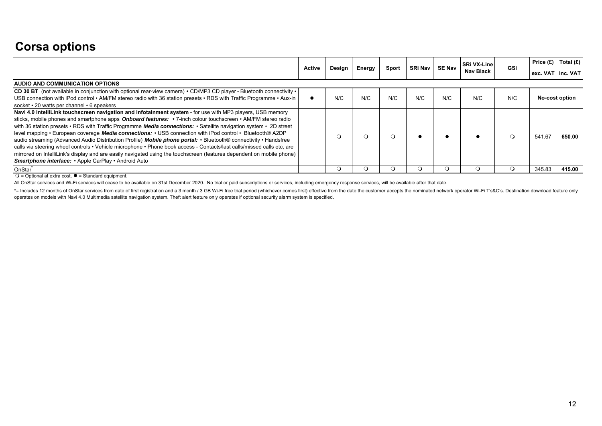## **Corsa options**

|                                                                                                                                                                                                                                                                                                                                                                                                                                                                                                                                                                                                                                                                                                                                                                                                                                                                                             |               |        |        |       |                |               | SRi VX-Line      |         | Price $(E)$ Total $(E)$ |
|---------------------------------------------------------------------------------------------------------------------------------------------------------------------------------------------------------------------------------------------------------------------------------------------------------------------------------------------------------------------------------------------------------------------------------------------------------------------------------------------------------------------------------------------------------------------------------------------------------------------------------------------------------------------------------------------------------------------------------------------------------------------------------------------------------------------------------------------------------------------------------------------|---------------|--------|--------|-------|----------------|---------------|------------------|---------|-------------------------|
|                                                                                                                                                                                                                                                                                                                                                                                                                                                                                                                                                                                                                                                                                                                                                                                                                                                                                             | <b>Active</b> | Design | Energy | Sport | <b>SRi Nav</b> | <b>SE Nav</b> | <b>Nav Black</b> | GSi     | exc. VAT inc. VAT       |
| AUDIO AND COMMUNICATION OPTIONS                                                                                                                                                                                                                                                                                                                                                                                                                                                                                                                                                                                                                                                                                                                                                                                                                                                             |               |        |        |       |                |               |                  |         |                         |
| CD 30 BT (not available in conjunction with optional rear-view camera) • CD/MP3 CD player • Bluetooth connectivity •<br>USB connection with iPod control • AM/FM stereo radio with 36 station presets • RDS with Traffic Programme • Aux-in<br>socket • 20 watts per channel • 6 speakers                                                                                                                                                                                                                                                                                                                                                                                                                                                                                                                                                                                                   |               | N/C    | N/C    | N/C   | N/C            | N/C           | N/C              | N/C     | No-cost option          |
| Navi 4.0 IntelliLink touchscreen navigation and infotainment system - for use with MP3 players, USB memory<br>sticks, mobile phones and smartphone apps Onboard features: • 7-inch colour touchscreen • AM/FM stereo radio<br>with 36 station presets • RDS with Traffic Programme Media connections: • Satellite navigation system • 2D street<br>level mapping • European coverage Media connections: • USB connection with iPod control • Bluetooth® A2DP<br>audio streaming (Advanced Audio Distribution Profile) Mobile phone portal: • Bluetooth® connectivity • Handsfree<br>calls via steering wheel controls • Vehicle microphone • Phone book access - Contacts/last calls/missed calls etc, are<br>mirrored on IntelliLink's display and are easily navigated using the touchscreen (features dependent on mobile phone)<br>Smartphone interface: • Apple CarPlay • Android Auto |               |        |        |       |                |               |                  | $\circ$ | 541.67<br>650.00        |
| OnStar <sup>*</sup>                                                                                                                                                                                                                                                                                                                                                                                                                                                                                                                                                                                                                                                                                                                                                                                                                                                                         |               |        |        |       |                |               |                  |         | 345.83<br>415.00        |

 $\bigcirc$  = Optional at extra cost.  $\bullet$  = Standard equipment.

All OnStar services and Wi-Fi services will cease to be available on 31st December 2020. No trial or paid subscriptions or services, including emergency response services, will be available after that date.

\*= Includes 12 months of OnStar services from date of first registration and a 3 month / 3 GB Wi-Fi free trial period (whichever comes first) effective from the date the customer accepts the nominated network operator Wi-F operates on models with Navi 4.0 Multimedia satellite navigation system. Theft alert feature only operates if optional security alarm system is specified.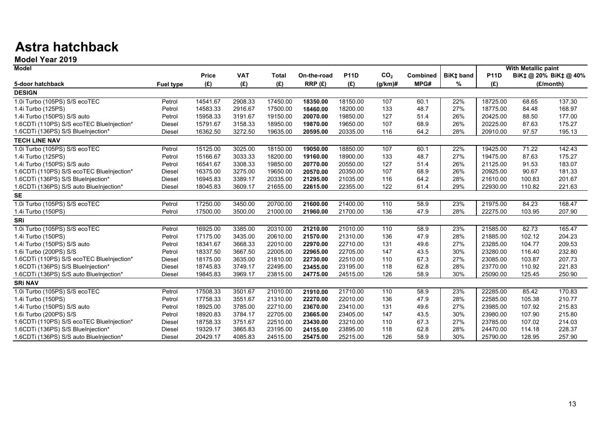## **Astra hatchback**

**Model Year 2019**

| Model                                     |               |              |            |              |             |             |                 |          |                  |             | <b>With Metallic paint</b> |                       |
|-------------------------------------------|---------------|--------------|------------|--------------|-------------|-------------|-----------------|----------|------------------|-------------|----------------------------|-----------------------|
|                                           |               | <b>Price</b> | <b>VAT</b> | <b>Total</b> | On-the-road | <b>P11D</b> | CO <sub>2</sub> | Combined | <b>BiK‡</b> band | <b>P11D</b> |                            | BiK‡ @ 20% BiK‡ @ 40% |
| 5-door hatchback                          | Fuel type     | (E)          | (E)        | (E)          | RRP(E)      | (E)         | (g/km)#         | MPG#     | ℅                | (E)         |                            | (£/month)             |
| <b>DESIGN</b>                             |               |              |            |              |             |             |                 |          |                  |             |                            |                       |
| 1.0i Turbo (105PS) S/S ecoTEC             | Petrol        | 14541.67     | 2908.33    | 17450.00     | 18350.00    | 18150.00    | 107             | 60.1     | 22%              | 18725.00    | 68.65                      | 137.30                |
| 1.4i Turbo (125PS)                        | Petrol        | 14583.33     | 2916.67    | 17500.00     | 18460.00    | 18200.00    | 133             | 48.7     | 27%              | 18775.00    | 84.48                      | 168.97                |
| 1.4i Turbo (150PS) S/S auto               | Petrol        | 15958.33     | 3191.67    | 19150.00     | 20070.00    | 19850.00    | 127             | 51.4     | 26%              | 20425.00    | 88.50                      | 177.00                |
| 1.6CDTi (110PS) S/S ecoTEC BlueInjection* | <b>Diesel</b> | 15791.67     | 3158.33    | 18950.00     | 19870.00    | 19650.00    | 107             | 68.9     | 26%              | 20225.00    | 87.63                      | 175.27                |
| 1.6CDTi (136PS) S/S BlueInjection*        | Diesel        | 16362.50     | 3272.50    | 19635.00     | 20595.00    | 20335.00    | 116             | 64.2     | 28%              | 20910.00    | 97.57                      | 195.13                |
| <b>TECH LINE NAV</b>                      |               |              |            |              |             |             |                 |          |                  |             |                            |                       |
| 1.0i Turbo (105PS) S/S ecoTEC             | Petrol        | 15125.00     | 3025.00    | 18150.00     | 19050.00    | 18850.00    | 107             | 60.1     | 22%              | 19425.00    | $\overline{71.22}$         | 142.43                |
| 1.4i Turbo (125PS)                        | Petrol        | 15166.67     | 3033.33    | 18200.00     | 19160.00    | 18900.00    | 133             | 48.7     | 27%              | 19475.00    | 87.63                      | 175.27                |
| 1.4i Turbo (150PS) S/S auto               | Petrol        | 16541.67     | 3308.33    | 19850.00     | 20770.00    | 20550.00    | 127             | 51.4     | 26%              | 21125.00    | 91.53                      | 183.07                |
| 1.6CDTi (110PS) S/S ecoTEC BlueInjection* | <b>Diesel</b> | 16375.00     | 3275.00    | 19650.00     | 20570.00    | 20350.00    | 107             | 68.9     | 26%              | 20925.00    | 90.67                      | 181.33                |
| 1.6CDTi (136PS) S/S BlueInjection*        | Diesel        | 16945.83     | 3389.17    | 20335.00     | 21295.00    | 21035.00    | 116             | 64.2     | 28%              | 21610.00    | 100.83                     | 201.67                |
| 1.6CDTi (136PS) S/S auto BlueInjection*   | Diesel        | 18045.83     | 3609.17    | 21655.00     | 22615.00    | 22355.00    | 122             | 61.4     | 29%              | 22930.00    | 110.82                     | 221.63                |
| <b>SE</b>                                 |               |              |            |              |             |             |                 |          |                  |             |                            |                       |
| 1.0i Turbo (105PS) S/S ecoTEC             | Petrol        | 17250.00     | 3450.00    | 20700.00     | 21600.00    | 21400.00    | 110             | 58.9     | 23%              | 21975.00    | 84.23                      | 168.47                |
| 1.4i Turbo (150PS)                        | Petrol        | 17500.00     | 3500.00    | 21000.00     | 21960.00    | 21700.00    | 136             | 47.9     | 28%              | 22275.00    | 103.95                     | 207.90                |
| <b>SRi</b>                                |               |              |            |              |             |             |                 |          |                  |             |                            |                       |
| 1.0i Turbo (105PS) S/S ecoTEC             | Petrol        | 16925.00     | 3385.00    | 20310.00     | 21210.00    | 21010.00    | 110             | 58.9     | 23%              | 21585.00    | 82.73                      | 165.47                |
| 1.4i Turbo (150PS)                        | Petrol        | 17175.00     | 3435.00    | 20610.00     | 21570.00    | 21310.00    | 136             | 47.9     | 28%              | 21885.00    | 102.12                     | 204.23                |
| 1.4i Turbo (150PS) S/S auto               | Petrol        | 18341.67     | 3668.33    | 22010.00     | 22970.00    | 22710.00    | 131             | 49.6     | 27%              | 23285.00    | 104.77                     | 209.53                |
| 1.6i Turbo (200PS) S/S                    | Petrol        | 18337.50     | 3667.50    | 22005.00     | 22965.00    | 22705.00    | 147             | 43.5     | 30%              | 23280.00    | 116.40                     | 232.80                |
| 1.6CDTi (110PS) S/S ecoTEC BlueInjection* | <b>Diesel</b> | 18175.00     | 3635.00    | 21810.00     | 22730.00    | 22510.00    | 110             | 67.3     | 27%              | 23085.00    | 103.87                     | 207.73                |
| 1.6CDTi (136PS) S/S BlueInjection*        | <b>Diesel</b> | 18745.83     | 3749.17    | 22495.00     | 23455.00    | 23195.00    | 118             | 62.8     | 28%              | 23770.00    | 110.92                     | 221.83                |
| 1.6CDTi (136PS) S/S auto BlueInjection*   | Diesel        | 19845.83     | 3969.17    | 23815.00     | 24775.00    | 24515.00    | 126             | 58.9     | 30%              | 25090.00    | 125.45                     | 250.90                |
| <b>SRi NAV</b>                            |               |              |            |              |             |             |                 |          |                  |             |                            |                       |
| 1.0i Turbo (105PS) S/S ecoTEC             | Petrol        | 17508.33     | 3501.67    | 21010.00     | 21910.00    | 21710.00    | 110             | 58.9     | 23%              | 22285.00    | 85.42                      | 170.83                |
| 1.4i Turbo (150PS)                        | Petrol        | 17758.33     | 3551.67    | 21310.00     | 22270.00    | 22010.00    | 136             | 47.9     | 28%              | 22585.00    | 105.38                     | 210.77                |
| 1.4i Turbo (150PS) S/S auto               | Petrol        | 18925.00     | 3785.00    | 22710.00     | 23670.00    | 23410.00    | 131             | 49.6     | 27%              | 23985.00    | 107.92                     | 215.83                |
| 1.6i Turbo (200PS) S/S                    | Petrol        | 18920.83     | 3784.17    | 22705.00     | 23665.00    | 23405.00    | 147             | 43.5     | 30%              | 23980.00    | 107.90                     | 215.80                |
| 1.6CDTi (110PS) S/S ecoTEC BlueInjection* | Diesel        | 18758.33     | 3751.67    | 22510.00     | 23430.00    | 23210.00    | 110             | 67.3     | 27%              | 23785.00    | 107.02                     | 214.03                |
| 1.6CDTi (136PS) S/S BlueInjection*        | Diesel        | 19329.17     | 3865.83    | 23195.00     | 24155.00    | 23895.00    | 118             | 62.8     | 28%              | 24470.00    | 114.18                     | 228.37                |
| 1.6CDTi (136PS) S/S auto BlueInjection*   | <b>Diesel</b> | 20429.17     | 4085.83    | 24515.00     | 25475.00    | 25215.00    | 126             | 58.9     | 30%              | 25790.00    | 128.95                     | 257.90                |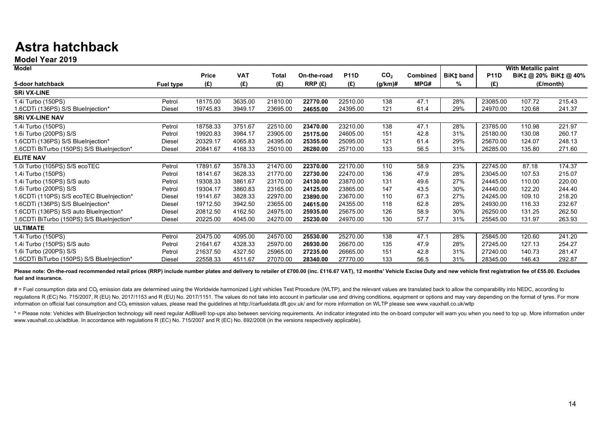## **Astra hatchback**

**Model Year 2019**

| <b>Model</b>                               |               |              |            |          |             |             |                 |                 |           |             | With Metallic paint |                     |
|--------------------------------------------|---------------|--------------|------------|----------|-------------|-------------|-----------------|-----------------|-----------|-------------|---------------------|---------------------|
|                                            |               | <b>Price</b> | <b>VAT</b> | Total    | On-the-road | <b>P11D</b> | CO <sub>2</sub> | <b>Combined</b> | BiK‡ band | <b>P11D</b> |                     | BiK‡@ 20% BiK‡@ 40% |
| 5-door hatchback                           | Fuel type     | (E)          | (£)        | (E)      | RRP(E)      | (E)         | (g/km)#         | MPG#            | %         | (E)         |                     | (£/month)           |
| <b>SRI VX-LINE</b>                         |               |              |            |          |             |             |                 |                 |           |             |                     |                     |
| 1.4i Turbo (150PS)                         | Petrol        | 18175.00     | 3635.00    | 21810.00 | 22770.00    | 22510.00    | 138             | 47.1            | 28%       | 23085.00    | 107.72              | 215.43              |
| 1.6CDTi (136PS) S/S BlueInjection*         | Diesel        | 19745.83     | 3949.17    | 23695.00 | 24655.00    | 24395.00    | 121             | 61.4            | 29%       | 24970.00    | 120.68              | 241.37              |
| <b>SRI VX-LINE NAV</b>                     |               |              |            |          |             |             |                 |                 |           |             |                     |                     |
| 1.4i Turbo (150PS)                         | Petrol        | 18758.33     | 3751.67    | 22510.00 | 23470.00    | 23210.00    | 138             | 47.1            | 28%       | 23785.00    | 110.98              | 221.97              |
| 1.6i Turbo (200PS) S/S                     | Petrol        | 19920.83     | 3984.17    | 23905.00 | 25175.00    | 24605.00    | 151             | 42.8            | 31%       | 25180.00    | 130.08              | 260.17              |
| 1.6CDTi (136PS) S/S BlueInjection*         | <b>Diesel</b> | 20329.17     | 4065.83    | 24395.00 | 25355.00    | 25095.00    | 121             | 61.4            | 29%       | 25670.00    | 124.07              | 248.13              |
| 1.6CDTi BiTurbo (150PS) S/S BlueInjection* | Diesel        | 20841.67     | 4168.33    | 25010.00 | 26280.00    | 25710.00    | 133             | 56.5            | 31%       | 26285.00    | 135.80              | 271.60              |
| <b>ELITE NAV</b>                           |               |              |            |          |             |             |                 |                 |           |             |                     |                     |
| 1.0i Turbo (105PS) S/S ecoTEC              | Petrol        | 17891.67     | 3578.33    | 21470.00 | 22370.00    | 22170.00    | 110             | 58.9            | 23%       | 22745.00    | 87.18               | 174.37              |
| 1.4i Turbo (150PS)                         | Petrol        | 18141.67     | 3628.33    | 21770.00 | 22730.00    | 22470.00    | 136             | 47.9            | 28%       | 23045.00    | 107.53              | 215.07              |
| 1.4i Turbo (150PS) S/S auto                | Petrol        | 19308.33     | 3861.67    | 23170.00 | 24130.00    | 23870.00    | 131             | 49.6            | 27%       | 24445.00    | 110.00              | 220.00              |
| 1.6i Turbo (200PS) S/S                     | Petrol        | 19304.17     | 3860.83    | 23165.00 | 24125.00    | 23865.00    | 147             | 43.5            | 30%       | 24440.00    | 122.20              | 244.40              |
| 1.6CDTi (110PS) S/S ecoTEC BlueInjection*  | Diesel        | 19141.67     | 3828.33    | 22970.00 | 23890.00    | 23670.00    | 110             | 67.3            | 27%       | 24245.00    | 109.10              | 218.20              |
| 1.6CDTi (136PS) S/S BlueInjection*         | Diesel        | 19712.50     | 3942.50    | 23655.00 | 24615.00    | 24355.00    | 118             | 62.8            | 28%       | 24930.00    | 116.33              | 232.67              |
| 1.6CDTi (136PS) S/S auto BlueInjection*    | Diesel        | 20812.50     | 4162.50    | 24975.00 | 25935.00    | 25675.00    | 126             | 58.9            | 30%       | 26250.00    | 131.25              | 262.50              |
| 1.6CDTi BiTurbo (150PS) S/S BlueInjection* | Diesel        | 20225.00     | 4045.00    | 24270.00 | 25230.00    | 24970.00    | 130             | 57.7            | 31%       | 25545.00    | 131.97              | 263.93              |
| <b>ULTIMATE</b>                            |               |              |            |          |             |             |                 |                 |           |             |                     |                     |
| 1.4i Turbo (150PS)                         | Petrol        | 20475.00     | 4095.00    | 24570.00 | 25530.00    | 25270.00    | 138             | 47.1            | 28%       | 25845.00    | 120.60              | 241.20              |
| 1.4i Turbo (150PS) S/S auto                | Petrol        | 21641.67     | 4328.33    | 25970.00 | 26930.00    | 26670.00    | 135             | 47.9            | 28%       | 27245.00    | 127.13              | 254.27              |
| 1.6i Turbo (200PS) S/S                     | Petrol        | 21637.50     | 4327.50    | 25965.00 | 27235.00    | 26665.00    | 151             | 42.8            | 31%       | 27240.00    | 140.73              | 281.47              |
| 1.6CDTi BiTurbo (150PS) S/S BlueInjection* | Diesel        | 22558.33     | 4511.67    | 27070.00 | 28340.00    | 27770.00    | 133             | 56.5            | 31%       | 28345.00    | 146.43              | 292.87              |

Please note: On-the-road recommended retail prices (RRP) include number plates and delivery to retailer of £700.00 (inc. £116.67 VAT), 12 months' Vehicle Excise Duty and new vehicle first registration fee of £55.00. Exclud **fuel and insurance.**

# = Fuel consumption data and CO<sub>2</sub> emission data are determined using the Worldwide harmonized Light vehicles Test Procedure (WLTP), and the relevant values are translated back to allow the comparability into NEDC, accord requiations R (EC) No. 715/2007. R (EU) No. 2017/1153 and R (EU) No. 2017/1151. The values do not take into account in particular use and driving conditions, equipment or options and may vary depending on the format of tyr information on official fuel consumption and CO<sub>2</sub> emission values, please read the quidelines at http://carfueldata.dft.gov.uk/ and for more information on WLTP please see www.vauxhall.co.uk/wltp

\* = Please note: Vehicles with Bluelnjection technology will need regular AdBlue® top-ups also between servicing requirements. An indicator integrated into the on-board computer will warn you when you need to top up. More www.vauxhall.co.uk/adblue. In accordance with regulations R (EC) No. 715/2007 and R (EC) No. 692/2008 (in the versions respectively applicable).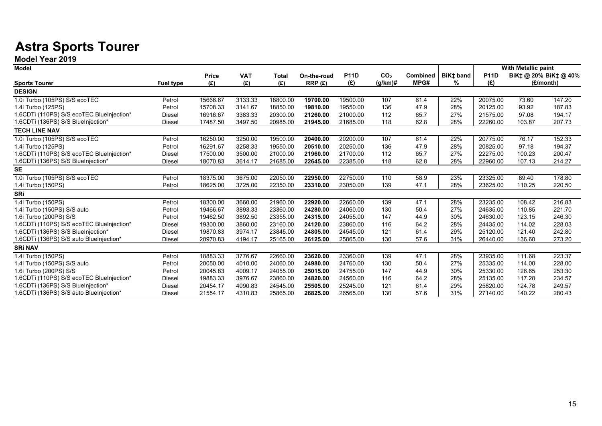## **Astra Sports Tourer**

**Model Year 2019**

| <b>Model</b>                              |                  |              |            |          |             |             |                 |                 |                  |             | <b>With Metallic paint</b> |                       |
|-------------------------------------------|------------------|--------------|------------|----------|-------------|-------------|-----------------|-----------------|------------------|-------------|----------------------------|-----------------------|
|                                           |                  | <b>Price</b> | <b>VAT</b> | Total    | On-the-road | <b>P11D</b> | CO <sub>2</sub> | <b>Combined</b> | <b>BiK‡</b> band | <b>P11D</b> |                            | BiK‡ @ 20% BiK‡ @ 40% |
| <b>Sports Tourer</b>                      | <b>Fuel type</b> | (E)          | (E)        | (E)      | RRP(E)      | (E)         | $(g/km)$ #      | MPG#            | %                | (£)         |                            | (E/month)             |
| <b>DESIGN</b>                             |                  |              |            |          |             |             |                 |                 |                  |             |                            |                       |
| 1.0i Turbo (105PS) S/S ecoTEC             | Petrol           | 15666.67     | 3133.33    | 18800.00 | 19700.00    | 19500.00    | 107             | 61.4            | 22%              | 20075.00    | 73.60                      | 147.20                |
| 1.4i Turbo (125PS)                        | Petrol           | 15708.33     | 3141.67    | 18850.00 | 19810.00    | 19550.00    | 136             | 47.9            | 28%              | 20125.00    | 93.92                      | 187.83                |
| 1.6CDTi (110PS) S/S ecoTEC BlueInjection* | Diesel           | 16916.67     | 3383.33    | 20300.00 | 21260.00    | 21000.00    | 112             | 65.7            | 27%              | 21575.00    | 97.08                      | 194.17                |
| 1.6CDTi (136PS) S/S BlueInjection*        | Diesel           | 17487.50     | 3497.50    | 20985.00 | 21945.00    | 21685.00    | 118             | 62.8            | 28%              | 22260.00    | 103.87                     | 207.73                |
| <b>TECH LINE NAV</b>                      |                  |              |            |          |             |             |                 |                 |                  |             |                            |                       |
| 1.0i Turbo (105PS) S/S ecoTEC             | Petrol           | 16250.00     | 3250.00    | 19500.00 | 20400.00    | 20200.00    | 107             | 61.4            | 22%              | 20775.00    | 76.17                      | 152.33                |
| 1.4i Turbo (125PS)                        | Petrol           | 16291.67     | 3258.33    | 19550.00 | 20510.00    | 20250.00    | 136             | 47.9            | 28%              | 20825.00    | 97.18                      | 194.37                |
| 1.6CDTi (110PS) S/S ecoTEC BlueInjection* | <b>Diesel</b>    | 17500.00     | 3500.00    | 21000.00 | 21960.00    | 21700.00    | 112             | 65.7            | 27%              | 22275.00    | 100.23                     | 200.47                |
| 1.6CDTi (136PS) S/S BlueInjection*        | Diesel           | 18070.83     | 3614.17    | 21685.00 | 22645.00    | 22385.00    | 118             | 62.8            | 28%              | 22960.00    | 107.13                     | 214.27                |
| <b>SE</b>                                 |                  |              |            |          |             |             |                 |                 |                  |             |                            |                       |
| 1.0i Turbo (105PS) S/S ecoTEC             | Petrol           | 18375.00     | 3675.00    | 22050.00 | 22950.00    | 22750.00    | 110             | 58.9            | 23%              | 23325.00    | 89.40                      | 178.80                |
| 1.4i Turbo (150PS)                        | Petrol           | 18625.00     | 3725.00    | 22350.00 | 23310.00    | 23050.00    | 139             | 47.1            | 28%              | 23625.00    | 110.25                     | 220.50                |
| SRi                                       |                  |              |            |          |             |             |                 |                 |                  |             |                            |                       |
| 1.4i Turbo (150PS)                        | Petrol           | 18300.00     | 3660.00    | 21960.00 | 22920.00    | 22660.00    | 139             | 47.1            | 28%              | 23235.00    | 108.42                     | 216.83                |
| 1.4i Turbo (150PS) S/S auto               | Petrol           | 19466.67     | 3893.33    | 23360.00 | 24280.00    | 24060.00    | 130             | 50.4            | 27%              | 24635.00    | 110.85                     | 221.70                |
| 1.6i Turbo (200PS) S/S                    | Petrol           | 19462.50     | 3892.50    | 23355.00 | 24315.00    | 24055.00    | 147             | 44.9            | 30%              | 24630.00    | 123.15                     | 246.30                |
| 1.6CDTi (110PS) S/S ecoTEC BlueInjection* | Diesel           | 19300.00     | 3860.00    | 23160.00 | 24120.00    | 23860.00    | 116             | 64.2            | 28%              | 24435.00    | 114.02                     | 228.03                |
| 1.6CDTi (136PS) S/S BlueInjection*        | Diesel           | 19870.83     | 3974.17    | 23845.00 | 24805.00    | 24545.00    | 121             | 61.4            | 29%              | 25120.00    | 121.40                     | 242.80                |
| 1.6CDTi (136PS) S/S auto BlueInjection*   | Diesel           | 20970.83     | 4194.17    | 25165.00 | 26125.00    | 25865.00    | 130             | 57.6            | 31%              | 26440.00    | 136.60                     | 273.20                |
| <b>SRI NAV</b>                            |                  |              |            |          |             |             |                 |                 |                  |             |                            |                       |
| 1.4i Turbo (150PS)                        | Petrol           | 18883.33     | 3776.67    | 22660.00 | 23620.00    | 23360.00    | 139             | 47.1            | 28%              | 23935.00    | 111.68                     | 223.37                |
| 1.4i Turbo (150PS) S/S auto               | Petrol           | 20050.00     | 4010.00    | 24060.00 | 24980.00    | 24760.00    | 130             | 50.4            | 27%              | 25335.00    | 114.00                     | 228.00                |
| 1.6i Turbo (200PS) S/S                    | Petrol           | 20045.83     | 4009.17    | 24055.00 | 25015.00    | 24755.00    | 147             | 44.9            | 30%              | 25330.00    | 126.65                     | 253.30                |
| 1.6CDTi (110PS) S/S ecoTEC BlueInjection* | <b>Diesel</b>    | 19883.33     | 3976.67    | 23860.00 | 24820.00    | 24560.00    | 116             | 64.2            | 28%              | 25135.00    | 117.28                     | 234.57                |
| 1.6CDTi (136PS) S/S BlueInjection*        | Diesel           | 20454.17     | 4090.83    | 24545.00 | 25505.00    | 25245.00    | 121             | 61.4            | 29%              | 25820.00    | 124.78                     | 249.57                |
| 1.6CDTi (136PS) S/S auto BlueInjection*   | Diesel           | 21554.17     | 4310.83    | 25865.00 | 26825.00    | 26565.00    | 130             | 57.6            | 31%              | 27140.00    | 140.22                     | 280.43                |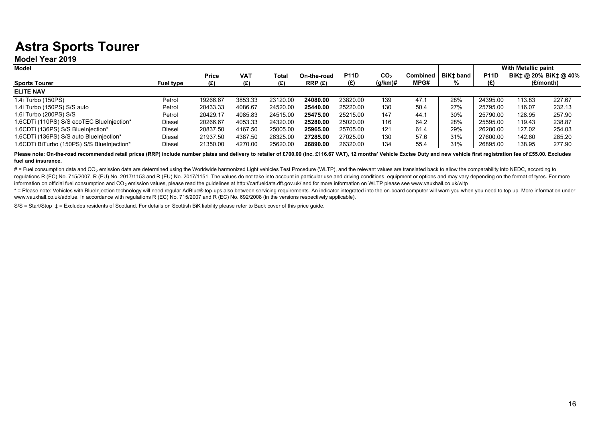## **Astra Sports Tourer**

**Model Year 2019**

| Model                                      |               |              |            |          |             |             |            |      |                      |             | With Metallic paint |                              |
|--------------------------------------------|---------------|--------------|------------|----------|-------------|-------------|------------|------|----------------------|-------------|---------------------|------------------------------|
|                                            |               | <b>Price</b> | <b>VAT</b> | Total    | On-the-road | <b>P11D</b> | CO2        |      | Combined   BiKt band | <b>P11D</b> |                     | $BiK+$ @ 20% BiK $\pm$ @ 40% |
| <b>Sports Tourer</b>                       | Fuel type     | (£)          | (£)        | (E)      | RRP(E)      | (£)         | $(q/km)$ # | MPG# | %                    | (£)         |                     | (£/month)                    |
| <b>ELITE NAV</b>                           |               |              |            |          |             |             |            |      |                      |             |                     |                              |
| 1.4i Turbo (150PS)                         | Petrol        | 19266.67     | 3853.33    | 23120.00 | 24080.00    | 23820.00    | 139        | 47.1 | 28%                  | 24395.00    | 113.83              | 227.67                       |
| 1.4i Turbo (150PS) S/S auto                | Petrol        | 20433.33     | 4086.67    | 24520.00 | 25440.00    | 25220.00    | 130        | 50.4 | 27%                  | 25795.00    | 116.07              | 232.13                       |
| 1.6i Turbo (200PS) S/S                     | Petrol        | 20429.17     | 4085.83    | 24515.00 | 25475.00    | 25215.00    | 147        | 44.1 | 30%                  | 25790.00    | 128.95              | 257.90                       |
| 1.6CDTi (110PS) S/S ecoTEC BlueInjection*  | <b>Diesel</b> | 20266.67     | 4053.33    | 24320.00 | 25280.00    | 25020.00    | 116        | 64.2 | 28%                  | 25595.00    | 119.43              | 238.87                       |
| 1.6CDTi (136PS) S/S BlueInjection*         | <b>Diesel</b> | 20837.50     | 4167.50    | 25005.00 | 25965.00    | 25705.00    | 121        | 61.4 | 29%                  | 26280.00    | 127.02              | 254.03                       |
| 1.6CDTi (136PS) S/S auto BlueInjection*    | <b>Diesel</b> | 21937.50     | 4387.50    | 26325.00 | 27285.00    | 27025.00    | 130        | 57.6 | 31%                  | 27600.00    | 142.60              | 285.20                       |
| 1.6CDTi BiTurbo (150PS) S/S BlueInjection* | Diesel        | 21350.00     | 4270.00    | 25620.00 | 26890.00    | 26320.00    | 134        | 55.4 | 31%                  | 26895.00    | 138.95              | 277.90                       |

Please note: On-the-road recommended retail prices (RRP) include number plates and delivery to retailer of £700.00 (inc. £116.67 VAT), 12 months' Vehicle Excise Duty and new vehicle first registration fee of £55.00. Exclud **fuel and insurance.**

# = Fuel consumption data and CO<sub>2</sub> emission data are determined using the Worldwide harmonized Light vehicles Test Procedure (WLTP), and the relevant values are translated back to allow the comparability into NEDC, accord regulations R (EC) No. 715/2007, R (EU) No. 2017/1153 and R (EU) No. 2017/1151. The values do not take into account in particular use and driving conditions, equipment or options and may vary depending on the format of tyr information on official fuel consumption and CO<sub>2</sub> emission values, please read the quidelines at http://carfueldata.dft.gov.uk/ and for more information on WLTP please see www.vauxhall.co.uk/wltp

\* = Please note: Vehicles with Bluelnjection technology will need regular AdBlue® top-ups also between servicing requirements. An indicator integrated into the on-board computer will warn you when you need to top up. More www.vauxhall.co.uk/adblue. In accordance with regulations R (EC) No. 715/2007 and R (EC) No. 692/2008 (in the versions respectively applicable).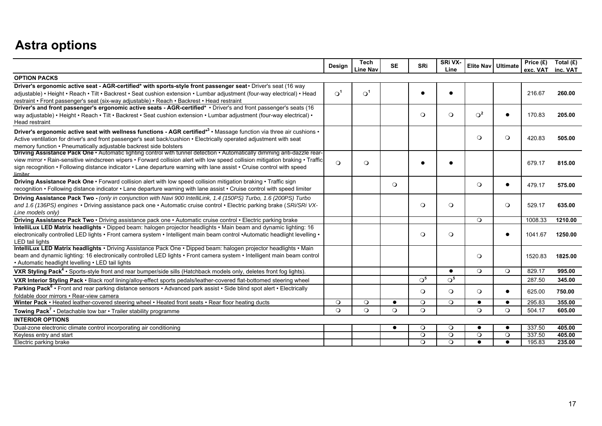## **Astra options**

|                                                                                                                                                                                                                                                                                                                                                                                                | Design                | <b>Tech</b><br>Line Nav | <b>SE</b> | <b>SRi</b>       | SRi VX-<br>Line |              | Elite Nav   Ultimate | Price $(E)$<br>exc. VAT inc. VAT | Total (£) |
|------------------------------------------------------------------------------------------------------------------------------------------------------------------------------------------------------------------------------------------------------------------------------------------------------------------------------------------------------------------------------------------------|-----------------------|-------------------------|-----------|------------------|-----------------|--------------|----------------------|----------------------------------|-----------|
| <b>OPTION PACKS</b>                                                                                                                                                                                                                                                                                                                                                                            |                       |                         |           |                  |                 |              |                      |                                  |           |
| Driver's ergonomic active seat - AGR-certified* with sports-style front passenger seat · Driver's seat (16 way<br>adjustable) • Height • Reach • Tilt • Backrest • Seat cushion extension • Lumbar adjustment (four-way electrical) • Head<br>restraint • Front passenger's seat (six-way adjustable) • Reach • Backrest • Head restraint                                                      | $\Omega$ <sup>1</sup> | $\Omega^1$              |           |                  |                 |              |                      | 216.67                           | 260.00    |
| Driver's and front passenger's ergonomic active seats - AGR-certified* • Driver's and front passenger's seats (16<br>way adjustable) • Height • Reach • Tilt • Backrest • Seat cushion extension • Lumbar adjustment (four-way electrical) •<br><b>Head restraint</b>                                                                                                                          |                       |                         |           | $\circ$          | $\circ$         | $\bigcirc^2$ | $\bullet$            | 170.83                           | 205.00    |
| Driver's ergonomic active seat with wellness functions - AGR certified*3 • Massage function via three air cushions •<br>Active ventilation for driver's and front passenger's seat back/cushion • Electrically operated adjustment with seat<br>memory function • Pneumatically adjustable backrest side bolsters                                                                              |                       |                         |           |                  |                 | $\circ$      | $\circ$              | 420.83                           | 505.00    |
| Driving Assistance Pack One · Automatic lighting control with tunnel detection · Automatically dimming anti-dazzle rear-<br>view mirror • Rain-sensitive windscreen wipers • Forward collision alert with low speed collision mitigation braking • Traffic<br>sign recognition • Following distance indicator • Lane departure warning with lane assist • Cruise control with speed<br>limiter | $\Omega$              | $\circ$                 |           |                  |                 |              |                      | 679.17                           | 815.00    |
| Driving Assistance Pack One · Forward collision alert with low speed collision mitigation braking · Traffic sign<br>recognition • Following distance indicator • Lane departure warning with lane assist • Cruise control with speed limiter                                                                                                                                                   |                       |                         | $\circ$   |                  |                 | $\circ$      | $\bullet$            | 479.17                           | 575.00    |
| Driving Assistance Pack Two - (only in conjunction with Navi 900 IntelliLink, 1.4 (150PS) Turbo, 1.6 (200PS) Turbo<br>and 1.6 (136PS) engines • Driving assistance pack one • Automatic cruise control • Electric parking brake (SRi/SRi VX-<br>Line models only)                                                                                                                              |                       |                         |           | $\circ$          | $\circ$         |              | $\circ$              | 529.17                           | 635.00    |
| Driving Assistance Pack Two · Driving assistance pack one · Automatic cruise control · Electric parking brake                                                                                                                                                                                                                                                                                  |                       |                         |           |                  |                 | $\circ$      |                      | 1008.33                          | 1210.00   |
| IntelliLux LED Matrix headlights . Dipped beam: halogen projector headlights . Main beam and dynamic lighting: 16<br>electronically controlled LED lights • Front camera system • Intelligent main beam control • Automatic headlight levelling •<br><b>LED</b> tail lights                                                                                                                    |                       |                         |           | $\circ$          | $\circ$         |              | $\bullet$            | 1041.67                          | 1250.00   |
| IntelliLux LED Matrix headlights . Driving Assistance Pack One . Dipped beam: halogen projector headlights . Main<br>beam and dynamic lighting: 16 electronically controlled LED lights • Front camera system • Intelligent main beam control<br>. Automatic headlight levelling . LED tail lights                                                                                             |                       |                         |           |                  |                 | $\circ$      |                      | 1520.83                          | 1825.00   |
| VXR Styling Pack <sup>4</sup> · Sports-style front and rear bumper/side sills (Hatchback models only, deletes front fog lights).                                                                                                                                                                                                                                                               |                       |                         |           |                  | $\bullet$       | $\circ$      | $\circ$              | 829.17                           | 995.00    |
| VXR Interior Styling Pack · Black roof lining/alloy-effect sports pedals/leather-covered flat-bottomed steering wheel                                                                                                                                                                                                                                                                          |                       |                         |           | $\overline{O^5}$ | $\mathsf{O}^5$  |              |                      | 287.50                           | 345.00    |
| Parking Pack <sup>6</sup> • Front and rear parking distance sensors • Advanced park assist • Side blind spot alert • Electrically<br>foldable door mirrors • Rear-view camera                                                                                                                                                                                                                  |                       |                         |           | $\Omega$         | $\Omega$        | $\Omega$     | $\bullet$            | 625.00                           | 750.00    |
| Winter Pack • Heated leather-covered steering wheel • Heated front seats • Rear floor heating ducts                                                                                                                                                                                                                                                                                            | $\circ$               | $\circ$                 | $\bullet$ | $\circ$          | $\circ$         | $\bullet$    | $\bullet$            | 295.83                           | 355.00    |
| Towing Pack <sup>7</sup> · Detachable tow bar · Trailer stability programme                                                                                                                                                                                                                                                                                                                    | $\circ$               | $\circ$                 | $\circ$   | $\circ$          |                 | $\circ$      | $\circ$              | 504.17                           | 605.00    |
| <b>INTERIOR OPTIONS</b>                                                                                                                                                                                                                                                                                                                                                                        |                       |                         |           |                  |                 |              |                      |                                  |           |
| Dual-zone electronic climate control incorporating air conditioning                                                                                                                                                                                                                                                                                                                            |                       |                         | $\bullet$ | $\circ$          | $\circ$         | $\bullet$    | $\bullet$            | 337.50                           | 405.00    |
| Keyless entry and start                                                                                                                                                                                                                                                                                                                                                                        |                       |                         |           | $\circ$          | $\circ$         | $\Omega$     | $\circ$              | 337.50                           | 405.00    |
| Electric parking brake                                                                                                                                                                                                                                                                                                                                                                         |                       |                         |           | $\circ$          | $\circ$         | $\bullet$    | $\bullet$            | 195.83                           | 235.00    |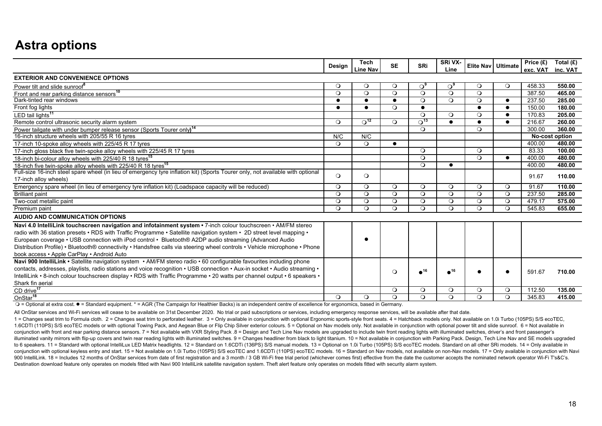## **Astra options**

|                                                                                                                                                                                                                                                                                                                                                                                                                                                                                                                              | Design    | <b>Tech</b><br><b>Line Nav</b> | <b>SE</b> | <b>SRi</b>              | SRi VX-<br>Line       | Elite Nav   Ultimate |           | Price (£)<br>exc. VAT | Total $(E)$<br>inc. VAT |
|------------------------------------------------------------------------------------------------------------------------------------------------------------------------------------------------------------------------------------------------------------------------------------------------------------------------------------------------------------------------------------------------------------------------------------------------------------------------------------------------------------------------------|-----------|--------------------------------|-----------|-------------------------|-----------------------|----------------------|-----------|-----------------------|-------------------------|
| <b>EXTERIOR AND CONVENIENCE OPTIONS</b>                                                                                                                                                                                                                                                                                                                                                                                                                                                                                      |           |                                |           |                         |                       |                      |           |                       |                         |
| Power tilt and slide sunroof <sup>8</sup>                                                                                                                                                                                                                                                                                                                                                                                                                                                                                    | $\circ$   | $\circ$                        | $\circ$   | ം                       | $\Omega_{\mathsf{a}}$ | $\circ$              | $\circ$   | 458.33                | 550.00                  |
| Front and rear parking distance sensors <sup>10</sup>                                                                                                                                                                                                                                                                                                                                                                                                                                                                        | $\Omega$  | $\circ$                        | $\circ$   | $\circ$                 | $\Omega$              | $\Omega$             |           | 387.50                | 465.00                  |
| Dark-tinted rear windows                                                                                                                                                                                                                                                                                                                                                                                                                                                                                                     |           | $\bullet$                      | $\bullet$ | $\Omega$                | $\Omega$              | $\circ$              | $\bullet$ | 237.50                | 285.00                  |
| Front fog lights                                                                                                                                                                                                                                                                                                                                                                                                                                                                                                             | $\bullet$ | $\bullet$                      | $\circ$   | $\bullet$               |                       | $\bullet$            | $\bullet$ | 150.00                | 180.00                  |
| LED tail lights <sup>11</sup>                                                                                                                                                                                                                                                                                                                                                                                                                                                                                                |           |                                |           | $\Omega$                | $\Omega$              | $\Omega$             | $\bullet$ | 170.83                | 205.00                  |
| Remote control ultrasonic security alarm system                                                                                                                                                                                                                                                                                                                                                                                                                                                                              | $\Omega$  | $\overline{O^{12}}$            | $\Omega$  | $\Omega$ <sup>13</sup>  | $\bullet$             | $\bullet$            | $\bullet$ | 216.67                | 260.00                  |
| Power tailgate with under bumper release sensor (Sports Tourer only) <sup>14</sup>                                                                                                                                                                                                                                                                                                                                                                                                                                           |           |                                |           | $\circ$                 |                       | $\circ$              |           | 300.00                | 360.00                  |
| 16-inch structure wheels with 205/55 R 16 tyres                                                                                                                                                                                                                                                                                                                                                                                                                                                                              | N/C       | N/C                            |           |                         |                       |                      |           |                       | No-cost option          |
| 17-inch 10-spoke alloy wheels with 225/45 R 17 tyres                                                                                                                                                                                                                                                                                                                                                                                                                                                                         | $\Omega$  | $\Omega$                       | $\bullet$ |                         |                       |                      |           | 400.00                | 480.00                  |
| 17-inch gloss black five twin-spoke alloy wheels with 225/45 R 17 tyres                                                                                                                                                                                                                                                                                                                                                                                                                                                      |           |                                |           | $\circ$                 |                       | $\circ$              |           | 83.33                 | 100.00                  |
| 18-inch bi-colour alloy wheels with 225/40 R 18 tyres <sup>15</sup>                                                                                                                                                                                                                                                                                                                                                                                                                                                          |           |                                |           | $\circ$                 |                       | $\Omega$             | $\bullet$ | 400.00                | 480.00                  |
| 18-inch five twin-spoke alloy wheels with 225/40 R 18 tyres <sup>15</sup>                                                                                                                                                                                                                                                                                                                                                                                                                                                    |           |                                |           | $\Omega$                | $\epsilon$            |                      |           | 400.00                | 480.00                  |
| Full-size 16-inch steel spare wheel (in lieu of emergency tyre inflation kit) (Sports Tourer only, not available with optional                                                                                                                                                                                                                                                                                                                                                                                               |           | $\circ$                        |           |                         |                       |                      |           |                       | 110.00                  |
| 17-inch alloy wheels)                                                                                                                                                                                                                                                                                                                                                                                                                                                                                                        | $\circ$   |                                |           |                         |                       |                      |           | 91.67                 |                         |
| Emergency spare wheel (in lieu of emergency tyre inflation kit) (Loadspace capacity will be reduced)                                                                                                                                                                                                                                                                                                                                                                                                                         | $\circ$   | $\circ$                        | $\circ$   | $\circ$                 | $\Omega$              | $\circ$              | $\circ$   | 91.67                 | 110.00                  |
| <b>Brilliant paint</b>                                                                                                                                                                                                                                                                                                                                                                                                                                                                                                       | $\circ$   | $\circ$                        | $\circ$   | $\circ$                 | $\circ$               | $\circ$              | $\circ$   | 237.50                | 285.00                  |
| Two-coat metallic paint                                                                                                                                                                                                                                                                                                                                                                                                                                                                                                      | $\circ$   | $\circ$                        | $\circ$   | $\circ$                 | $\Omega$              | $\circ$              | $\circ$   | 479.17                | 575.00                  |
| Premium paint                                                                                                                                                                                                                                                                                                                                                                                                                                                                                                                | $\Omega$  | $\Omega$                       | $\circ$   | $\Omega$                | $\Omega$              | $\Omega$             | $\Omega$  | 545.83                | 655.00                  |
| <b>AUDIO AND COMMUNICATION OPTIONS</b>                                                                                                                                                                                                                                                                                                                                                                                                                                                                                       |           |                                |           |                         |                       |                      |           |                       |                         |
| Navi 4.0 IntelliLink touchscreen navigation and infotainment system . 7-inch colour touchscreen . AM/FM stereo<br>radio with 36 station presets • RDS with Traffic Programme • Satellite navigation system • 2D street level mapping •<br>European coverage • USB connection with iPod control • Bluetooth® A2DP audio streaming (Advanced Audio<br>Distribution Profile) • Bluetooth® connectivity • Handsfree calls via steering wheel controls • Vehicle microphone • Phone<br>book access . Apple CarPlay . Android Auto |           | ●                              |           |                         |                       |                      |           |                       |                         |
| Navi 900 IntelliLink • Satellite navigation system • AM/FM stereo radio • 60 configurable favourites including phone                                                                                                                                                                                                                                                                                                                                                                                                         |           |                                |           |                         |                       |                      |           |                       |                         |
| contacts, addresses, playlists, radio stations and voice recognition • USB connection • Aux-in socket • Audio streaming •                                                                                                                                                                                                                                                                                                                                                                                                    |           |                                |           | $\bullet$ <sup>16</sup> | ⊿16                   |                      |           |                       |                         |
| IntelliLink • 8-inch colour touchscreen display • RDS with Traffic Programme • 20 watts per channel output • 6 speakers •                                                                                                                                                                                                                                                                                                                                                                                                    |           |                                | $\circ$   |                         |                       |                      |           | 591.67                | 710.00                  |
| Shark fin aerial                                                                                                                                                                                                                                                                                                                                                                                                                                                                                                             |           |                                |           |                         |                       |                      |           |                       |                         |
| $CD$ drive <sup>17</sup>                                                                                                                                                                                                                                                                                                                                                                                                                                                                                                     |           |                                | $\circ$   | $\circ$                 | $\circ$               | $\circ$              | $\circ$   | 112.50                | 135.00                  |
| OnStar <sup>18</sup>                                                                                                                                                                                                                                                                                                                                                                                                                                                                                                         | $\circ$   | $\Omega$                       | $\circ$   | $\Omega$                | $\Omega$              | $\Omega$             | $\circ$   | 345.83                | 415.00                  |

 $Q =$  Optional at extra cost.  $\bullet$  = Standard equipment. \* = AGR (The Campaign for Healthier Backs) is an independent centre of excellence for ergonomics, based in Germany.

All OnStar services and Wi-Fi services will cease to be available on 31st December 2020. No trial or paid subscriptions or services, including emergency response services, will be available after that date.

1 = Changes seat trim to Formula cloth. 2 = Changes seat trim to perforated leather. 3 = Only available in conjunction with optional Ergonomic sports-style front seats. 4 = Hatchback models only. Not available on 1.0i Turb 1.6CDTI (110PS) S/S ecoTEC models or with optional Towing Pack, and Aegean Blue or Flip Chip Silver exterior colours. 5 = Optional on Nav models only. Not available in conjunction with optional power tilt and slide sunroof conjunction with front and rear parking distance sensors, 7 = Not available with VXR Styling Pack, 8 = Design and Tech Line Nay models are upgraded to include twin front reading lights with illuminated switches, driver's a illuminated vanity mirrors with flip-up covers and twin rear reading lights with illuminated switches. 9 = Changes headliner from black to light titanium. 10 = Not available in conjunction with Parking Pack. Design, Tech L to 6 speakers. 11 = Standard with optional IntelliLux LED Matrix headlights. 12 = Standard on 1.6CDTi (136PS) S/S manual models. 13 = Optional on 1.0i Turbo (105PS) S/S ecoTEC models. Standard on all other SRi models. 14 = conjunction with optional keyless entry and start. 15 = Not available on 1.0i Turbo (105PS) S/S ecoTEC and 1.6CDTi (110PS) ecoTEC models. 16 = Standard on Nav models, not available on non-Nav models. 17 = Only available in 900 IntelliLink. 18 = Includes 12 months of OnStar services from date of first registration and a 3 month / 3 GB Wi-Fi free trial period (whichever comes first) effective from the date the customer accepts the nominated ne Destination download feature only operates on models fitted with Navi 900 IntelliLink satellite navigation system. Theft alert feature only operates on models fitted with security alarm system.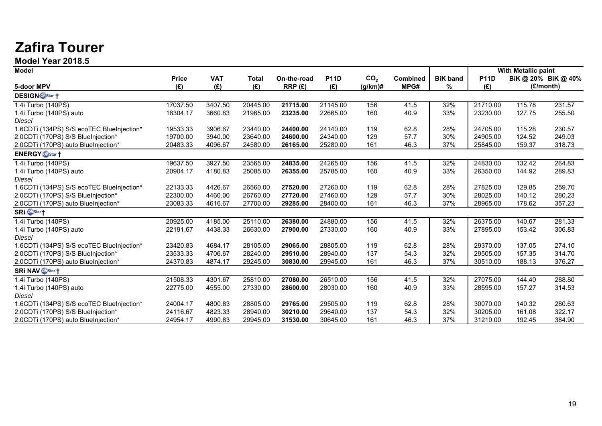## **Zafira Tourer**

**Model Year 2018.5**

| <b>Model</b>                              |              |            |              |             |             |                 |                 |                 |             | <b>With Metallic paint</b> |                     |
|-------------------------------------------|--------------|------------|--------------|-------------|-------------|-----------------|-----------------|-----------------|-------------|----------------------------|---------------------|
|                                           | <b>Price</b> | <b>VAT</b> | <b>Total</b> | On-the-road | <b>P11D</b> | CO <sub>2</sub> | <b>Combined</b> | <b>BiK</b> band | <b>P11D</b> |                            | BiK @ 20% BiK @ 40% |
| 5-door MPV                                | (E)          | (E)        | (E)          | RRP(E)      | (E)         | $(g/km)$ #      | MPG#            | %               | (E)         |                            | (£/month)           |
| <b>DESIGN</b> OnStar <sup>+</sup>         |              |            |              |             |             |                 |                 |                 |             |                            |                     |
| 1.4i Turbo (140PS)                        | 17037.50     | 3407.50    | 20445.00     | 21715.00    | 21145.00    | 156             | 41.5            | 32%             | 21710.00    | 115.78                     | 231.57              |
| 1.4i Turbo (140PS) auto                   | 18304.17     | 3660.83    | 21965.00     | 23235.00    | 22665.00    | 160             | 40.9            | 33%             | 23230.00    | 127.75                     | 255.50              |
| Diesel                                    |              |            |              |             |             |                 |                 |                 |             |                            |                     |
| 1.6CDTi (134PS) S/S ecoTEC BlueInjection* | 19533.33     | 3906.67    | 23440.00     | 24400.00    | 24140.00    | 119             | 62.8            | 28%             | 24705.00    | 115.28                     | 230.57              |
| 2.0CDTi (170PS) S/S BlueInjection*        | 19700.00     | 3940.00    | 23640.00     | 24600.00    | 24340.00    | 129             | 57.7            | 30%             | 24905.00    | 124.52                     | 249.03              |
| 2.0CDTi (170PS) auto BlueInjection*       | 20483.33     | 4096.67    | 24580.00     | 26165.00    | 25280.00    | 161             | 46.3            | 37%             | 25845.00    | 159.37                     | 318.73              |
| <b>ENERGY</b> Obstar +                    |              |            |              |             |             |                 |                 |                 |             |                            |                     |
| 1.4i Turbo (140PS)                        | 19637.50     | 3927.50    | 23565.00     | 24835.00    | 24265.00    | 156             | 41.5            | 32%             | 24830.00    | 132.42                     | 264.83              |
| 1.4i Turbo (140PS) auto                   | 20904.17     | 4180.83    | 25085.00     | 26355.00    | 25785.00    | 160             | 40.9            | 33%             | 26350.00    | 144.92                     | 289.83              |
| <b>Diesel</b>                             |              |            |              |             |             |                 |                 |                 |             |                            |                     |
| 1.6CDTi (134PS) S/S ecoTEC BlueInjection* | 22133.33     | 4426.67    | 26560.00     | 27520.00    | 27260.00    | 119             | 62.8            | 28%             | 27825.00    | 129.85                     | 259.70              |
| 2.0CDTi (170PS) S/S BlueInjection*        | 22300.00     | 4460.00    | 26760.00     | 27720.00    | 27460.00    | 129             | 57.7            | 30%             | 28025.00    | 140.12                     | 280.23              |
| 2.0CDTi (170PS) auto BlueInjection*       | 23083.33     | 4616.67    | 27700.00     | 29285.00    | 28400.00    | 161             | 46.3            | 37%             | 28965.00    | 178.62                     | 357.23              |
| <b>SRi Ostar</b> †                        |              |            |              |             |             |                 |                 |                 |             |                            |                     |
| 1.4i Turbo (140PS)                        | 20925.00     | 4185.00    | 25110.00     | 26380.00    | 24880.00    | 156             | 41.5            | 32%             | 26375.00    | 140.67                     | 281.33              |
| 1.4i Turbo (140PS) auto                   | 22191.67     | 4438.33    | 26630.00     | 27900.00    | 27330.00    | 160             | 40.9            | 33%             | 27895.00    | 153.42                     | 306.83              |
| <b>Diesel</b>                             |              |            |              |             |             |                 |                 |                 |             |                            |                     |
| 1.6CDTi (134PS) S/S ecoTEC BlueInjection* | 23420.83     | 4684.17    | 28105.00     | 29065.00    | 28805.00    | 119             | 62.8            | 28%             | 29370.00    | 137.05                     | 274.10              |
| 2.0CDTi (170PS) S/S BlueInjection*        | 23533.33     | 4706.67    | 28240.00     | 29510.00    | 28940.00    | 137             | 54.3            | 32%             | 29505.00    | 157.35                     | 314.70              |
| 2.0CDTi (170PS) auto BlueInjection*       | 24370.83     | 4874.17    | 29245.00     | 30830.00    | 29945.00    | 161             | 46.3            | 37%             | 30510.00    | 188.13                     | 376.27              |
| <b>SRI NAV</b> On Star <sup>+</sup>       |              |            |              |             |             |                 |                 |                 |             |                            |                     |
| 1.4i Turbo (140PS)                        | 21508.33     | 4301.67    | 25810.00     | 27080.00    | 26510.00    | 156             | 41.5            | 32%             | 27075.00    | 144.40                     | 288.80              |
| 1.4i Turbo (140PS) auto                   | 22775.00     | 4555.00    | 27330.00     | 28600.00    | 28030.00    | 160             | 40.9            | 33%             | 28595.00    | 157.27                     | 314.53              |
| Diesel                                    |              |            |              |             |             |                 |                 |                 |             |                            |                     |
| 1.6CDTi (134PS) S/S ecoTEC BlueInjection* | 24004.17     | 4800.83    | 28805.00     | 29765.00    | 29505.00    | 119             | 62.8            | 28%             | 30070.00    | 140.32                     | 280.63              |
| 2.0CDTi (170PS) S/S BlueInjection*        | 24116.67     | 4823.33    | 28940.00     | 30210.00    | 29640.00    | 137             | 54.3            | 32%             | 30205.00    | 161.08                     | 322.17              |
| 2.0CDTi (170PS) auto BlueInjection*       | 24954.17     | 4990.83    | 29945.00     | 31530.00    | 30645.00    | 161             | 46.3            | 37%             | 31210.00    | 192.45                     | 384.90              |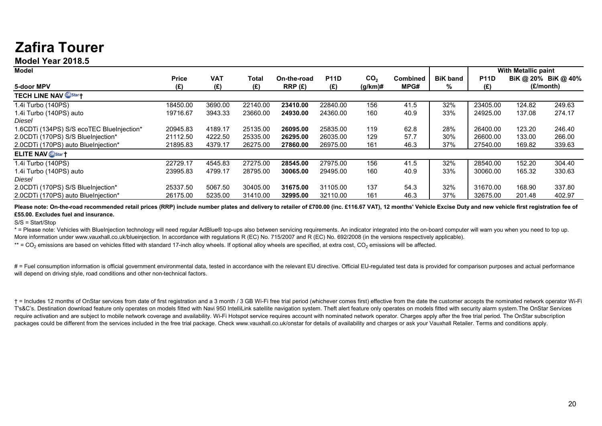## **Zafira Tourer**

## **Model Year 2018.5**

| <b>Model</b>                              |              |            |          |             |             |                 |                 |                 |             | With Metallic paint |                     |
|-------------------------------------------|--------------|------------|----------|-------------|-------------|-----------------|-----------------|-----------------|-------------|---------------------|---------------------|
|                                           | <b>Price</b> | <b>VAT</b> | Total    | On-the-road | <b>P11D</b> | CO <sub>2</sub> | <b>Combined</b> | <b>BiK band</b> | <b>P11D</b> |                     | BiK @ 20% BiK @ 40% |
| 5-door MPV                                | (E)          | (E)        | (£)      | RRP(E)      | (E)         | (g/km)#         | MPG#            | %               | (E)         |                     | (£/month)           |
| <b>TECH LINE NAV ODStar+</b>              |              |            |          |             |             |                 |                 |                 |             |                     |                     |
| 1.4i Turbo (140PS)                        | 18450.00     | 3690.00    | 22140.00 | 23410.00    | 22840.00    | 156             | 41.5            | 32%             | 23405.00    | 124.82              | 249.63              |
| 1.4i Turbo (140PS) auto                   | 19716.67     | 3943.33    | 23660.00 | 24930.00    | 24360.00    | 160             | 40.9            | 33%             | 24925.00    | 137.08              | 274.17              |
| Diesel                                    |              |            |          |             |             |                 |                 |                 |             |                     |                     |
| 1.6CDTi (134PS) S/S ecoTEC BlueInjection* | 20945.83     | 4189.17    | 25135.00 | 26095.00    | 25835.00    | 119             | 62.8            | 28%             | 26400.00    | 123.20              | 246.40              |
| 2.0CDTi (170PS) S/S BlueInjection*        | 21112.50     | 4222.50    | 25335.00 | 26295.00    | 26035.00    | 129             | 57.7            | 30%             | 26600.00    | 133.00              | 266.00              |
| 2.0CDTi (170PS) auto BlueInjection*       | 21895.83     | 4379.17    | 26275.00 | 27860.00    | 26975.00    | 161             | 46.3            | 37%             | 27540.00    | 169.82              | 339.63              |
| <b>ELITE NAV Or Star +</b>                |              |            |          |             |             |                 |                 |                 |             |                     |                     |
| 1.4i Turbo (140PS)                        | 22729.17     | 4545.83    | 27275.00 | 28545.00    | 27975.00    | 156             | 41.5            | 32%             | 28540.00    | 152.20              | 304.40              |
| 1.4i Turbo (140PS) auto                   | 23995.83     | 4799.17    | 28795.00 | 30065.00    | 29495.00    | 160             | 40.9            | 33%             | 30060.00    | 165.32              | 330.63              |
| Diesel                                    |              |            |          |             |             |                 |                 |                 |             |                     |                     |
| 2.0CDTi (170PS) S/S BlueInjection*        | 25337.50     | 5067.50    | 30405.00 | 31675.00    | 31105.00    | 137             | 54.3            | 32%             | 31670.00    | 168.90              | 337.80              |
| 2.0CDTi (170PS) auto BlueIniection*       | 26175.00     | 5235.00    | 31410.00 | 32995.00    | 32110.00    | 161             | 46.3            | 37%             | 32675.00    | 201.48              | 402.97              |

Please note: On-the-road recommended retail prices (RRP) include number plates and delivery to retailer of £700.00 (inc. £116.67 VAT), 12 months' Vehicle Excise Duty and new vehicle first registration fee of **£55.00. Excludes fuel and insurance.** 

S/S = Start/Stop

\* = Please note: Vehicles with BlueInjection technology will need regular AdBlue® top-ups also between servicing requirements. An indicator integrated into the on-board computer will warn you when you need to top up. More information under www.vauxhall.co.uk/blueinjection. In accordance with regulations R (EC) No. 715/2007 and R (EC) No. 692/2008 (in the versions respectively applicable).

\*\* = CO<sub>2</sub> emissions are based on vehicles fitted with standard 17-inch alloy wheels. If optional alloy wheels are specified, at extra cost, CO<sub>2</sub> emissions will be affected.

# = Fuel consumption information is official government environmental data, tested in accordance with the relevant EU directive. Official EU-regulated test data is provided for comparison purposes and actual performance will depend on driving style, road conditions and other non-technical factors.

† = Includes 12 months of OnStar services from date of first registration and a 3 month / 3 GB Wi-Fi free trial period (whichever comes first) effective from the date the customer accepts the nominated network operator Wi-Fi T's&C's. Destination download feature only operates on models fitted with Navi 950 IntelliLink satellite navigation system. Theft alert feature only operates on models fitted with security alarm system.The OnStar Services require activation and are subject to mobile network coverage and availability. Wi-Fi Hotspot service requires account with nominated network operator. Charges apply after the free trial period. The OnStar subscription packages could be different from the services included in the free trial package. Check www.vauxhall.co.uk/onstar for details of availability and charges or ask your Vauxhall Retailer. Terms and conditions apply.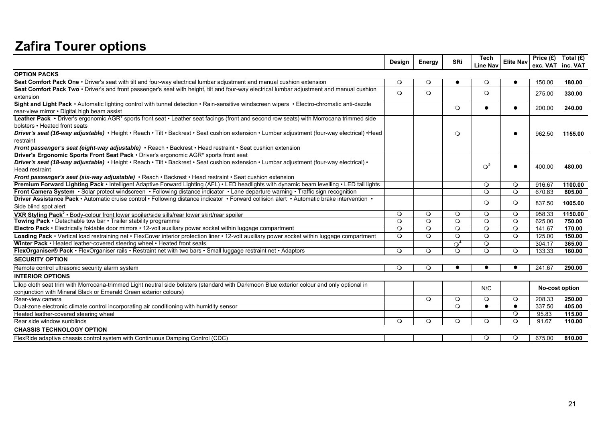## **Zafira Tourer options**

|                                                                                                                                                | Design   | Energy  | <b>SRi</b> | <b>Tech</b><br><b>Line Nav</b> | <b>Elite Nav</b> |        | Price $(E)$ Total $(E)$<br>exc. VAT inc. VAT |
|------------------------------------------------------------------------------------------------------------------------------------------------|----------|---------|------------|--------------------------------|------------------|--------|----------------------------------------------|
| <b>OPTION PACKS</b>                                                                                                                            |          |         |            |                                |                  |        |                                              |
| Seat Comfort Pack One • Driver's seat with tilt and four-way electrical lumbar adjustment and manual cushion extension                         | $\circ$  | $\circ$ | $\bullet$  | $\circ$                        | $\bullet$        | 150.00 | 180.00                                       |
| Seat Comfort Pack Two • Driver's and front passenger's seat with height, tilt and four-way electrical lumbar adjustment and manual cushion     | $\circ$  | $\circ$ |            | $\circ$                        |                  |        |                                              |
| extension                                                                                                                                      |          |         |            |                                |                  | 275.00 | 330.00                                       |
| Sight and Light Pack • Automatic lighting control with tunnel detection • Rain-sensitive windscreen wipers • Electro-chromatic anti-dazzle     |          |         | $\circ$    | $\bullet$                      | $\bullet$        | 200.00 | 240.00                                       |
| rear-view mirror . Digital high beam assist                                                                                                    |          |         |            |                                |                  |        |                                              |
| Leather Pack • Driver's ergonomic AGR* sports front seat • Leather seat facings (front and second row seats) with Morrocana trimmed side       |          |         |            |                                |                  |        |                                              |
| bolsters • Heated front seats                                                                                                                  |          |         |            |                                |                  |        |                                              |
| Driver's seat (16-way adjustable) • Height • Reach • Tilt • Backrest • Seat cushion extension • Lumbar adjustment (four-way electrical) • Head |          |         | $\circ$    |                                | $\bullet$        | 962.50 | 1155.00                                      |
| restraint                                                                                                                                      |          |         |            |                                |                  |        |                                              |
| Front passenger's seat (eight-way adjustable) • Reach • Backrest • Head restraint • Seat cushion extension                                     |          |         |            |                                |                  |        |                                              |
| Driver's Ergonomic Sports Front Seat Pack . Driver's ergonomic AGR* sports front seat                                                          |          |         |            |                                |                  |        |                                              |
| Driver's seat (18-way adjustable) • Height • Reach • Tilt • Backrest • Seat cushion extension • Lumbar adjustment (four-way electrical) •      |          |         |            | $\Omega^2$                     | $\bullet$        | 400.00 | 480.00                                       |
| Head restraint                                                                                                                                 |          |         |            |                                |                  |        |                                              |
| Front passenger's seat (six-way adjustable) • Reach • Backrest • Head restraint • Seat cushion extension                                       |          |         |            |                                |                  |        |                                              |
| Premium Forward Lighting Pack • Intelligent Adaptive Forward Lighting (AFL) • LED headlights with dynamic beam levelling • LED tail lights     |          |         |            | $\circ$                        | $\circ$          | 916.67 | 1100.00                                      |
| Front Camera System · Solar protect windscreen · Following distance indicator · Lane departure warning · Traffic sign recognition              |          |         |            | $\circ$                        | $\circ$          | 670.83 | 805.00                                       |
| Driver Assistance Pack · Automatic cruise control · Following distance indicator · Forward collision alert · Automatic brake intervention ·    |          |         |            | $\circ$                        | $\circ$          | 837.50 | 1005.00                                      |
| Side blind spot alert                                                                                                                          |          |         |            |                                |                  |        |                                              |
| VXR Styling Pack <sup>3</sup> • Body-colour front lower spoiler/side sills/rear lower skirt/rear spoiler                                       | $\circ$  | $\circ$ | $\circ$    | $\circ$                        | $\circ$          | 958.33 | 1150.00                                      |
| Towing Pack • Detachable tow bar • Trailer stability programme                                                                                 | $\circ$  | $\circ$ | $\circ$    | $\circ$                        | $\circ$          | 625.00 | 750.00                                       |
| Electro Pack • Electrically foldable door mirrors • 12-volt auxiliary power socket within luggage compartment                                  | $\circ$  | $\circ$ | $\circ$    | $\circ$                        | $\circ$          | 141.67 | 170.00                                       |
| Loading Pack • Vertical load restraining net • FlexCover interior protection liner • 12-volt auxiliary power socket within luggage compartment | $\circ$  | $\circ$ | $\circ$    | $\circ$                        | $\Omega$         | 125.00 | 150.00                                       |
| Winter Pack • Heated leather-covered steering wheel • Heated front seats                                                                       |          |         | $\Omega^4$ | $\circ$                        |                  | 304.17 | 365.00                                       |
| FlexOrganiser® Pack • FlexOrganiser rails • Restraint net with two bars • Small luggage restraint net • Adaptors                               | $\circ$  | $\circ$ | $\circ$    | $\circ$                        | $\circ$          | 133.33 | 160.00                                       |
| <b>SECURITY OPTION</b>                                                                                                                         |          |         |            |                                |                  |        |                                              |
| Remote control ultrasonic security alarm system                                                                                                | $\circ$  | $\circ$ |            |                                | $\bullet$        | 241.67 | 290.00                                       |
| <b>INTERIOR OPTIONS</b>                                                                                                                        |          |         |            |                                |                  |        |                                              |
| Lilop cloth seat trim with Morrocana-trimmed Light neutral side bolsters (standard with Darkmoon Blue exterior colour and only optional in     |          |         |            | N/C                            |                  |        | No-cost option                               |
| conjunction with Mineral Black or Emerald Green exterior colours)                                                                              |          |         |            |                                |                  |        |                                              |
| Rear-view camera                                                                                                                               |          | $\circ$ | $\circ$    | $\circ$                        | $\circ$          | 208.33 | 250.00                                       |
| Dual-zone electronic climate control incorporating air conditioning with humidity sensor                                                       |          |         | $\circ$    | $\bullet$                      | $\bullet$        | 337.50 | 405.00                                       |
| Heated leather-covered steering wheel                                                                                                          |          |         |            |                                | $\circ$          | 95.83  | 115.00                                       |
| Rear side window sunblinds                                                                                                                     | $\Omega$ | $\circ$ | $\circ$    | $\circ$                        | $\Omega$         | 91.67  | 110.00                                       |
| <b>CHASSIS TECHNOLOGY OPTION</b>                                                                                                               |          |         |            |                                |                  |        |                                              |
| FlexRide adaptive chassis control system with Continuous Damping Control (CDC)                                                                 |          |         |            | $\circ$                        | $\circ$          | 675.00 | 810.00                                       |
|                                                                                                                                                |          |         |            |                                |                  |        |                                              |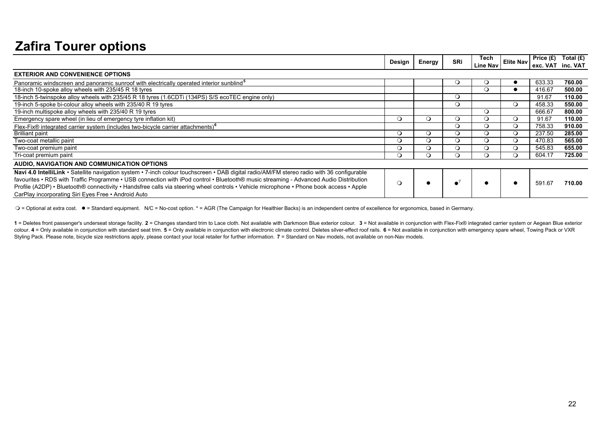## **Zafira Tourer options**

|                                                                                                                                                                                                                                                                                                                                                                                                                                                                                       | Design  |         | <b>SRi</b> | Tech            | <b>Elite Nav</b> | Price $(E)$ | Total $(E)$ |
|---------------------------------------------------------------------------------------------------------------------------------------------------------------------------------------------------------------------------------------------------------------------------------------------------------------------------------------------------------------------------------------------------------------------------------------------------------------------------------------|---------|---------|------------|-----------------|------------------|-------------|-------------|
|                                                                                                                                                                                                                                                                                                                                                                                                                                                                                       |         | Energy  |            | <b>Line Nav</b> |                  | exc. VAT    | inc. VAT    |
| <b>EXTERIOR AND CONVENIENCE OPTIONS</b>                                                                                                                                                                                                                                                                                                                                                                                                                                               |         |         |            |                 |                  |             |             |
| Panoramic windscreen and panoramic sunroof with electrically operated interior sunblind <sup>3</sup>                                                                                                                                                                                                                                                                                                                                                                                  |         |         | $\circ$    | $\circ$         |                  | 633.33      | 760.00      |
| 18-inch 10-spoke alloy wheels with 235/45 R 18 tyres                                                                                                                                                                                                                                                                                                                                                                                                                                  |         |         |            | $\Omega$        |                  | 416.67      | 500.00      |
| 18-inch 5-twinspoke alloy wheels with 235/45 R 18 tyres (1.6CDTi (134PS) S/S ecoTEC engine only)                                                                                                                                                                                                                                                                                                                                                                                      |         |         | $\circ$    |                 |                  | 91.67       | 110.00      |
| 19-inch 5-spoke bi-colour alloy wheels with 235/40 R 19 tyres                                                                                                                                                                                                                                                                                                                                                                                                                         |         |         | $\circ$    |                 | $\circ$          | 458.33      | 550.00      |
| 19-inch multispoke alloy wheels with 235/40 R 19 tyres                                                                                                                                                                                                                                                                                                                                                                                                                                |         |         |            | $\circ$         |                  | 666.67      | 800.00      |
| Emergency spare wheel (in lieu of emergency tyre inflation kit)                                                                                                                                                                                                                                                                                                                                                                                                                       | $\circ$ | $\circ$ | $\circ$    | $\circ$         | $\circ$          | 91.67       | 110.00      |
| Flex-Fix® integrated carrier system (includes two-bicycle carrier attachments) <sup>6</sup>                                                                                                                                                                                                                                                                                                                                                                                           |         |         | Q          | $\circ$         |                  | 758.33      | 910.00      |
| <b>Brilliant paint</b>                                                                                                                                                                                                                                                                                                                                                                                                                                                                | O       | $\circ$ | Э          | $\circ$         |                  | 237.50      | 285.00      |
| Two-coat metallic paint                                                                                                                                                                                                                                                                                                                                                                                                                                                               | О       | $\circ$ | $\circ$    | $\circ$         | Q                | 470.83      | 565.00      |
| Two-coat premium paint                                                                                                                                                                                                                                                                                                                                                                                                                                                                |         | $\circ$ | $\circ$    | $\circ$         |                  | 545.83      | 655.00      |
| Tri-coat premium paint                                                                                                                                                                                                                                                                                                                                                                                                                                                                |         | Q       |            | $\Omega$        |                  | 604.17      | 725.00      |
| AUDIO, NAVIGATION AND COMMUNICATION OPTIONS                                                                                                                                                                                                                                                                                                                                                                                                                                           |         |         |            |                 |                  |             |             |
| Navi 4.0 IntelliLink · Satellite navigation system · 7-inch colour touchscreen · DAB digital radio/AM/FM stereo radio with 36 configurable<br>favourites • RDS with Traffic Programme • USB connection with iPod control • Bluetooth® music streaming - Advanced Audio Distribution<br>Profile (A2DP) • Bluetooth® connectivity • Handsfree calls via steering wheel controls • Vehicle microphone • Phone book access • Apple<br>CarPlay incorporating Siri Eyes Free • Android Auto | $\circ$ |         |            |                 | $\bullet$        | 591.67      | 710.00      |

 $Q =$  Optional at extra cost.  $\bullet =$  Standard equipment. N/C = No-cost option. \* = AGR (The Campaign for Healthier Backs) is an independent centre of excellence for ergonomics, based in Germany.

1 = Deletes front passenger's underseat storage facility. 2 = Changes standard trim to Lace cloth. Not available with Darkmoon Blue exterior colour. 3 = Not available in conjunction with Flex-Fix® integrated carrier system colour. 4 = Only available in conjunction with standard seat trim. 5 = Only available in conjunction with electronic climate control. Deletes silver-effect roof rails. 6 = Not available in conjunction with emergency spare Styling Pack. Please note, bicycle size restrictions apply, please contact your local retailer for further information. **7** = Standard on Nav models, not available on non-Nav models.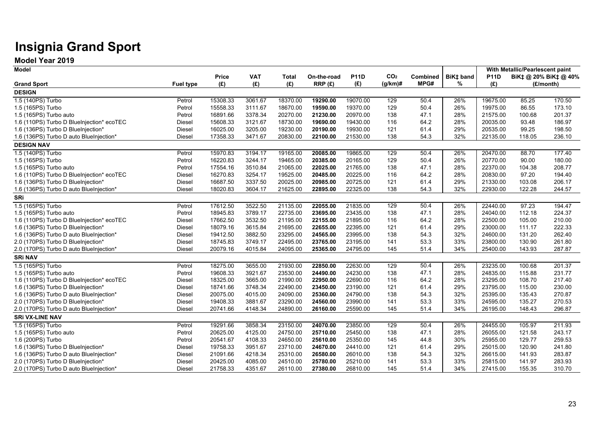## **Insignia Grand Sport**

**Model Year 2019**

| <b>Model</b>                              |                  |          |            |              |             |             |                 |          |           |             | With Metallic/Pearlescent paint |                       |
|-------------------------------------------|------------------|----------|------------|--------------|-------------|-------------|-----------------|----------|-----------|-------------|---------------------------------|-----------------------|
|                                           |                  | Price    | <b>VAT</b> | <b>Total</b> | On-the-road | <b>P11D</b> | CO <sub>2</sub> | Combined | BiK‡ band | <b>P11D</b> |                                 | BiK‡ @ 20% BiK‡ @ 40% |
| <b>Grand Sport</b>                        | <b>Fuel type</b> | (E)      | (E)        | (£)          | RRP(E)      | (E)         | $(g/km)$ #      | MPG#     | %         | (E)         |                                 | (£/month)             |
| <b>DESIGN</b>                             |                  |          |            |              |             |             |                 |          |           |             |                                 |                       |
| 1.5 (140PS) Turbo                         | Petrol           | 15308.33 | 3061.67    | 18370.00     | 19290.00    | 19070.00    | 129             | 50.4     | 26%       | 19675.00    | 85.25                           | 170.50                |
| 1.5 (165PS) Turbo                         | Petrol           | 15558.33 | 3111.67    | 18670.00     | 19590.00    | 19370.00    | 129             | 50.4     | 26%       | 19975.00    | 86.55                           | 173.10                |
| 1.5 (165PS) Turbo auto                    | Petrol           | 16891.66 | 3378.34    | 20270.00     | 21230.00    | 20970.00    | 138             | 47.1     | 28%       | 21575.00    | 100.68                          | 201.37                |
| 1.6 (110PS) Turbo D BlueInjection* ecoTEC | Diesel           | 15608.33 | 3121.67    | 18730.00     | 19690.00    | 19430.00    | 116             | 64.2     | 28%       | 20035.00    | 93.48                           | 186.97                |
| 1.6 (136PS) Turbo D BlueInjection*        | Diesel           | 16025.00 | 3205.00    | 19230.00     | 20190.00    | 19930.00    | 121             | 61.4     | 29%       | 20535.00    | 99.25                           | 198.50                |
| 1.6 (136PS) Turbo D auto BlueInjection*   | Diesel           | 17358.33 | 3471.67    | 20830.00     | 22100.00    | 21530.00    | 138             | 54.3     | 32%       | 22135.00    | 118.05                          | 236.10                |
| <b>DESIGN NAV</b>                         |                  |          |            |              |             |             |                 |          |           |             |                                 |                       |
| 1.5 (140PS) Turbo                         | Petrol           | 15970.83 | 3194.17    | 19165.00     | 20085.00    | 19865.00    | 129             | 50.4     | 26%       | 20470.00    | 88.70                           | 177.40                |
| 1.5 (165PS) Turbo                         | Petrol           | 16220.83 | 3244.17    | 19465.00     | 20385.00    | 20165.00    | 129             | 50.4     | 26%       | 20770.00    | 90.00                           | 180.00                |
| 1.5 (165PS) Turbo auto                    | Petrol           | 17554.16 | 3510.84    | 21065.00     | 22025.00    | 21765.00    | 138             | 47.1     | 28%       | 22370.00    | 104.38                          | 208.77                |
| 1.6 (110PS) Turbo D BlueInjection* ecoTEC | Diesel           | 16270.83 | 3254.17    | 19525.00     | 20485.00    | 20225.00    | 116             | 64.2     | 28%       | 20830.00    | 97.20                           | 194.40                |
| 1.6 (136PS) Turbo D BlueInjection*        | Diesel           | 16687.50 | 3337.50    | 20025.00     | 20985.00    | 20725.00    | 121             | 61.4     | 29%       | 21330.00    | 103.08                          | 206.17                |
| 1.6 (136PS) Turbo D auto BlueInjection*   | Diesel           | 18020.83 | 3604.17    | 21625.00     | 22895.00    | 22325.00    | 138             | 54.3     | 32%       | 22930.00    | 122.28                          | 244.57                |
| SRi                                       |                  |          |            |              |             |             |                 |          |           |             |                                 |                       |
| 1.5 (165PS) Turbo                         | Petrol           | 17612.50 | 3522.50    | 21135.00     | 22055.00    | 21835.00    | 129             | 50.4     | 26%       | 22440.00    | 97.23                           | 194.47                |
| 1.5 (165PS) Turbo auto                    | Petrol           | 18945.83 | 3789.17    | 22735.00     | 23695.00    | 23435.00    | 138             | 47.1     | 28%       | 24040.00    | 112.18                          | 224.37                |
| 1.6 (110PS) Turbo D BlueInjection* ecoTEC | Diesel           | 17662.50 | 3532.50    | 21195.00     | 22155.00    | 21895.00    | 116             | 64.2     | 28%       | 22500.00    | 105.00                          | 210.00                |
| 1.6 (136PS) Turbo D BlueInjection*        | Diesel           | 18079.16 | 3615.84    | 21695.00     | 22655.00    | 22395.00    | 121             | 61.4     | 29%       | 23000.00    | 111.17                          | 222.33                |
| 1.6 (136PS) Turbo D auto BlueInjection*   | Diesel           | 19412.50 | 3882.50    | 23295.00     | 24565.00    | 23995.00    | 138             | 54.3     | 32%       | 24600.00    | 131.20                          | 262.40                |
| 2.0 (170PS) Turbo D BlueInjection*        | Diesel           | 18745.83 | 3749.17    | 22495.00     | 23765.00    | 23195.00    | 141             | 53.3     | 33%       | 23800.00    | 130.90                          | 261.80                |
| 2.0 (170PS) Turbo D auto BlueInjection*   | Diesel           | 20079.16 | 4015.84    | 24095.00     | 25365.00    | 24795.00    | 145             | 51.4     | 34%       | 25400.00    | 143.93                          | 287.87                |
| <b>SRi NAV</b>                            |                  |          |            |              |             |             |                 |          |           |             |                                 |                       |
| 1.5 (165PS) Turbo                         | Petrol           | 18275.00 | 3655.00    | 21930.00     | 22850.00    | 22630.00    | 129             | 50.4     | 26%       | 23235.00    | 100.68                          | 201.37                |
| 1.5 (165PS) Turbo auto                    | Petrol           | 19608.33 | 3921.67    | 23530.00     | 24490.00    | 24230.00    | 138             | 47.1     | 28%       | 24835.00    | 115.88                          | 231.77                |
| 1.6 (110PS) Turbo D BlueInjection* ecoTEC | Diesel           | 18325.00 | 3665.00    | 21990.00     | 22950.00    | 22690.00    | 116             | 64.2     | 28%       | 23295.00    | 108.70                          | 217.40                |
| 1.6 (136PS) Turbo D BlueInjection*        | Diesel           | 18741.66 | 3748.34    | 22490.00     | 23450.00    | 23190.00    | 121             | 61.4     | 29%       | 23795.00    | 115.00                          | 230.00                |
| 1.6 (136PS) Turbo D auto BlueInjection*   | Diesel           | 20075.00 | 4015.00    | 24090.00     | 25360.00    | 24790.00    | 138             | 54.3     | 32%       | 25395.00    | 135.43                          | 270.87                |
| 2.0 (170PS) Turbo D BlueInjection*        | Diesel           | 19408.33 | 3881.67    | 23290.00     | 24560.00    | 23990.00    | 141             | 53.3     | 33%       | 24595.00    | 135.27                          | 270.53                |
| 2.0 (170PS) Turbo D auto BlueInjection*   | Diesel           | 20741.66 | 4148.34    | 24890.00     | 26160.00    | 25590.00    | 145             | 51.4     | 34%       | 26195.00    | 148.43                          | 296.87                |
| <b>SRI VX-LINE NAV</b>                    |                  |          |            |              |             |             |                 |          |           |             |                                 |                       |
| 1.5 (165PS) Turbo                         | Petrol           | 19291.66 | 3858.34    | 23150.00     | 24070.00    | 23850.00    | 129             | 50.4     | 26%       | 24455.00    | 105.97                          | 211.93                |
| 1.5 (165PS) Turbo auto                    | Petrol           | 20625.00 | 4125.00    | 24750.00     | 25710.00    | 25450.00    | 138             | 47.1     | 28%       | 26055.00    | 121.58                          | 243.17                |
| 1.6 (200PS) Turbo                         | Petrol           | 20541.67 | 4108.33    | 24650.00     | 25610.00    | 25350.00    | 145             | 44.8     | 30%       | 25955.00    | 129.77                          | 259.53                |
| 1.6 (136PS) Turbo D BlueInjection*        | Diesel           | 19758.33 | 3951.67    | 23710.00     | 24670.00    | 24410.00    | 121             | 61.4     | 29%       | 25015.00    | 120.90                          | 241.80                |
| 1.6 (136PS) Turbo D auto BlueInjection*   | Diesel           | 21091.66 | 4218.34    | 25310.00     | 26580.00    | 26010.00    | 138             | 54.3     | 32%       | 26615.00    | 141.93                          | 283.87                |
| 2.0 (170PS) Turbo D BlueInjection*        | Diesel           | 20425.00 | 4085.00    | 24510.00     | 25780.00    | 25210.00    | 141             | 53.3     | 33%       | 25815.00    | 141.97                          | 283.93                |
| 2.0 (170PS) Turbo D auto BlueInjection*   | Diesel           | 21758.33 | 4351.67    | 26110.00     | 27380.00    | 26810.00    | 145             | 51.4     | 34%       | 27415.00    | 155.35                          | 310.70                |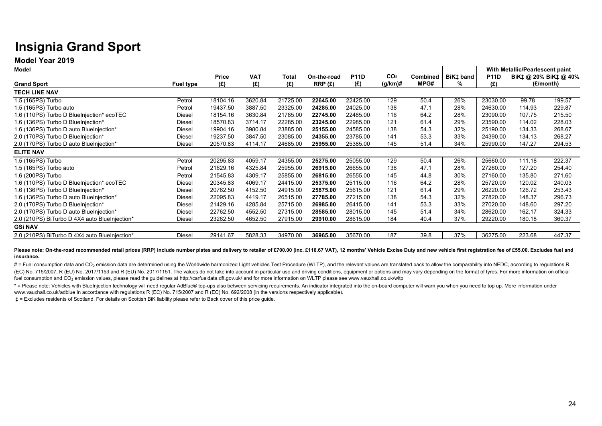## **Insignia Grand Sport**

**Model Year 2019**

| <b>Model</b>                                  |                  |          |            |          |             |             |                 |                 |           |             | With Metallic/Pearlescent paint |                       |
|-----------------------------------------------|------------------|----------|------------|----------|-------------|-------------|-----------------|-----------------|-----------|-------------|---------------------------------|-----------------------|
|                                               |                  | Price    | <b>VAT</b> | Total    | On-the-road | <b>P11D</b> | CO <sub>2</sub> | <b>Combined</b> | BiK‡ band | <b>P11D</b> |                                 | BiK‡ @ 20% BiK‡ @ 40% |
| <b>Grand Sport</b>                            | <b>Fuel type</b> | (£)      | (£)        | (£)      | RRP(E)      | (£)         | $(g/km)$ #      | MPG#            | ℅         | (£)         |                                 | (£/month)             |
| <b>TECH LINE NAV</b>                          |                  |          |            |          |             |             |                 |                 |           |             |                                 |                       |
| 1.5 (165PS) Turbo                             | Petrol           | 18104.16 | 3620.84    | 21725.00 | 22645.00    | 22425.00    | 129             | 50.4            | 26%       | 23030.00    | 99.78                           | 199.57                |
| 1.5 (165PS) Turbo auto                        | Petrol           | 19437.50 | 3887.50    | 23325.00 | 24285.00    | 24025.00    | 138             | 47.1            | 28%       | 24630.00    | 114.93                          | 229.87                |
| 1.6 (110PS) Turbo D BlueInjection* ecoTEC     | Diesel           | 18154.16 | 3630.84    | 21785.00 | 22745.00    | 22485.00    | 116             | 64.2            | 28%       | 23090.00    | 107.75                          | 215.50                |
| 1.6 (136PS) Turbo D BlueInjection*            | Diesel           | 18570.83 | 3714.17    | 22285.00 | 23245.00    | 22985.00    | 121             | 61.4            | 29%       | 23590.00    | 114.02                          | 228.03                |
| 1.6 (136PS) Turbo D auto BlueInjection*       | Diesel           | 19904.16 | 3980.84    | 23885.00 | 25155.00    | 24585.00    | 138             | 54.3            | 32%       | 25190.00    | 134.33                          | 268.67                |
| 2.0 (170PS) Turbo D BlueInjection*            | Diesel           | 19237.50 | 3847.50    | 23085.00 | 24355.00    | 23785.00    | 141             | 53.3            | 33%       | 24390.00    | 134.13                          | 268.27                |
| 2.0 (170PS) Turbo D auto BlueInjection*       | Diesel           | 20570.83 | 4114.17    | 24685.00 | 25955.00    | 25385.00    | 145             | 51.4            | 34%       | 25990.00    | 147.27                          | 294.53                |
| <b>ELITE NAV</b>                              |                  |          |            |          |             |             |                 |                 |           |             |                                 |                       |
| 1.5 (165PS) Turbo                             | Petrol           | 20295.83 | 4059.17    | 24355.00 | 25275.00    | 25055.00    | 129             | 50.4            | 26%       | 25660.00    | 111.18                          | 222.37                |
| 1.5 (165PS) Turbo auto                        | Petrol           | 21629.16 | 4325.84    | 25955.00 | 26915.00    | 26655.00    | 138             | 47.1            | 28%       | 27260.00    | 127.20                          | 254.40                |
| 1.6 (200PS) Turbo                             | Petrol           | 21545.83 | 4309.17    | 25855.00 | 26815.00    | 26555.00    | 145             | 44.8            | 30%       | 27160.00    | 135.80                          | 271.60                |
| 1.6 (110PS) Turbo D BlueInjection* ecoTEC     | Diesel           | 20345.83 | 4069.17    | 24415.00 | 25375.00    | 25115.00    | 116             | 64.2            | 28%       | 25720.00    | 120.02                          | 240.03                |
| 1.6 (136PS) Turbo D BlueInjection*            | Diesel           | 20762.50 | 4152.50    | 24915.00 | 25875.00    | 25615.00    | 121             | 61.4            | 29%       | 26220.00    | 126.72                          | 253.43                |
| 1.6 (136PS) Turbo D auto BlueInjection*       | Diesel           | 22095.83 | 4419.17    | 26515.00 | 27785.00    | 27215.00    | 138             | 54.3            | 32%       | 27820.00    | 148.37                          | 296.73                |
| 2.0 (170PS) Turbo D BlueInjection*            | Diesel           | 21429.16 | 4285.84    | 25715.00 | 26985.00    | 26415.00    | 141             | 53.3            | 33%       | 27020.00    | 148.60                          | 297.20                |
| 2.0 (170PS) Turbo D auto BlueInjection*       | Diesel           | 22762.50 | 4552.50    | 27315.00 | 28585.00    | 28015.00    | 145             | 51.4            | 34%       | 28620.00    | 162.17                          | 324.33                |
| 2.0 (210PS) BiTurbo D 4X4 auto BlueInjection* | Diesel           | 23262.50 | 4652.50    | 27915.00 | 29910.00    | 28615.00    | 184             | 40.4            | 37%       | 29220.00    | 180.18                          | 360.37                |
| <b>GSI NAV</b>                                |                  |          |            |          |             |             |                 |                 |           |             |                                 |                       |
| 2.0 (210PS) BiTurbo D 4X4 auto BlueInjection* | Diesel           | 29141.67 | 5828.33    | 34970.00 | 36965.00    | 35670.00    | 187             | 39.8            | 37%       | 36275.00    | 223.68                          | 447.37                |

Please note: On-the-road recommended retail prices (RRP) include number plates and delivery to retailer of £700.00 (inc. £116.67 VAT), 12 months' Vehicle Excise Duty and new vehicle first registration fee of £55.00. Exclud **insurance.**

# = Fuel consumption data and CO<sub>2</sub> emission data are determined using the Worldwide harmonized Light vehicles Test Procedure (WLTP), and the relevant values are translated back to allow the comparability into NEDC, accord (EC) No. 715/2007, R (EU) No. 2017/1153 and R (EU) No. 2017/1151. The values do not take into account in particular use and driving conditions, equipment or options and may vary depending on the format of tyres. For more i fuel consumption and CO<sub>2</sub> emission values, please read the quidelines at http://carfueldata.dft.gov.uk/ and for more information on WLTP please see www.vauxhall.co.uk/wltp

\* = Please note: Vehicles with BlueInjection technology will need regular AdBlue® top-ups also between servicing requirements. An indicator integrated into the on-board computer will warn you when you need to top up. More www.vauxhall.co.uk/adblue In accordance with regulations R (EC) No. 715/2007 and R (EC) No. 692/2008 (in the versions respectively applicable).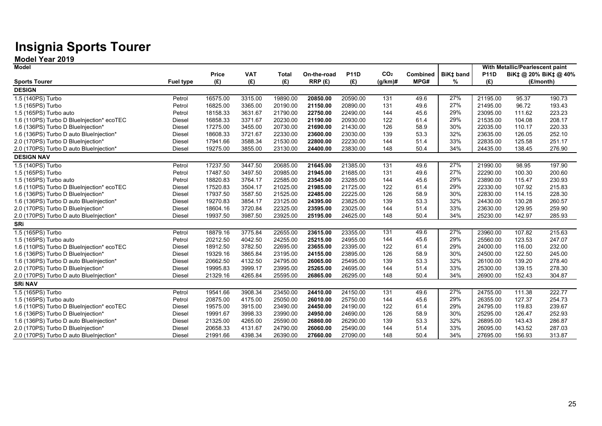## **Insignia Sports Tourer**

**Model Year 2019**

| <b>Model</b>                              |                  |              |            |              |             |             |                 |          |           |             | With Metallic/Pearlescent paint |                       |
|-------------------------------------------|------------------|--------------|------------|--------------|-------------|-------------|-----------------|----------|-----------|-------------|---------------------------------|-----------------------|
|                                           |                  | <b>Price</b> | <b>VAT</b> | <b>Total</b> | On-the-road | <b>P11D</b> | CO <sub>2</sub> | Combined | BiK‡ band | <b>P11D</b> |                                 | BiK‡ @ 20% BiK‡ @ 40% |
| <b>Sports Tourer</b>                      | <b>Fuel type</b> | (E)          | (E)        | (E)          | RRP(E)      | (E)         | (g/km)#         | MPG#     | %         | (E)         |                                 | (£/month)             |
| <b>DESIGN</b>                             |                  |              |            |              |             |             |                 |          |           |             |                                 |                       |
| 1.5 (140PS) Turbo                         | Petrol           | 16575.00     | 3315.00    | 19890.00     | 20850.00    | 20590.00    | 131             | 49.6     | 27%       | 21195.00    | 95.37                           | 190.73                |
| 1.5 (165PS) Turbo                         | Petrol           | 16825.00     | 3365.00    | 20190.00     | 21150.00    | 20890.00    | 131             | 49.6     | 27%       | 21495.00    | 96.72                           | 193.43                |
| 1.5 (165PS) Turbo auto                    | Petrol           | 18158.33     | 3631.67    | 21790.00     | 22750.00    | 22490.00    | 144             | 45.6     | 29%       | 23095.00    | 111.62                          | 223.23                |
| 1.6 (110PS) Turbo D BlueInjection* ecoTEC | Diesel           | 16858.33     | 3371.67    | 20230.00     | 21190.00    | 20930.00    | 122             | 61.4     | 29%       | 21535.00    | 104.08                          | 208.17                |
| 1.6 (136PS) Turbo D BlueInjection*        | Diesel           | 17275.00     | 3455.00    | 20730.00     | 21690.00    | 21430.00    | 126             | 58.9     | 30%       | 22035.00    | 110.17                          | 220.33                |
| 1.6 (136PS) Turbo D auto BlueInjection*   | Diesel           | 18608.33     | 3721.67    | 22330.00     | 23600.00    | 23030.00    | 139             | 53.3     | 32%       | 23635.00    | 126.05                          | 252.10                |
| 2.0 (170PS) Turbo D BlueInjection*        | Diesel           | 17941.66     | 3588.34    | 21530.00     | 22800.00    | 22230.00    | 144             | 51.4     | 33%       | 22835.00    | 125.58                          | 251.17                |
| 2.0 (170PS) Turbo D auto BlueInjection*   | Diesel           | 19275.00     | 3855.00    | 23130.00     | 24400.00    | 23830.00    | 148             | 50.4     | 34%       | 24435.00    | 138.45                          | 276.90                |
| <b>DESIGN NAV</b>                         |                  |              |            |              |             |             |                 |          |           |             |                                 |                       |
| 1.5 (140PS) Turbo                         | Petrol           | 17237.50     | 3447.50    | 20685.00     | 21645.00    | 21385.00    | 131             | 49.6     | 27%       | 21990.00    | 98.95                           | 197.90                |
| 1.5 (165PS) Turbo                         | Petrol           | 17487.50     | 3497.50    | 20985.00     | 21945.00    | 21685.00    | 131             | 49.6     | 27%       | 22290.00    | 100.30                          | 200.60                |
| 1.5 (165PS) Turbo auto                    | Petrol           | 18820.83     | 3764.17    | 22585.00     | 23545.00    | 23285.00    | 144             | 45.6     | 29%       | 23890.00    | 115.47                          | 230.93                |
| 1.6 (110PS) Turbo D BlueInjection* ecoTEC | Diesel           | 17520.83     | 3504.17    | 21025.00     | 21985.00    | 21725.00    | 122             | 61.4     | 29%       | 22330.00    | 107.92                          | 215.83                |
| 1.6 (136PS) Turbo D BlueInjection*        | <b>Diesel</b>    | 17937.50     | 3587.50    | 21525.00     | 22485.00    | 22225.00    | 126             | 58.9     | 30%       | 22830.00    | 114.15                          | 228.30                |
| 1.6 (136PS) Turbo D auto BlueInjection*   | Diesel           | 19270.83     | 3854.17    | 23125.00     | 24395.00    | 23825.00    | 139             | 53.3     | 32%       | 24430.00    | 130.28                          | 260.57                |
| 2.0 (170PS) Turbo D BlueInjection*        | Diesel           | 18604.16     | 3720.84    | 22325.00     | 23595.00    | 23025.00    | 144             | 51.4     | 33%       | 23630.00    | 129.95                          | 259.90                |
| 2.0 (170PS) Turbo D auto BlueInjection*   | Diesel           | 19937.50     | 3987.50    | 23925.00     | 25195.00    | 24625.00    | 148             | 50.4     | 34%       | 25230.00    | 142.97                          | 285.93                |
| <b>SRi</b>                                |                  |              |            |              |             |             |                 |          |           |             |                                 |                       |
| 1.5 (165PS) Turbo                         | Petrol           | 18879.16     | 3775.84    | 22655.00     | 23615.00    | 23355.00    | 131             | 49.6     | 27%       | 23960.00    | 107.82                          | 215.63                |
| 1.5 (165PS) Turbo auto                    | Petrol           | 20212.50     | 4042.50    | 24255.00     | 25215.00    | 24955.00    | 144             | 45.6     | 29%       | 25560.00    | 123.53                          | 247.07                |
| 1.6 (110PS) Turbo D BlueInjection* ecoTEC | Diesel           | 18912.50     | 3782.50    | 22695.00     | 23655.00    | 23395.00    | 122             | 61.4     | 29%       | 24000.00    | 116.00                          | 232.00                |
| 1.6 (136PS) Turbo D BlueInjection*        | Diesel           | 19329.16     | 3865.84    | 23195.00     | 24155.00    | 23895.00    | 126             | 58.9     | 30%       | 24500.00    | 122.50                          | 245.00                |
| 1.6 (136PS) Turbo D auto BlueInjection*   | Diesel           | 20662.50     | 4132.50    | 24795.00     | 26065.00    | 25495.00    | 139             | 53.3     | 32%       | 26100.00    | 139.20                          | 278.40                |
| 2.0 (170PS) Turbo D BlueInjection*        | Diesel           | 19995.83     | 3999.17    | 23995.00     | 25265.00    | 24695.00    | 144             | 51.4     | 33%       | 25300.00    | 139.15                          | 278.30                |
| 2.0 (170PS) Turbo D auto BlueInjection*   | Diesel           | 21329.16     | 4265.84    | 25595.00     | 26865.00    | 26295.00    | 148             | 50.4     | 34%       | 26900.00    | 152.43                          | 304.87                |
| <b>SRI NAV</b>                            |                  |              |            |              |             |             |                 |          |           |             |                                 |                       |
| 1.5 (165PS) Turbo                         | Petrol           | 19541.66     | 3908.34    | 23450.00     | 24410.00    | 24150.00    | 131             | 49.6     | 27%       | 24755.00    | 111.38                          | 222.77                |
| 1.5 (165PS) Turbo auto                    | Petrol           | 20875.00     | 4175.00    | 25050.00     | 26010.00    | 25750.00    | 144             | 45.6     | 29%       | 26355.00    | 127.37                          | 254.73                |
| 1.6 (110PS) Turbo D BlueInjection* ecoTEC | Diesel           | 19575.00     | 3915.00    | 23490.00     | 24450.00    | 24190.00    | 122             | 61.4     | 29%       | 24795.00    | 119.83                          | 239.67                |
| 1.6 (136PS) Turbo D BlueInjection*        | Diesel           | 19991.67     | 3998.33    | 23990.00     | 24950.00    | 24690.00    | 126             | 58.9     | 30%       | 25295.00    | 126.47                          | 252.93                |
| 1.6 (136PS) Turbo D auto BlueInjection*   | Diesel           | 21325.00     | 4265.00    | 25590.00     | 26860.00    | 26290.00    | 139             | 53.3     | 32%       | 26895.00    | 143.43                          | 286.87                |
| 2.0 (170PS) Turbo D BlueInjection*        | Diesel           | 20658.33     | 4131.67    | 24790.00     | 26060.00    | 25490.00    | 144             | 51.4     | 33%       | 26095.00    | 143.52                          | 287.03                |
| 2.0 (170PS) Turbo D auto BlueInjection*   | Diesel           | 21991.66     | 4398.34    | 26390.00     | 27660.00    | 27090.00    | 148             | 50.4     | 34%       | 27695.00    | 156.93                          | 313.87                |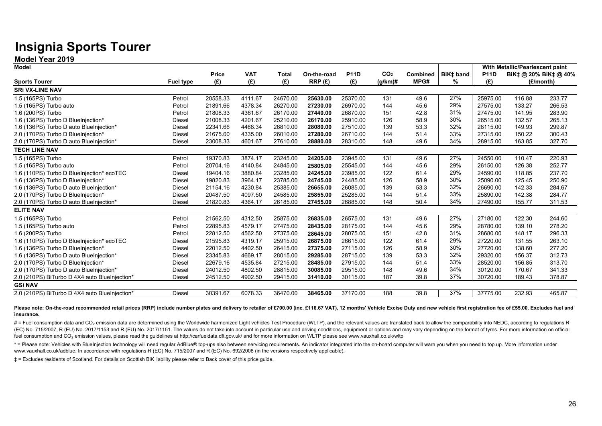## **Insignia Sports Tourer**

**Model Year 2019**

| <b>Model</b>                                  |                  |              |            |              |             |             |                 |                 |           |             | With Metallic/Pearlescent paint |                       |
|-----------------------------------------------|------------------|--------------|------------|--------------|-------------|-------------|-----------------|-----------------|-----------|-------------|---------------------------------|-----------------------|
|                                               |                  | <b>Price</b> | <b>VAT</b> | <b>Total</b> | On-the-road | <b>P11D</b> | CO <sub>2</sub> | <b>Combined</b> | BiK‡ band | <b>P11D</b> |                                 | BiK‡ @ 20% BiK‡ @ 40% |
| <b>Sports Tourer</b>                          | <b>Fuel type</b> | (E)          | (E)        | (E)          | RRP(E)      | (E)         | $(g/km)$ #      | MPG#            | ℅         | (E)         |                                 | (£/month)             |
| <b>SRI VX-LINE NAV</b>                        |                  |              |            |              |             |             |                 |                 |           |             |                                 |                       |
| 1.5 (165PS) Turbo                             | Petrol           | 20558.33     | 4111.67    | 24670.00     | 25630.00    | 25370.00    | 131             | 49.6            | 27%       | 25975.00    | 116.88                          | 233.77                |
| 1.5 (165PS) Turbo auto                        | Petrol           | 21891.66     | 4378.34    | 26270.00     | 27230.00    | 26970.00    | 144             | 45.6            | 29%       | 27575.00    | 133.27                          | 266.53                |
| 1.6 (200PS) Turbo                             | Petrol           | 21808.33     | 4361.67    | 26170.00     | 27440.00    | 26870.00    | 151             | 42.8            | 31%       | 27475.00    | 141.95                          | 283.90                |
| 1.6 (136PS) Turbo D BlueInjection*            | Diesel           | 21008.33     | 4201.67    | 25210.00     | 26170.00    | 25910.00    | 126             | 58.9            | 30%       | 26515.00    | 132.57                          | 265.13                |
| 1.6 (136PS) Turbo D auto BlueInjection*       | Diesel           | 22341.66     | 4468.34    | 26810.00     | 28080.00    | 27510.00    | 139             | 53.3            | 32%       | 28115.00    | 149.93                          | 299.87                |
| 2.0 (170PS) Turbo D BlueInjection*            | Diesel           | 21675.00     | 4335.00    | 26010.00     | 27280.00    | 26710.00    | 144             | 51.4            | 33%       | 27315.00    | 150.22                          | 300.43                |
| 2.0 (170PS) Turbo D auto BlueInjection*       | Diesel           | 23008.33     | 4601.67    | 27610.00     | 28880.00    | 28310.00    | 148             | 49.6            | 34%       | 28915.00    | 163.85                          | 327.70                |
| <b>TECH LINE NAV</b>                          |                  |              |            |              |             |             |                 |                 |           |             |                                 |                       |
| 1.5 (165PS) Turbo                             | Petrol           | 19370.83     | 3874.17    | 23245.00     | 24205.00    | 23945.00    | 131             | 49.6            | 27%       | 24550.00    | 110.47                          | 220.93                |
| 1.5 (165PS) Turbo auto                        | Petrol           | 20704.16     | 4140.84    | 24845.00     | 25805.00    | 25545.00    | 144             | 45.6            | 29%       | 26150.00    | 126.38                          | 252.77                |
| 1.6 (110PS) Turbo D BlueInjection* ecoTEC     | <b>Diesel</b>    | 19404.16     | 3880.84    | 23285.00     | 24245.00    | 23985.00    | 122             | 61.4            | 29%       | 24590.00    | 118.85                          | 237.70                |
| 1.6 (136PS) Turbo D BlueInjection*            | <b>Diesel</b>    | 19820.83     | 3964.17    | 23785.00     | 24745.00    | 24485.00    | 126             | 58.9            | 30%       | 25090.00    | 125.45                          | 250.90                |
| 1.6 (136PS) Turbo D auto BlueInjection*       | <b>Diesel</b>    | 21154.16     | 4230.84    | 25385.00     | 26655.00    | 26085.00    | 139             | 53.3            | 32%       | 26690.00    | 142.33                          | 284.67                |
| 2.0 (170PS) Turbo D BlueInjection*            | <b>Diesel</b>    | 20487.50     | 4097.50    | 24585.00     | 25855.00    | 25285.00    | 144             | 51.4            | 33%       | 25890.00    | 142.38                          | 284.77                |
| 2.0 (170PS) Turbo D auto BlueInjection*       | <b>Diesel</b>    | 21820.83     | 4364.17    | 26185.00     | 27455.00    | 26885.00    | 148             | 50.4            | 34%       | 27490.00    | 155.77                          | 311.53                |
| <b>ELITE NAV</b>                              |                  |              |            |              |             |             |                 |                 |           |             |                                 |                       |
| 1.5 (165PS) Turbo                             | Petrol           | 21562.50     | 4312.50    | 25875.00     | 26835.00    | 26575.00    | 131             | 49.6            | 27%       | 27180.00    | 122.30                          | 244.60                |
| 1.5 (165PS) Turbo auto                        | Petrol           | 22895.83     | 4579.17    | 27475.00     | 28435.00    | 28175.00    | 144             | 45.6            | 29%       | 28780.00    | 139.10                          | 278.20                |
| 1.6 (200PS) Turbo                             | Petrol           | 22812.50     | 4562.50    | 27375.00     | 28645.00    | 28075.00    | 151             | 42.8            | 31%       | 28680.00    | 148.17                          | 296.33                |
| 1.6 (110PS) Turbo D BlueInjection* ecoTEC     | Diesel           | 21595.83     | 4319.17    | 25915.00     | 26875.00    | 26615.00    | 122             | 61.4            | 29%       | 27220.00    | 131.55                          | 263.10                |
| 1.6 (136PS) Turbo D BlueInjection*            | Diesel           | 22012.50     | 4402.50    | 26415.00     | 27375.00    | 27115.00    | 126             | 58.9            | 30%       | 27720.00    | 138.60                          | 277.20                |
| 1.6 (136PS) Turbo D auto BlueInjection*       | Diesel           | 23345.83     | 4669.17    | 28015.00     | 29285.00    | 28715.00    | 139             | 53.3            | 32%       | 29320.00    | 156.37                          | 312.73                |
| 2.0 (170PS) Turbo D BlueInjection*            | <b>Diesel</b>    | 22679.16     | 4535.84    | 27215.00     | 28485.00    | 27915.00    | 144             | 51.4            | 33%       | 28520.00    | 156.85                          | 313.70                |
| 2.0 (170PS) Turbo D auto BlueInjection*       | Diesel           | 24012.50     | 4802.50    | 28815.00     | 30085.00    | 29515.00    | 148             | 49.6            | 34%       | 30120.00    | 170.67                          | 341.33                |
| 2.0 (210PS) BiTurbo D 4X4 auto BlueInjection* | Diesel           | 24512.50     | 4902.50    | 29415.00     | 31410.00    | 30115.00    | 187             | 39.8            | 37%       | 30720.00    | 189.43                          | 378.87                |
| <b>GSi NAV</b>                                |                  |              |            |              |             |             |                 |                 |           |             |                                 |                       |
| 2.0 (210PS) BiTurbo D 4X4 auto BlueInjection* | Diesel           | 30391.67     | 6078.33    | 36470.00     | 38465.00    | 37170.00    | 188             | 39.8            | 37%       | 37775.00    | 232.93                          | 465.87                |

Please note: On-the-road recommended retail prices (RRP) include number plates and delivery to retailer of £700.00 (inc. £116.67 VAT), 12 months' Vehicle Excise Duty and new vehicle first registration fee of £55.00. Exclud **insurance.** 

# = Fuel consumption data and CO<sub>2</sub> emission data are determined using the Worldwide harmonized Light vehicles Test Procedure (WLTP), and the relevant values are translated back to allow the comparability into NEDC, accord (EC) No. 715/2007, R (EU) No. 2017/1153 and R (EU) No. 2017/1151. The values do not take into account in particular use and driving conditions, equipment or options and may vary depending on the format of tyres. For more i fuel consumption and CO<sub>2</sub> emission values, please read the quidelines at http://carfueldata.dft.gov.uk/ and for more information on WLTP please see www.vauxhall.co.uk/wltp

\* = Please note: Vehicles with BlueInjection technology will need regular AdBlue® top-ups also between servicing requirements. An indicator integrated into the on-board computer will warn you when you need to top up. More www.vauxhall.co.uk/adblue. In accordance with regulations R (EC) No. 715/2007 and R (EC) No. 692/2008 (in the versions respectively applicable).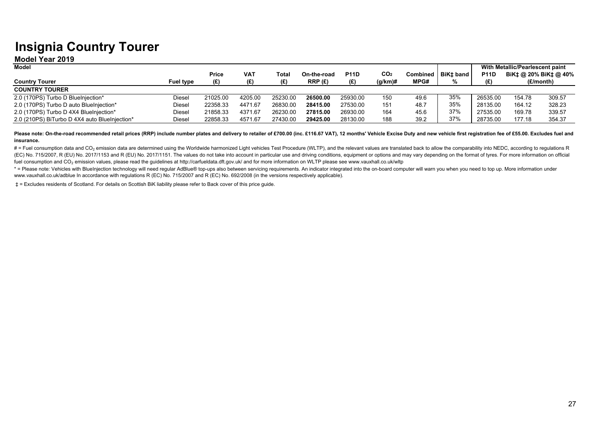## **Insignia Country Tourer**

#### **Model Year 2019**

| <b>Model</b>                                  |                  |          |            |          |             |             |                 |          |             |             | With Metallic/Pearlescent paint |           |
|-----------------------------------------------|------------------|----------|------------|----------|-------------|-------------|-----------------|----------|-------------|-------------|---------------------------------|-----------|
|                                               |                  | Price    | <b>VAT</b> | Total    | On-the-road | <b>P11D</b> | CO <sub>2</sub> | Combined | l BiK± band | <b>P11D</b> | BiK‡ @ 20% BiK‡ @ 40%           |           |
| <b>Country Tourer</b>                         | <b>Fuel type</b> |          |            |          | RRP(E)      |             | $(g/km)$ #      | MPG#     |             |             |                                 | (£/month) |
| <b>COUNTRY TOURER</b>                         |                  |          |            |          |             |             |                 |          |             |             |                                 |           |
| 2.0 (170PS) Turbo D BlueInjection*            | Diesel           | 21025.00 | 4205.00    | 25230.00 | 26500.00    | 25930.00    | 150             | 49.6     | 35%         | 26535.00    | 154.78                          | 309.57    |
| 2.0 (170PS) Turbo D auto BlueInjection*       | Diesel           | 22358.33 | 4471.67    | 26830.00 | 28415.00    | 27530.00    | 151             | 48.7     | 35%         | 28135.00    | 164.12                          | 328.23    |
| 2.0 (170PS) Turbo D 4X4 BlueInjection*        | Diesel           | 21858.33 | 4371.67    | 26230.00 | 27815.00    | 26930.00    | 164             | 45.6     | 37%         | 27535.00    | 169.78                          | 339.57    |
| 2.0 (210PS) BiTurbo D 4X4 auto BlueInjection* | Diesel           | 22858.33 | 4571.67    | 27430.00 | 29425.00    | 28130.00    | 188             | 39.2     | 37%         | 28735.00    | 177.18                          | 354.37    |

Please note: On-the-road recommended retail prices (RRP) include number plates and delivery to retailer of £700.00 (inc. £116.67 VAT), 12 months' Vehicle Excise Duty and new vehicle first registration fee of £55.00. Exclud **insurance.** 

# = Fuel consumption data and CO<sub>2</sub> emission data are determined using the Worldwide harmonized Light vehicles Test Procedure (WLTP), and the relevant values are translated back to allow the comparability into NEDC, accord (EC) No. 715/2007, R (EU) No. 2017/1153 and R (EU) No. 2017/1151. The values do not take into account in particular use and driving conditions, equipment or options and may vary depending on the format of tyres. For more i fuel consumption and CO<sub>2</sub> emission values, please read the quidelines at http://carfueldata.dft.gov.uk/ and for more information on WLTP please see www.vauxhall.co.uk/wltp

\* = Please note: Vehicles with BlueInjection technology will need regular AdBlue® top-ups also between servicing requirements. An indicator integrated into the on-board computer will warn you when you need to top up. More www.vauxhall.co.uk/adblue In accordance with regulations R (EC) No. 715/2007 and R (EC) No. 692/2008 (in the versions respectively applicable).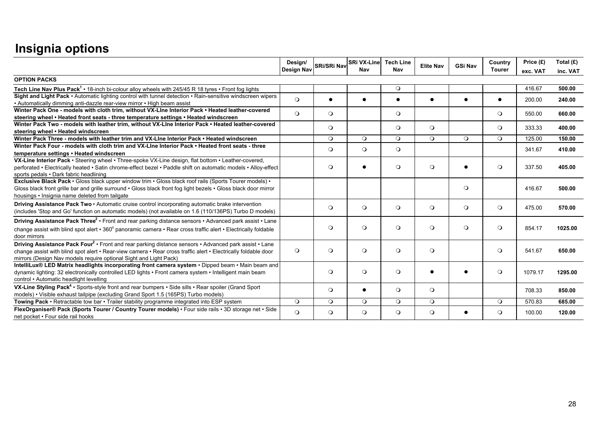|                                                                                                                                                                                                                                                                                                          | Design/<br>Design Nav | <b>SRi/SRi Nav</b> | <b>SRi VX-Line</b> Tech Line<br>Nav | Nav       | <b>Elite Nav</b> | <b>GSi Nav</b> | Country<br><b>Tourer</b> | Price (£)<br>exc. VAT | Total $(E)$<br>inc. VAT |
|----------------------------------------------------------------------------------------------------------------------------------------------------------------------------------------------------------------------------------------------------------------------------------------------------------|-----------------------|--------------------|-------------------------------------|-----------|------------------|----------------|--------------------------|-----------------------|-------------------------|
| <b>OPTION PACKS</b>                                                                                                                                                                                                                                                                                      |                       |                    |                                     |           |                  |                |                          |                       |                         |
| Tech Line Nav Plus Pack <sup>1</sup> • 18-inch bi-colour alloy wheels with 245/45 R 18 tyres • Front fog lights                                                                                                                                                                                          |                       |                    |                                     | $\circ$   |                  |                |                          | 416.67                | 500.00                  |
| Sight and Light Pack • Automatic lighting control with tunnel detection • Rain-sensitive windscreen wipers<br>• Automatically dimming anti-dazzle rear-view mirror • High beam assist                                                                                                                    | $\Omega$              |                    |                                     | $\bullet$ |                  |                | $\bullet$                | 200.00                | 240.00                  |
| Winter Pack One - models with cloth trim, without VX-Line Interior Pack • Heated leather-covered<br>steering wheel • Heated front seats - three temperature settings • Heated windscreen                                                                                                                 | $\circ$               | $\circ$            |                                     | $\circ$   |                  |                | $\circ$                  | 550.00                | 660.00                  |
| Winter Pack Two - models with leather trim, without VX-Line Interior Pack • Heated leather-covered<br>steering wheel • Heated windscreen                                                                                                                                                                 |                       | $\Omega$           |                                     | $\circ$   | $\circ$          |                | $\Omega$                 | 333.33                | 400.00                  |
| Winter Pack Three - models with leather trim and VX-Line Interior Pack • Heated windscreen                                                                                                                                                                                                               |                       | $\circ$            | $\circ$                             | $\circ$   | $\Omega$         | $\circ$        | $\circ$                  | 125.00                | 150.00                  |
| Winter Pack Four - models with cloth trim and VX-Line Interior Pack • Heated front seats - three<br>temperature settings . Heated windscreen                                                                                                                                                             |                       | $\circ$            | $\circ$                             | $\circ$   |                  |                |                          | 341.67                | 410.00                  |
| VX-Line Interior Pack · Steering wheel · Three-spoke VX-Line design, flat bottom · Leather-covered,<br>perforated • Electrically heated • Satin chrome-effect bezel • Paddle shift on automatic models • Alloy-effect<br>sports pedals • Dark fabric headlining                                          |                       | $\circ$            | $\bullet$                           | $\circ$   | $\circ$          | $\bullet$      | $\circ$                  | 337.50                | 405.00                  |
| Exclusive Black Pack • Gloss black upper window trim • Gloss black roof rails (Sports Tourer models) •<br>Gloss black front grille bar and grille surround · Gloss black front fog light bezels · Gloss black door mirror<br>housings • Insignia name deleted from tailgate                              |                       |                    |                                     |           |                  | $\circ$        |                          | 416.67                | 500.00                  |
| Driving Assistance Pack Two • Automatic cruise control incorporating automatic brake intervention<br>(includes 'Stop and Go' function on automatic models) (not available on 1.6 (110/136PS) Turbo D models)                                                                                             |                       | $\circ$            | $\circ$                             | $\circ$   | $\circ$          | $\circ$        | $\circ$                  | 475.00                | 570.00                  |
| Driving Assistance Pack Three <sup>2</sup> • Front and rear parking distance sensors • Advanced park assist • Lane<br>change assist with blind spot alert • 360° panoramic camera • Rear cross traffic alert • Electrically foldable<br>door mirrors                                                     |                       | $\circ$            | $\circ$                             | $\circ$   | $\circ$          | $\circ$        | $\circ$                  | 854.17                | 1025.00                 |
| Driving Assistance Pack Four <sup>2</sup> • Front and rear parking distance sensors • Advanced park assist • Lane<br>change assist with blind spot alert • Rear-view camera • Rear cross traffic alert • Electrically foldable door<br>mirrors (Design Nav models require optional Sight and Light Pack) | $\circ$               | $\circ$            | $\circ$                             | $\circ$   | $\circ$          |                | $\circ$                  | 541.67                | 650.00                  |
| IntelliLux® LED Matrix headlights incorporating front camera system . Dipped beam . Main beam and<br>dynamic lighting: 32 electronically controlled LED lights • Front camera system • Intelligent main beam<br>control • Automatic headlight levelling                                                  |                       | $\circ$            | $\circ$                             | $\circ$   |                  |                | $\circ$                  | 1079.17               | 1295.00                 |
| VX-Line Styling Pack <sup>4</sup> • Sports-style front and rear bumpers • Side sills • Rear spoiler (Grand Sport<br>models) • Visible exhaust tailpipe (excluding Grand Sport 1.5 (165PS) Turbo models)                                                                                                  |                       | $\circ$            | $\bullet$                           | $\circ$   | $\circ$          |                |                          | 708.33                | 850.00                  |
| Towing Pack • Retractable tow bar • Trailer stability programme integrated into ESP system                                                                                                                                                                                                               | $\circ$               | $\circ$            | $\circ$                             | $\circ$   | $\circ$          |                | $\circ$                  | 570.83                | 685.00                  |
| FlexOrganiser® Pack (Sports Tourer / Country Tourer models) • Four side rails • 3D storage net • Side<br>net pocket • Four side rail hooks                                                                                                                                                               | $\circ$               | $\circ$            | $\circ$                             | $\circ$   | $\circ$          | $\bullet$      | $\circ$                  | 100.00                | 120.00                  |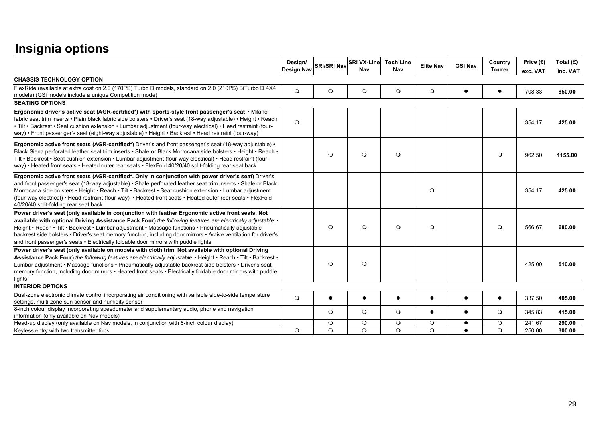|                                                                                                                                                                                                                                                                                                                                                                                                                                                                                                                                   | Design/<br>Design Nav | SRi/SRi Nav        | <b>SRi VX-Line</b><br>Nav | <b>Tech Line</b><br>Nav | <b>Elite Nav</b>   | <b>GSi Nav</b> | Country<br><b>Tourer</b> | Price (£)<br>exc. VAT | Total $(E)$<br>inc. VAT |
|-----------------------------------------------------------------------------------------------------------------------------------------------------------------------------------------------------------------------------------------------------------------------------------------------------------------------------------------------------------------------------------------------------------------------------------------------------------------------------------------------------------------------------------|-----------------------|--------------------|---------------------------|-------------------------|--------------------|----------------|--------------------------|-----------------------|-------------------------|
| <b>CHASSIS TECHNOLOGY OPTION</b>                                                                                                                                                                                                                                                                                                                                                                                                                                                                                                  |                       |                    |                           |                         |                    |                |                          |                       |                         |
| FlexRide (available at extra cost on 2.0 (170PS) Turbo D models, standard on 2.0 (210PS) BiTurbo D 4X4<br>models) (GSi models include a unique Competition mode)                                                                                                                                                                                                                                                                                                                                                                  | $\Omega$              | $\circ$            | $\circ$                   | $\circ$                 | $\circ$            |                |                          | 708.33                | 850.00                  |
| <b>SEATING OPTIONS</b>                                                                                                                                                                                                                                                                                                                                                                                                                                                                                                            |                       |                    |                           |                         |                    |                |                          |                       |                         |
| Ergonomic driver's active seat (AGR-certified*) with sports-style front passenger's seat · Milano<br>fabric seat trim inserts • Plain black fabric side bolsters • Driver's seat (18-way adjustable) • Height • Reach<br>. Tilt · Backrest · Seat cushion extension · Lumbar adjustment (four-way electrical) · Head restraint (four-<br>way) • Front passenger's seat (eight-way adjustable) • Height • Backrest • Head restraint (four-way)                                                                                     | $\circ$               |                    |                           |                         |                    |                |                          | 354.17                | 425.00                  |
| Ergonomic active front seats (AGR-certified*) Driver's and front passenger's seat (18-way adjustable) •<br>Black Siena perforated leather seat trim inserts • Shale or Black Morrocana side bolsters • Height • Reach •<br>Tilt • Backrest • Seat cushion extension • Lumbar adjustment (four-way electrical) • Head restraint (four-<br>way) • Heated front seats • Heated outer rear seats • FlexFold 40/20/40 split-folding rear seat back                                                                                     |                       | $\circ$            | $\circ$                   | $\circ$                 |                    |                | $\circ$                  | 962.50                | 1155.00                 |
| Ergonomic active front seats (AGR-certified*. Only in conjunction with power driver's seat) Driver's<br>and front passenger's seat (18-way adjustable) • Shale perforated leather seat trim inserts • Shale or Black<br>Morrocana side bolsters • Height • Reach • Tilt • Backrest • Seat cushion extension • Lumbar adjustment<br>(four-way electrical) • Head restraint (four-way) • Heated front seats • Heated outer rear seats • FlexFold<br>40/20/40 split-folding rear seat back                                           |                       |                    |                           |                         | $\circ$            |                |                          | 354.17                | 425.00                  |
| Power driver's seat (only available in conjunction with leather Ergonomic active front seats. Not<br>available with optional Driving Assistance Pack Four) the following features are electrically adjustable .<br>Height • Reach • Tilt • Backrest • Lumbar adjustment • Massage functions • Pneumatically adjustable<br>backrest side bolsters • Driver's seat memory function, including door mirrors • Active ventilation for driver's<br>and front passenger's seats • Electrically foldable door mirrors with puddle lights |                       | $\circ$            | $\circ$                   | $\circ$                 | $\circ$            |                | $\circ$                  | 566.67                | 680.00                  |
| Power driver's seat (only available on models with cloth trim. Not available with optional Driving<br>Assistance Pack Four) the following features are electrically adjustable • Height • Reach • Tilt • Backrest •<br>Lumbar adjustment • Massage functions • Pneumatically adjustable backrest side bolsters • Driver's seat<br>memory function, including door mirrors • Heated front seats • Electrically foldable door mirrors with puddle<br>lights                                                                         |                       | $\circ$            | $\circ$                   |                         |                    |                |                          | 425.00                | 510.00                  |
| <b>INTERIOR OPTIONS</b>                                                                                                                                                                                                                                                                                                                                                                                                                                                                                                           |                       |                    |                           |                         |                    |                |                          |                       |                         |
| Dual-zone electronic climate control incorporating air conditioning with variable side-to-side temperature<br>settings, multi-zone sun sensor and humidity sensor                                                                                                                                                                                                                                                                                                                                                                 | $\circ$               |                    | $\bullet$                 | $\bullet$               | $\bullet$          | $\bullet$      | $\bullet$                | 337.50                | 405.00                  |
| 8-inch colour display incorporating speedometer and supplementary audio, phone and navigation<br>information (only available on Nav models)                                                                                                                                                                                                                                                                                                                                                                                       |                       | $\circ$            | $\circ$                   | $\circ$                 | $\bullet$          |                | $\circ$                  | 345.83                | 415.00                  |
| Head-up display (only available on Nav models, in conjunction with 8-inch colour display)<br>Keyless entry with two transmitter fobs                                                                                                                                                                                                                                                                                                                                                                                              | $\circ$               | $\circ$<br>$\circ$ | $\circ$<br>$\circ$        | $\circ$<br>$\circ$      | $\circ$<br>$\circ$ | $\bullet$      | $\circ$<br>$\circ$       | 241.67<br>250.00      | 290.00<br>300.00        |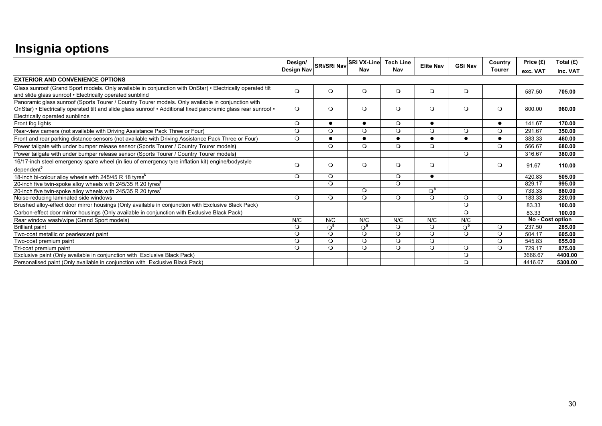|                                                                                                                                                                                                                                                         | Design/<br>Design Nav | <b>SRi/SRi Nav</b> | <b>SRi VX-Line</b><br>Nav | <b>Tech Line</b><br>Nav | <b>Elite Nav</b> | <b>GSi Nav</b> | Country<br><b>Tourer</b> | Price (£)<br>exc. VAT | Total $(E)$<br>inc. VAT |
|---------------------------------------------------------------------------------------------------------------------------------------------------------------------------------------------------------------------------------------------------------|-----------------------|--------------------|---------------------------|-------------------------|------------------|----------------|--------------------------|-----------------------|-------------------------|
| <b>EXTERIOR AND CONVENIENCE OPTIONS</b>                                                                                                                                                                                                                 |                       |                    |                           |                         |                  |                |                          |                       |                         |
| Glass sunroof (Grand Sport models. Only available in conjunction with OnStar) • Electrically operated tilt<br>and slide glass sunroof . Electrically operated sunblind                                                                                  | $\circ$               | $\circ$            | $\circ$                   | $\circ$                 | $\circ$          | $\circ$        |                          | 587.50                | 705.00                  |
| Panoramic glass sunroof (Sports Tourer / Country Tourer models. Only available in conjunction with<br>OnStar) • Electrically operated tilt and slide glass sunroof • Additional fixed panoramic glass rear sunroof •<br>Electrically operated sunblinds | $\circ$               | $\circ$            | $\circ$                   | $\circ$                 | $\circ$          | $\Omega$       | $\circ$                  | 800.00                | 960.00                  |
| Front fog lights                                                                                                                                                                                                                                        | $\circ$               | $\bullet$          | $\bullet$                 | $\circ$                 | $\bullet$        |                | $\bullet$                | 141.67                | 170.00                  |
| Rear-view camera (not available with Driving Assistance Pack Three or Four)                                                                                                                                                                             | $\Omega$              | $\Omega$           | $\Omega$                  | $\circ$                 | $\circ$          | $\circ$        | $\circ$                  | 291.67                | 350.00                  |
| Front and rear parking distance sensors (not available with Driving Assistance Pack Three or Four)                                                                                                                                                      | $\circ$               | $\bullet$          | $\epsilon$                | $\bullet$               | $\bullet$        |                | $\bullet$                | 383.33                | 460.00                  |
| Power tailgate with under bumper release sensor (Sports Tourer / Country Tourer models)                                                                                                                                                                 |                       | $\circ$            | $\circ$                   | $\circ$                 | $\circ$          |                | $\circ$                  | 566.67                | 680.00                  |
| Power tailgate with under bumper release sensor (Sports Tourer / Country Tourer models)                                                                                                                                                                 |                       |                    |                           |                         |                  | $\Omega$       |                          | 316.67                | 380.00                  |
| 16/17-inch steel emergency spare wheel (in lieu of emergency tyre inflation kit) engine/bodystyle<br>dependent <sup>5</sup>                                                                                                                             | $\Omega$              | $\circ$            | $\circ$                   | $\Omega$                | $\circ$          |                | $\circ$                  | 91.67                 | 110.00                  |
| 18-inch bi-colour alloy wheels with 245/45 R 18 tyres <sup>6</sup>                                                                                                                                                                                      | $\Omega$              | $\circ$            |                           | $\Omega$                | $\bullet$        |                |                          | 420.83                | 505.00                  |
| 20-inch five twin-spoke alloy wheels with 245/35 R 20 tyres                                                                                                                                                                                             |                       | $\circ$            |                           | $\circ$                 |                  |                |                          | 829.17                | 995.00                  |
| 20-inch five twin-spoke alloy wheels with 245/35 R 20 tyres <sup>7</sup>                                                                                                                                                                                |                       |                    | $\Omega$                  |                         | $\Omega^8$       |                |                          | 733.33                | 880.00                  |
| Noise-reducing laminated side windows                                                                                                                                                                                                                   | $\Omega$              | $\circ$            | $\Omega$                  | $\circ$                 | $\Omega$         | $\circ$        | $\circ$                  | 183.33                | 220.00                  |
| Brushed alloy-effect door mirror housings (Only available in conjunction with Exclusive Black Pack)                                                                                                                                                     |                       |                    |                           |                         |                  | $\circ$        |                          | 83.33                 | 100.00                  |
| Carbon-effect door mirror housings (Only available in conjunction with Exclusive Black Pack)                                                                                                                                                            |                       |                    |                           |                         |                  | $\circ$        |                          | 83.33                 | 100.00                  |
| Rear window wash/wipe (Grand Sport models)                                                                                                                                                                                                              | N/C                   | N/C                | N/C                       | N/C                     | N/C              | N/C            |                          | No - Cost option      |                         |
| <b>Brilliant paint</b>                                                                                                                                                                                                                                  | $\Omega$              | ి                  | $\Omega^s$                | $\circ$                 | $\circ$          | $\Omega^9$     | $\circ$                  | 237.50                | 285.00                  |
| Two-coat metallic or pearlescent paint                                                                                                                                                                                                                  | $\circ$               | $\circ$            | $\circ$                   | $\circ$                 | $\circ$          | $\circ$        | $\circ$                  | 504.17                | 605.00                  |
| Two-coat premium paint                                                                                                                                                                                                                                  | $\Omega$              | $\circ$            | $\Omega$                  | $\circ$                 | $\circ$          |                | $\circ$                  | 545.83                | 655.00                  |
| Tri-coat premium paint                                                                                                                                                                                                                                  | $\circ$               | $\circ$            | $\circ$                   | $\circ$                 | $\circ$          | $\circ$        | $\circ$                  | 729.17                | 875.00                  |
| Exclusive paint (Only available in conjunction with Exclusive Black Pack)                                                                                                                                                                               |                       |                    |                           |                         |                  | $\circ$        |                          | 3666.67               | 4400.00                 |
| Personalised paint (Only available in conjunction with Exclusive Black Pack)                                                                                                                                                                            |                       |                    |                           |                         |                  | $\Omega$       |                          | 4416.67               | 5300.00                 |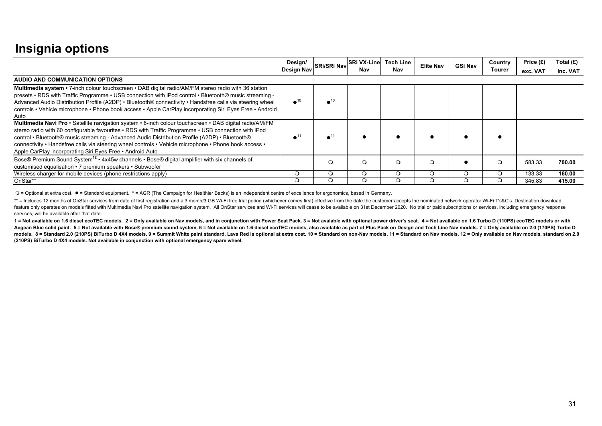|                                                                                                                                                                                                                                                                                                                                                                                                                                                                                         | Design/<br>Design Nav | SRi/SRi Nav             | <b>SRi VX-Line</b><br>Nav | <b>Tech Line</b><br>Nav | <b>Elite Nav</b> | GSi Nav | Country<br>Tourer | Price $(E)$<br>exc. VAT | Total $(E)$<br>inc. VAT |
|-----------------------------------------------------------------------------------------------------------------------------------------------------------------------------------------------------------------------------------------------------------------------------------------------------------------------------------------------------------------------------------------------------------------------------------------------------------------------------------------|-----------------------|-------------------------|---------------------------|-------------------------|------------------|---------|-------------------|-------------------------|-------------------------|
| AUDIO AND COMMUNICATION OPTIONS                                                                                                                                                                                                                                                                                                                                                                                                                                                         |                       |                         |                           |                         |                  |         |                   |                         |                         |
| Multimedia system • 7-inch colour touchscreen • DAB digital radio/AM/FM stereo radio with 36 station<br>presets • RDS with Traffic Programme • USB connection with iPod control • Bluetooth® music streaming -<br>Advanced Audio Distribution Profile (A2DP) • Bluetooth® connectivity • Handsfree calls via steering wheel<br>controls • Vehicle microphone • Phone book access • Apple CarPlay incorporating Siri Eyes Free • Android<br>Auto                                         | $\bullet^{10}$        | $\bullet$ <sup>10</sup> |                           |                         |                  |         |                   |                         |                         |
| Multimedia Navi Pro · Satellite navigation system · 8-inch colour touchscreen · DAB digital radio/AM/FM<br>stereo radio with 60 configurable favourites • RDS with Traffic Programme • USB connection with iPod<br>control • Bluetooth® music streaming - Advanced Audio Distribution Profile (A2DP) • Bluetooth®<br>connectivity • Handsfree calls via steering wheel controls • Vehicle microphone • Phone book access •<br>Apple CarPlay incorporating Siri Eyes Free • Android Auto |                       | $\bullet^1$             |                           |                         |                  |         |                   |                         |                         |
| Bose® Premium Sound System <sup>12</sup> • 4x45w channels • Bose® digital amplifier with six channels of<br>customised equalisation • 7 premium speakers • Subwoofer                                                                                                                                                                                                                                                                                                                    |                       | $\circ$                 | O                         | $\circ$                 |                  |         |                   | 583.33                  | 700.00                  |
| Wireless charger for mobile devices (phone restrictions apply)                                                                                                                                                                                                                                                                                                                                                                                                                          | $\circ$               | $\circ$                 | O                         | $\circ$                 |                  | Ω       | $\Omega$          | 133.33                  | 160.00                  |
| OnStar**                                                                                                                                                                                                                                                                                                                                                                                                                                                                                | ◡                     | $\Omega$                | Q                         | O                       |                  |         |                   | 345.83                  | 415.00                  |

 $\bigcirc$  = Optional at extra cost. ● = Standard equipment. \* = AGR (The Campaign for Healthier Backs) is an independent centre of excellence for ergonomics, based in Germany.

\*\* = Includes 12 months of OnStar services from date of first registration and a 3 month/3 GB Wi-Fi free trial period (whichever comes first) effective from the date the customer accepts the nominated network operator Wi-F feature only operates on models fitted with Multimedia Navi Pro satellite navigation system. All OnStar services and Wi-Fi services will cease to be available on 31st December 2020. No trial or paid subscriptions or servic services, will be available after that date.

1 = Not available on 1.6 diesel ecoTEC models. 2 = Only available on Nav models, and in conjunction with Power Seat Pack. 3 = Not avaiable with optional power driver's seat. 4 = Not available on 1.6 Turbo D (110PS) ecoTEC Aegean Blue solid paint. 5 = Not available with Bose® premium sound system. 6 = Not available on 1.6 diesel ecoTEC models, also available as part of Plus Pack on Design and Tech Line Nav models. 7 = Only available on 2.0 ( models. 8 = Standard 2.0 (210PS) BiTurbo D 4X4 models. 9 = Summit White paint standard, Lava Red is optional at extra cost. 10 = Standard on non-Nav models. 11 = Standard on Nav models. 12 = Only available on Nav models, s **(210PS) BiTurbo D 4X4 models. Not available in conjunction with optional emergency spare wheel.**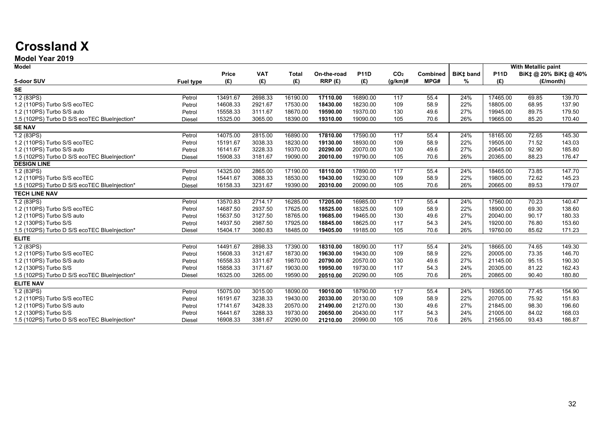## **Crossland X**

#### **Model Year 2019**

| <b>Model</b>                                  |                  |          |            |              |             |             |                 |          |           |             | With Metallic paint |                       |
|-----------------------------------------------|------------------|----------|------------|--------------|-------------|-------------|-----------------|----------|-----------|-------------|---------------------|-----------------------|
|                                               |                  | Price    | <b>VAT</b> | <b>Total</b> | On-the-road | <b>P11D</b> | CO <sub>2</sub> | Combined | BiK‡ band | <b>P11D</b> |                     | BiK‡ @ 20% BiK‡ @ 40% |
| 5-door SUV                                    | <b>Fuel type</b> | (E)      | (E)        | (E)          | RRP(E)      | (E)         | $(g/km)$ #      | MPG#     | %         | (E)         |                     | (£/month)             |
| SE                                            |                  |          |            |              |             |             |                 |          |           |             |                     |                       |
| 1.2(83PS)                                     | Petrol           | 13491.67 | 2698.33    | 16190.00     | 17110.00    | 16890.00    | 117             | 55.4     | 24%       | 17465.00    | 69.85               | 139.70                |
| 1.2 (110PS) Turbo S/S ecoTEC                  | Petrol           | 14608.33 | 2921.67    | 17530.00     | 18430.00    | 18230.00    | 109             | 58.9     | 22%       | 18805.00    | 68.95               | 137.90                |
| 1.2 (110PS) Turbo S/S auto                    | Petrol           | 15558.33 | 3111.67    | 18670.00     | 19590.00    | 19370.00    | 130             | 49.6     | 27%       | 19945.00    | 89.75               | 179.50                |
| 1.5 (102PS) Turbo D S/S ecoTEC BlueInjection* | Diesel           | 15325.00 | 3065.00    | 18390.00     | 19310.00    | 19090.00    | 105             | 70.6     | 26%       | 19665.00    | 85.20               | 170.40                |
| <b>SE NAV</b>                                 |                  |          |            |              |             |             |                 |          |           |             |                     |                       |
| 1.2 (83PS)                                    | Petrol           | 14075.00 | 2815.00    | 16890.00     | 17810.00    | 17590.00    | 117             | 55.4     | 24%       | 18165.00    | 72.65               | 145.30                |
| 1.2 (110PS) Turbo S/S ecoTEC                  | Petrol           | 15191.67 | 3038.33    | 18230.00     | 19130.00    | 18930.00    | 109             | 58.9     | 22%       | 19505.00    | 71.52               | 143.03                |
| 1.2 (110PS) Turbo S/S auto                    | Petrol           | 16141.67 | 3228.33    | 19370.00     | 20290.00    | 20070.00    | 130             | 49.6     | 27%       | 20645.00    | 92.90               | 185.80                |
| 1.5 (102PS) Turbo D S/S ecoTEC BlueInjection* | Diesel           | 15908.33 | 3181.67    | 19090.00     | 20010.00    | 19790.00    | 105             | 70.6     | 26%       | 20365.00    | 88.23               | 176.47                |
| <b>DESIGN LINE</b>                            |                  |          |            |              |             |             |                 |          |           |             |                     |                       |
| 1.2 (83PS)                                    | Petrol           | 14325.00 | 2865.00    | 17190.00     | 18110.00    | 17890.00    | 117             | 55.4     | 24%       | 18465.00    | 73.85               | 147.70                |
| 1.2 (110PS) Turbo S/S ecoTEC                  | Petrol           | 15441.67 | 3088.33    | 18530.00     | 19430.00    | 19230.00    | 109             | 58.9     | 22%       | 19805.00    | 72.62               | 145.23                |
| 1.5 (102PS) Turbo D S/S ecoTEC BlueInjection* | <b>Diesel</b>    | 16158.33 | 3231.67    | 19390.00     | 20310.00    | 20090.00    | 105             | 70.6     | 26%       | 20665.00    | 89.53               | 179.07                |
| <b>TECH LINE NAV</b>                          |                  |          |            |              |             |             |                 |          |           |             |                     |                       |
| 1.2 (83PS)                                    | Petrol           | 13570.83 | 2714.17    | 16285.00     | 17205.00    | 16985.00    | 117             | 55.4     | 24%       | 17560.00    | 70.23               | 140.47                |
| 1.2 (110PS) Turbo S/S ecoTEC                  | Petrol           | 14687.50 | 2937.50    | 17625.00     | 18525.00    | 18325.00    | 109             | 58.9     | 22%       | 18900.00    | 69.30               | 138.60                |
| 1.2 (110PS) Turbo S/S auto                    | Petrol           | 15637.50 | 3127.50    | 18765.00     | 19685.00    | 19465.00    | 130             | 49.6     | 27%       | 20040.00    | 90.17               | 180.33                |
| 1.2 (130PS) Turbo S/S                         | Petrol           | 14937.50 | 2987.50    | 17925.00     | 18845.00    | 18625.00    | 117             | 54.3     | 24%       | 19200.00    | 76.80               | 153.60                |
| 1.5 (102PS) Turbo D S/S ecoTEC BlueInjection* | Diesel           | 15404.17 | 3080.83    | 18485.00     | 19405.00    | 19185.00    | 105             | 70.6     | 26%       | 19760.00    | 85.62               | 171.23                |
| <b>ELITE</b>                                  |                  |          |            |              |             |             |                 |          |           |             |                     |                       |
| 1.2(83PS)                                     | Petrol           | 14491.67 | 2898.33    | 17390.00     | 18310.00    | 18090.00    | 117             | 55.4     | 24%       | 18665.00    | 74.65               | 149.30                |
| 1.2 (110PS) Turbo S/S ecoTEC                  | Petrol           | 15608.33 | 3121.67    | 18730.00     | 19630.00    | 19430.00    | 109             | 58.9     | 22%       | 20005.00    | 73.35               | 146.70                |
| 1.2 (110PS) Turbo S/S auto                    | Petrol           | 16558.33 | 3311.67    | 19870.00     | 20790.00    | 20570.00    | 130             | 49.6     | 27%       | 21145.00    | 95.15               | 190.30                |
| 1.2 (130PS) Turbo S/S                         | Petrol           | 15858.33 | 3171.67    | 19030.00     | 19950.00    | 19730.00    | 117             | 54.3     | 24%       | 20305.00    | 81.22               | 162.43                |
| 1.5 (102PS) Turbo D S/S ecoTEC BlueInjection* | Diesel           | 16325.00 | 3265.00    | 19590.00     | 20510.00    | 20290.00    | 105             | 70.6     | 26%       | 20865.00    | 90.40               | 180.80                |
| <b>ELITE NAV</b>                              |                  |          |            |              |             |             |                 |          |           |             |                     |                       |
| 1.2(83PS)                                     | Petrol           | 15075.00 | 3015.00    | 18090.00     | 19010.00    | 18790.00    | 117             | 55.4     | 24%       | 19365.00    | 77.45               | 154.90                |
| 1.2 (110PS) Turbo S/S ecoTEC                  | Petrol           | 16191.67 | 3238.33    | 19430.00     | 20330.00    | 20130.00    | 109             | 58.9     | 22%       | 20705.00    | 75.92               | 151.83                |
| 1.2 (110PS) Turbo S/S auto                    | Petrol           | 17141.67 | 3428.33    | 20570.00     | 21490.00    | 21270.00    | 130             | 49.6     | 27%       | 21845.00    | 98.30               | 196.60                |
| 1.2 (130PS) Turbo S/S                         | Petrol           | 16441.67 | 3288.33    | 19730.00     | 20650.00    | 20430.00    | 117             | 54.3     | 24%       | 21005.00    | 84.02               | 168.03                |
| 1.5 (102PS) Turbo D S/S ecoTEC BlueInjection* | <b>Diesel</b>    | 16908.33 | 3381.67    | 20290.00     | 21210.00    | 20990.00    | 105             | 70.6     | 26%       | 21565.00    | 93.43               | 186.87                |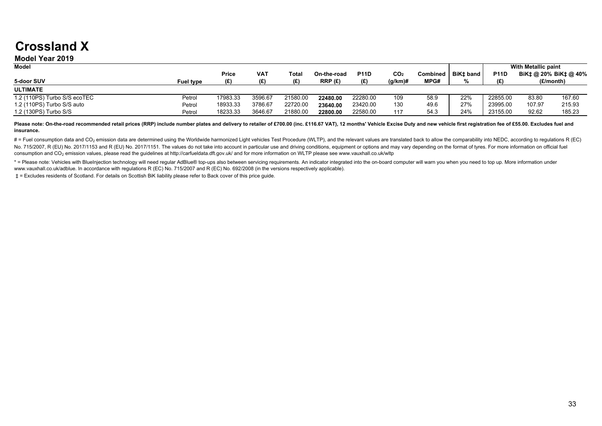## **Crossland X**

#### **Model Year 2019**

| <b>Model</b>                 |                  |          |         |          |             |             |                 |                 |           |             | With Metallic paint   |        |
|------------------------------|------------------|----------|---------|----------|-------------|-------------|-----------------|-----------------|-----------|-------------|-----------------------|--------|
|                              |                  | Price    | VAT     | Total    | On-the-road | <b>P11D</b> | CO <sub>2</sub> | <b>Combined</b> | BiKt band | <b>P11D</b> | BiK‡ @ 20% BiK‡ @ 40% |        |
| 5-door SUV                   | <b>Fuel type</b> | (E)      | (£)     | (E)      | RRP(E)      | (E)         | $(q/km)$ #      | MPG#            |           | (E)         | (£/month)             |        |
| <b>ULTIMATE</b>              |                  |          |         |          |             |             |                 |                 |           |             |                       |        |
| 1.2 (110PS) Turbo S/S ecoTEC | Petrol           | 17983.33 | 3596.67 | 21580.00 | 22480.00    | 22280.00    | 109             | 58.9            | 22%       | 22855.00    | 83.80                 | 167.60 |
| 1.2 (110PS) Turbo S/S auto   | Petrol           | 18933.33 | 3786.67 | 22720.00 | 23640.00    | 23420.00    | 130             | 49.6            | 27%       | 23995.00    | 107.97                | 215.93 |
| 1.2 (130PS) Turbo S/S        | Petrol           | 18233.33 | 3646.67 | 21880.00 | 22800.00    | 22580.00    | 117             | 54.3            | 24%       | 23155.00    | 92.62                 | 185.23 |

Please note: On-the-road recommended retail prices (RRP) include number plates and delivery to retailer of £700.00 (inc. £116.67 VAT), 12 months' Vehicle Excise Duty and new vehicle first registration fee of £55.00. Exclud **insurance.**

# = Fuel consumption data and CO<sub>2</sub> emission data are determined using the Worldwide harmonized Light vehicles Test Procedure (WLTP), and the relevant values are translated back to allow the comparability into NEDC, accord No. 715/2007, R (EU) No. 2017/1153 and R (EU) No. 2017/1151. The values do not take into account in particular use and driving conditions, equipment or options and may vary depending on the format of tyres. For more inform consumption and CO<sub>2</sub> emission values, please read the quidelines at http://carfueldata.dft.gov.uk/ and for more information on WLTP please see www.vauxhall.co.uk/wltp

\* = Please note: Vehicles with Bluelnjection technology will need regular AdBlue® top-ups also between servicing requirements. An indicator integrated into the on-board computer will warn you when you need to top up. More www.vauxhall.co.uk/adblue. In accordance with regulations R (EC) No. 715/2007 and R (EC) No. 692/2008 (in the versions respectively applicable).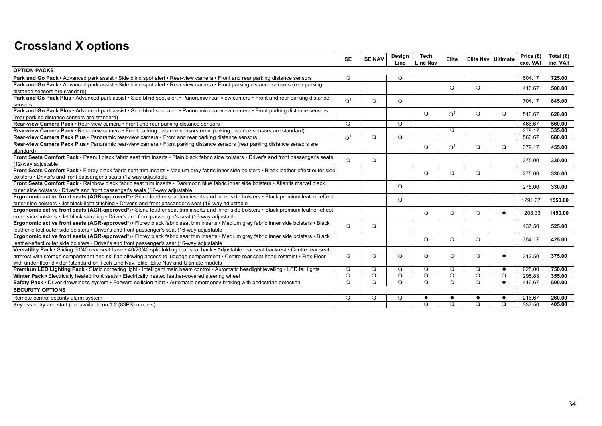## **Crossland X options**

|                                                                                                                                             | <b>SE</b>             | <b>SE NAV</b> | Design<br>Line | <b>Tech</b><br><b>Line Nav</b> | Elite      | Elite Nav   Ultimate |           | Price (£)<br>exc. VAT | Total (£)<br>inc. VAT |
|---------------------------------------------------------------------------------------------------------------------------------------------|-----------------------|---------------|----------------|--------------------------------|------------|----------------------|-----------|-----------------------|-----------------------|
| <b>OPTION PACKS</b>                                                                                                                         |                       |               |                |                                |            |                      |           |                       |                       |
| Park and Go Pack • Advanced park assist • Side blind spot alert • Rear-view camera • Front and rear parking distance sensors                | $\circ$               |               | $\circ$        |                                |            |                      |           | 604.17                | 725.00                |
| Park and Go Pack • Advanced park assist • Side blind spot alert • Rear-view camera • Front parking distance sensors (rear parking           |                       |               |                |                                | $\circ$    | $\circ$              |           | 416.67                | 500.00                |
| distance sensors are standard)                                                                                                              |                       |               |                |                                |            |                      |           |                       |                       |
| Park and Go Pack Plus · Advanced park assist · Side blind spot alert · Panoramic rear-view camera · Front and rear parking distance         | $\Omega$ <sup>1</sup> | $\circ$       | $\circ$        |                                |            |                      |           | 704.17                | 845.00                |
| sensors                                                                                                                                     |                       |               |                |                                |            |                      |           |                       |                       |
| Park and Go Pack Plus · Advanced park assist · Side blind spot alert · Panoramic rear-view camera · Front parking distance sensors          |                       |               |                | $\Omega$                       | $\Omega^1$ | $\circ$              | $\Omega$  | 516.67                | 620.00                |
| (rear parking distance sensors are standard)                                                                                                |                       |               |                |                                |            |                      |           |                       |                       |
| Rear-view Camera Pack · Rear-view camera · Front and rear parking distance sensors                                                          | $\circ$               |               | $\circ$        |                                |            |                      |           | 466.67                | 560.00                |
| Rear-view Camera Pack • Rear-view camera • Front parking distance sensors (rear parking distance sensors are standard)                      |                       |               |                |                                | $\Omega$   |                      |           | 279.17                | 335.00                |
| Rear-view Camera Pack Plus • Panoramic rear-view camera • Front and rear parking distance sensors                                           | $\Omega^1$            | $\Omega$      | $\Omega$       |                                |            |                      |           | 566.67                | 680.00                |
| Rear-view Camera Pack Plus · Panoramic rear-view camera · Front parking distance sensors (rear parking distance sensors are                 |                       |               |                | $\circ$                        | $\Omega^1$ | $\circ$              | $\Omega$  | 379.17                | 455.00                |
| standard)                                                                                                                                   |                       |               |                |                                |            |                      |           |                       |                       |
| Front Seats Comfort Pack · Peanut black fabric seat trim inserts · Plain black fabric side bolsters · Driver's and front passenger's seats  | $\Omega$              | $\circ$       |                |                                |            |                      |           | 275.00                | 330.00                |
| (12-way adjustable)                                                                                                                         |                       |               |                |                                |            |                      |           |                       |                       |
| Front Seats Comfort Pack · Florey black fabric seat trim inserts · Medium grey fabric inner side bolsters · Black leather-effect outer side |                       |               |                | $\circ$                        | $\circ$    | $\circ$              |           | 275.00                | 330.00                |
| bolsters • Driver's and front passenger's seats (12-way adjustable)                                                                         |                       |               |                |                                |            |                      |           |                       |                       |
| Front Seats Comfort Pack • Rainbow black fabric seat trim inserts • Darkmoon blue fabric inner side bolsters • Atlantis marvel black        |                       |               | $\circ$        |                                |            |                      |           | 275.00                | 330.00                |
| outer side bolsters • Driver's and front passenger's seats (12-way adjustable                                                               |                       |               |                |                                |            |                      |           |                       |                       |
| Ergonomic active front seats (AGR-approved*) · Siena leather seat trim inserts and inner side bolsters · Black premium leather-effect       |                       |               | $\circ$        |                                |            |                      |           | 1291.67               | 1550.00               |
| outer side bolsters • Jet black light stitching • Driver's and front passenger's seat (16-way adjustable                                    |                       |               |                |                                |            |                      |           |                       |                       |
| Ergonomic active front seats (AGR-approved*) · Siena leather seat trim inserts and inner side bolsters · Black premium leather-effect       |                       |               |                | $\circ$                        | $\circ$    | $\circ$              | $\bullet$ | 1208.33               | 1450.00               |
| outer side bolsters • Jet black stitching • Driver's and front passenger's seat (16-way adjustable                                          |                       |               |                |                                |            |                      |           |                       |                       |
| Ergonomic active front seats (AGR-approved*) · Florey black fabric seat trim inserts · Medium grey fabric inner side bolsters · Black       | $\Omega$              | $\circ$       |                |                                |            |                      |           | 437.50                | 525.00                |
| leather-effect outer side bolsters • Driver's and front passenger's seat (16-way adjustable                                                 |                       |               |                |                                |            |                      |           |                       |                       |
| Ergonomic active front seats (AGR-approved*) • Florey black fabric seat trim inserts • Medium grey fabric inner side bolsters • Black       |                       |               |                | $\circ$                        | $\circ$    | $\circ$              |           | 354.17                | 425.00                |
| leather-effect outer side bolsters • Driver's and front passenger's seat (16-way adjustable                                                 |                       |               |                |                                |            |                      |           |                       |                       |
| Versatility Pack · Sliding 60/40 rear seat base · 40/20/40 split-folding rear seat back · Adjustable rear seat backrest · Centre rear seat  |                       |               |                |                                |            |                      |           |                       |                       |
| armrest with storage compartment and ski flap allowing access to luggage compartment • Centre rear seat head restraint • Flex Floor         | $\circ$               | $\circ$       | $\circ$        | $\circ$                        | $\circ$    | $\circ$              | $\bullet$ | 312.50                | 375.00                |
| with under-floor divider (standard on Tech Line Nav, Elite, Elite Nav and Ultimate models)                                                  |                       |               |                |                                |            |                      |           |                       |                       |
| Premium LED Lighting Pack · Static cornering light · Intelligent main beam control · Automatic headlight levelling · LED tail lights        | $\circ$               | $\circ$       | $\circ$        | $\circ$                        | $\circ$    | $\circ$              | $\bullet$ | 625.00                | 750.00                |
| Winter Pack • Electrically heated front seats • Electrically heated leather-covered steering wheel                                          | $\Omega$              | $\circ$       | $\circ$        | $\circ$                        | $\circ$    | $\circ$              | $\Omega$  | 295.83                | 355.00                |
| Safety Pack • Driver drowsiness system • Forward collision alert • Automatic emergency braking with pedestrian detection                    | $\circ$               | $\circ$       | $\circ$        | $\circ$                        | $\circ$    | $\circ$              | $\bullet$ | 416.67                | 500.00                |
| <b>SECURITY OPTIONS</b>                                                                                                                     |                       |               |                |                                |            |                      |           |                       |                       |
| Remote control security alarm system                                                                                                        | $\Omega$              | $\circ$       | $\circ$        |                                |            | $\bullet$            | $\bullet$ | 216.67                | 260.00                |
| Keyless entry and start (not available on 1.2 (83PS) models)                                                                                |                       |               |                | $\circ$                        | $\circ$    | $\circ$              | $\circ$   | 337.50                | 405.00                |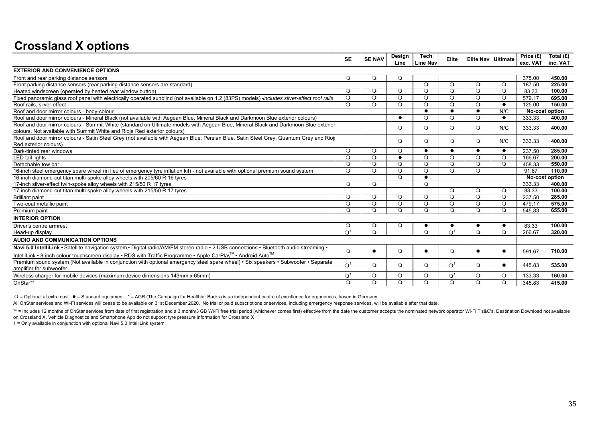## **Crossland X options**

| <b>EXTERIOR AND CONVENIENCE OPTIONS</b><br>$\circ$<br>$\circ$<br>$\circ$<br>Front and rear parking distance sensors<br>Front parking distance sensors (rear parking distance sensors are standard)<br>$\circ$<br>$\circ$<br>$\circ$<br>$\circ$<br>$\circ$<br>$\circ$<br>$\circ$<br>$\circ$<br>$\circ$<br>$\circ$<br>$\Omega$<br>Heated windscreen (operated by heated rear window button)<br>Fixed panoramic glass roof panel with electrically operated sunblind (not available on 1.2 (83PS) models) -includes silver-effect roof rails<br>$\circ$<br>$\circ$<br>$\circ$<br>$\circ$<br>$\circ$<br>$\circ$<br>$\circ$<br>Roof rails, silver-effect<br>$\circ$<br>$\circ$<br>$\circ$<br>$\circ$<br>$\circ$<br>$\circ$<br>$\bullet$<br>Roof and door mirror colours - body-colour<br>N/C<br>$\bullet$<br>$\bullet$<br>$\bullet$<br>Roof and door mirror colours - Mineral Black (not available with Aegean Blue, Mineral Black and Darkmoon Blue exterior colours)<br>$\circ$<br>$\circ$<br>$\circ$<br>$\bullet$<br>$\bullet$<br>Roof and door mirror colours - Summit White (standard on Ultimate models with Aegean Blue, Mineral Black and Darkmoon Blue exterior<br>$\circ$<br>$\circ$<br>$\circ$<br>N/C<br>$\circ$<br>colours. Not available with Summit White and Rioja Red exterior colours)<br>Roof and door mirror colours - Satin Steel Grey (not available with Aegean Blue, Persian Blue, Satin Steel Grey, Quantum Grey and Rioja<br>$\circ$<br>$\circ$<br>$\circ$<br>$\circ$<br>N/C<br>Red exterior colours)<br>$\circ$<br>$\circ$<br>Dark-tinted rear windows<br>$\circ$<br>$\bullet$<br>$\bullet$<br>$\bullet$<br>$\bullet$<br><b>LED</b> tail lights<br>$\circ$<br>$\Omega$<br>$\circ$<br>$\Omega$<br>$\circ$<br>$\circ$<br>$\bullet$<br>Detachable tow bar<br>$\circ$<br>$\circ$<br>$\circ$<br>$\circ$<br>$\circ$<br>$\circ$<br>$\circ$<br>$\circ$<br>$\circ$<br>$\circ$<br>$\circ$<br>$\circ$<br>$\circ$<br>16-inch steel emergency spare wheel (in lieu of emergency tyre inflation kit) - not available with optional premium sound system<br>$\Omega$<br>$\bullet$ |                  |
|-----------------------------------------------------------------------------------------------------------------------------------------------------------------------------------------------------------------------------------------------------------------------------------------------------------------------------------------------------------------------------------------------------------------------------------------------------------------------------------------------------------------------------------------------------------------------------------------------------------------------------------------------------------------------------------------------------------------------------------------------------------------------------------------------------------------------------------------------------------------------------------------------------------------------------------------------------------------------------------------------------------------------------------------------------------------------------------------------------------------------------------------------------------------------------------------------------------------------------------------------------------------------------------------------------------------------------------------------------------------------------------------------------------------------------------------------------------------------------------------------------------------------------------------------------------------------------------------------------------------------------------------------------------------------------------------------------------------------------------------------------------------------------------------------------------------------------------------------------------------------------------------------------------------------------------------------------------------------------------------------------------------------------------------------------------------------------------------|------------------|
|                                                                                                                                                                                                                                                                                                                                                                                                                                                                                                                                                                                                                                                                                                                                                                                                                                                                                                                                                                                                                                                                                                                                                                                                                                                                                                                                                                                                                                                                                                                                                                                                                                                                                                                                                                                                                                                                                                                                                                                                                                                                                         |                  |
|                                                                                                                                                                                                                                                                                                                                                                                                                                                                                                                                                                                                                                                                                                                                                                                                                                                                                                                                                                                                                                                                                                                                                                                                                                                                                                                                                                                                                                                                                                                                                                                                                                                                                                                                                                                                                                                                                                                                                                                                                                                                                         | 450.00<br>375.00 |
|                                                                                                                                                                                                                                                                                                                                                                                                                                                                                                                                                                                                                                                                                                                                                                                                                                                                                                                                                                                                                                                                                                                                                                                                                                                                                                                                                                                                                                                                                                                                                                                                                                                                                                                                                                                                                                                                                                                                                                                                                                                                                         | 187.50<br>225.00 |
|                                                                                                                                                                                                                                                                                                                                                                                                                                                                                                                                                                                                                                                                                                                                                                                                                                                                                                                                                                                                                                                                                                                                                                                                                                                                                                                                                                                                                                                                                                                                                                                                                                                                                                                                                                                                                                                                                                                                                                                                                                                                                         | 83.33<br>100.00  |
|                                                                                                                                                                                                                                                                                                                                                                                                                                                                                                                                                                                                                                                                                                                                                                                                                                                                                                                                                                                                                                                                                                                                                                                                                                                                                                                                                                                                                                                                                                                                                                                                                                                                                                                                                                                                                                                                                                                                                                                                                                                                                         | 579.17<br>695.00 |
|                                                                                                                                                                                                                                                                                                                                                                                                                                                                                                                                                                                                                                                                                                                                                                                                                                                                                                                                                                                                                                                                                                                                                                                                                                                                                                                                                                                                                                                                                                                                                                                                                                                                                                                                                                                                                                                                                                                                                                                                                                                                                         | 125.00<br>150.00 |
|                                                                                                                                                                                                                                                                                                                                                                                                                                                                                                                                                                                                                                                                                                                                                                                                                                                                                                                                                                                                                                                                                                                                                                                                                                                                                                                                                                                                                                                                                                                                                                                                                                                                                                                                                                                                                                                                                                                                                                                                                                                                                         | No-cost option   |
|                                                                                                                                                                                                                                                                                                                                                                                                                                                                                                                                                                                                                                                                                                                                                                                                                                                                                                                                                                                                                                                                                                                                                                                                                                                                                                                                                                                                                                                                                                                                                                                                                                                                                                                                                                                                                                                                                                                                                                                                                                                                                         | 400.00<br>333.33 |
|                                                                                                                                                                                                                                                                                                                                                                                                                                                                                                                                                                                                                                                                                                                                                                                                                                                                                                                                                                                                                                                                                                                                                                                                                                                                                                                                                                                                                                                                                                                                                                                                                                                                                                                                                                                                                                                                                                                                                                                                                                                                                         | 333.33<br>400.00 |
|                                                                                                                                                                                                                                                                                                                                                                                                                                                                                                                                                                                                                                                                                                                                                                                                                                                                                                                                                                                                                                                                                                                                                                                                                                                                                                                                                                                                                                                                                                                                                                                                                                                                                                                                                                                                                                                                                                                                                                                                                                                                                         |                  |
|                                                                                                                                                                                                                                                                                                                                                                                                                                                                                                                                                                                                                                                                                                                                                                                                                                                                                                                                                                                                                                                                                                                                                                                                                                                                                                                                                                                                                                                                                                                                                                                                                                                                                                                                                                                                                                                                                                                                                                                                                                                                                         | 333.33<br>400.00 |
|                                                                                                                                                                                                                                                                                                                                                                                                                                                                                                                                                                                                                                                                                                                                                                                                                                                                                                                                                                                                                                                                                                                                                                                                                                                                                                                                                                                                                                                                                                                                                                                                                                                                                                                                                                                                                                                                                                                                                                                                                                                                                         |                  |
|                                                                                                                                                                                                                                                                                                                                                                                                                                                                                                                                                                                                                                                                                                                                                                                                                                                                                                                                                                                                                                                                                                                                                                                                                                                                                                                                                                                                                                                                                                                                                                                                                                                                                                                                                                                                                                                                                                                                                                                                                                                                                         | 237.50<br>285.00 |
|                                                                                                                                                                                                                                                                                                                                                                                                                                                                                                                                                                                                                                                                                                                                                                                                                                                                                                                                                                                                                                                                                                                                                                                                                                                                                                                                                                                                                                                                                                                                                                                                                                                                                                                                                                                                                                                                                                                                                                                                                                                                                         | 166.67<br>200.00 |
|                                                                                                                                                                                                                                                                                                                                                                                                                                                                                                                                                                                                                                                                                                                                                                                                                                                                                                                                                                                                                                                                                                                                                                                                                                                                                                                                                                                                                                                                                                                                                                                                                                                                                                                                                                                                                                                                                                                                                                                                                                                                                         | 458.33<br>550.00 |
|                                                                                                                                                                                                                                                                                                                                                                                                                                                                                                                                                                                                                                                                                                                                                                                                                                                                                                                                                                                                                                                                                                                                                                                                                                                                                                                                                                                                                                                                                                                                                                                                                                                                                                                                                                                                                                                                                                                                                                                                                                                                                         | 110.00<br>91.67  |
| 16-inch diamond-cut titan multi-spoke alloy wheels with 205/60 R 16 tyres                                                                                                                                                                                                                                                                                                                                                                                                                                                                                                                                                                                                                                                                                                                                                                                                                                                                                                                                                                                                                                                                                                                                                                                                                                                                                                                                                                                                                                                                                                                                                                                                                                                                                                                                                                                                                                                                                                                                                                                                               | No-cost option   |
| $\circ$<br>$\circ$<br>$\circ$<br>17-inch silver-effect twin-spoke alloy wheels with 215/50 R 17 tyres                                                                                                                                                                                                                                                                                                                                                                                                                                                                                                                                                                                                                                                                                                                                                                                                                                                                                                                                                                                                                                                                                                                                                                                                                                                                                                                                                                                                                                                                                                                                                                                                                                                                                                                                                                                                                                                                                                                                                                                   | 333.33<br>400.00 |
| $\circ$<br>$\circ$<br>$\circ$<br>17-inch diamond-cut titan multi-spoke alloy wheels with 215/50 R 17 tyres                                                                                                                                                                                                                                                                                                                                                                                                                                                                                                                                                                                                                                                                                                                                                                                                                                                                                                                                                                                                                                                                                                                                                                                                                                                                                                                                                                                                                                                                                                                                                                                                                                                                                                                                                                                                                                                                                                                                                                              | 83.33<br>100.00  |
| $\circ$<br>$\circ$<br>$\circ$<br>$\circ$<br>$\circ$<br>$\circ$<br>$\circ$<br><b>Brilliant paint</b>                                                                                                                                                                                                                                                                                                                                                                                                                                                                                                                                                                                                                                                                                                                                                                                                                                                                                                                                                                                                                                                                                                                                                                                                                                                                                                                                                                                                                                                                                                                                                                                                                                                                                                                                                                                                                                                                                                                                                                                     | 237.50<br>285.00 |
| $\circ$<br>$\circ$<br>$\circ$<br>$\circ$<br>$\circ$<br>$\circ$<br>$\circ$<br>Two-coat metallic paint                                                                                                                                                                                                                                                                                                                                                                                                                                                                                                                                                                                                                                                                                                                                                                                                                                                                                                                                                                                                                                                                                                                                                                                                                                                                                                                                                                                                                                                                                                                                                                                                                                                                                                                                                                                                                                                                                                                                                                                    | 575.00<br>479.17 |
| $\circ$<br>$\circ$<br>$\Omega$<br>$\circ$<br>$\circ$<br>$\circ$<br>$\Omega$<br>Premium paint                                                                                                                                                                                                                                                                                                                                                                                                                                                                                                                                                                                                                                                                                                                                                                                                                                                                                                                                                                                                                                                                                                                                                                                                                                                                                                                                                                                                                                                                                                                                                                                                                                                                                                                                                                                                                                                                                                                                                                                            | 655.00<br>545.83 |
| <b>INTERIOR OPTION</b>                                                                                                                                                                                                                                                                                                                                                                                                                                                                                                                                                                                                                                                                                                                                                                                                                                                                                                                                                                                                                                                                                                                                                                                                                                                                                                                                                                                                                                                                                                                                                                                                                                                                                                                                                                                                                                                                                                                                                                                                                                                                  |                  |
| $\circ$<br>$\circ$<br>Driver's centre armrest<br>$\circ$<br>$\bullet$<br>$\bullet$                                                                                                                                                                                                                                                                                                                                                                                                                                                                                                                                                                                                                                                                                                                                                                                                                                                                                                                                                                                                                                                                                                                                                                                                                                                                                                                                                                                                                                                                                                                                                                                                                                                                                                                                                                                                                                                                                                                                                                                                      | 83.33<br>100.00  |
| $\Omega$<br>$\Omega$<br>$\Omega$<br>$\Omega^1$<br>$\Omega^1$<br>$\Omega$<br>Head-up display                                                                                                                                                                                                                                                                                                                                                                                                                                                                                                                                                                                                                                                                                                                                                                                                                                                                                                                                                                                                                                                                                                                                                                                                                                                                                                                                                                                                                                                                                                                                                                                                                                                                                                                                                                                                                                                                                                                                                                                             | 320.00<br>266.67 |
| AUDIO AND COMMUNICATION OPTIONS                                                                                                                                                                                                                                                                                                                                                                                                                                                                                                                                                                                                                                                                                                                                                                                                                                                                                                                                                                                                                                                                                                                                                                                                                                                                                                                                                                                                                                                                                                                                                                                                                                                                                                                                                                                                                                                                                                                                                                                                                                                         |                  |
| Navi 5.0 IntelliLink • Satellite navigation system • Digital radio/AM/FM stereo radio • 2 USB connections • Bluetooth audio streaming •<br>$\circ$<br>$\Omega$<br>$\Omega$                                                                                                                                                                                                                                                                                                                                                                                                                                                                                                                                                                                                                                                                                                                                                                                                                                                                                                                                                                                                                                                                                                                                                                                                                                                                                                                                                                                                                                                                                                                                                                                                                                                                                                                                                                                                                                                                                                              | 591.67           |
| IntelliLink • 8-inch colour touchscreen display • RDS with Traffic Programme • Apple CarPla) <sup>™</sup> • Android Auto <sup>™</sup>                                                                                                                                                                                                                                                                                                                                                                                                                                                                                                                                                                                                                                                                                                                                                                                                                                                                                                                                                                                                                                                                                                                                                                                                                                                                                                                                                                                                                                                                                                                                                                                                                                                                                                                                                                                                                                                                                                                                                   | 710.00           |
| Premium sound system (Not available in conjunction with optional emergency steel spare wheel) • Six speakers • Subwoofer • Separate<br>$\Omega^1$<br>$\circ$<br>$\Omega^1$<br>$\circ$<br>$\circ$<br>$\circ$<br>$\bullet$                                                                                                                                                                                                                                                                                                                                                                                                                                                                                                                                                                                                                                                                                                                                                                                                                                                                                                                                                                                                                                                                                                                                                                                                                                                                                                                                                                                                                                                                                                                                                                                                                                                                                                                                                                                                                                                                | 445.83<br>535.00 |
| amplifier for subwoofer                                                                                                                                                                                                                                                                                                                                                                                                                                                                                                                                                                                                                                                                                                                                                                                                                                                                                                                                                                                                                                                                                                                                                                                                                                                                                                                                                                                                                                                                                                                                                                                                                                                                                                                                                                                                                                                                                                                                                                                                                                                                 |                  |
| Wireless charger for mobile devices (maximum device dimensions 143mm x 65mm)<br>$\Omega^1$<br>$\Omega^1$<br>$\circ$<br>$\circ$<br>$\circ$<br>$\circ$<br>$\circ$                                                                                                                                                                                                                                                                                                                                                                                                                                                                                                                                                                                                                                                                                                                                                                                                                                                                                                                                                                                                                                                                                                                                                                                                                                                                                                                                                                                                                                                                                                                                                                                                                                                                                                                                                                                                                                                                                                                         | 133.33<br>160.00 |
| OnStar**<br>$\Omega$<br>$\Omega$<br>$\circ$<br>$\Omega$<br>$\Omega$<br>$\Omega$<br>$\Omega$                                                                                                                                                                                                                                                                                                                                                                                                                                                                                                                                                                                                                                                                                                                                                                                                                                                                                                                                                                                                                                                                                                                                                                                                                                                                                                                                                                                                                                                                                                                                                                                                                                                                                                                                                                                                                                                                                                                                                                                             | 345.83<br>415.00 |

= Optional at extra cost. = Standard equipment. \* = AGR (The Campaign for Healthier Backs) is an independent centre of excellence for ergonomics, based in Germany.

All OnStar services and Wi-Fi services will cease to be available on 31st December 2020. No trial or paid subscriptions or services, including emergency response services, will be available after that date.

\*\* = Includes 12 months of OnStar services from date of first registration and a 3 month/3 GB Wi-Fi free trial period (whichever comes first) effective from the date the customer accepts the nominated network operator Wi-F

on Crossland X. Vehicle Diagnostics and Smartphone App do not support tyre pressure information for Crossland X

1 = Only available in conjunction with optional Navi 5.0 IntelliLink system.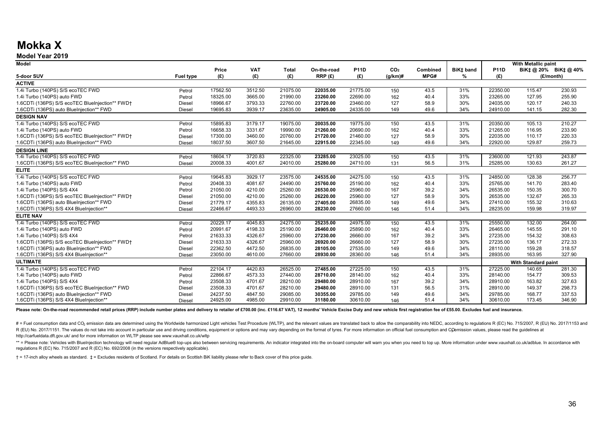## **Mokka X**

#### **Model Year 2019**

| <b>Model</b>                                    |                  |          |            |              |             |             |                 |          |           |             | With Metallic paint |                     |
|-------------------------------------------------|------------------|----------|------------|--------------|-------------|-------------|-----------------|----------|-----------|-------------|---------------------|---------------------|
|                                                 |                  | Price    | <b>VAT</b> | <b>Total</b> | On-the-road | <b>P11D</b> | CO <sub>2</sub> | Combined | BiK‡ band | <b>P11D</b> |                     | BiK‡@ 20% BiK‡@ 40% |
| 5-door SUV                                      | <b>Fuel type</b> | (E)      | (E)        | (E)          | RRP(E)      | (E)         | $(q/km)$ #      | MPG#     | %         | (E)         |                     | (£/month)           |
| <b>ACTIVE</b>                                   |                  |          |            |              |             |             |                 |          |           |             |                     |                     |
| 1.4i Turbo (140PS) S/S ecoTEC FWD               | Petrol           | 17562.50 | 3512.50    | 21075.00     | 22035.00    | 21775.00    | 150             | 43.5     | 31%       | 22350.00    | 115.47              | 230.93              |
| 1.4i Turbo (140PS) auto FWD                     | Petrol           | 18325.00 | 3665.00    | 21990.00     | 23260.00    | 22690.00    | 162             | 40.4     | 33%       | 23265.00    | 127.95              | 255.90              |
| 1.6CDTi (136PS) S/S ecoTEC BlueInjection** FWD+ | <b>Diesel</b>    | 18966.67 | 3793.33    | 22760.00     | 23720.00    | 23460.00    | 127             | 58.9     | 30%       | 24035.00    | 120.17              | 240.33              |
| 1.6CDTi (136PS) auto BlueInjection** FWD        | Diesel           | 19695.83 | 3939.17    | 23635.00     | 24905.00    | 24335.00    | 149             | 49.6     | 34%       | 24910.00    | 141.15              | 282.30              |
| <b>DESIGN NAV</b>                               |                  |          |            |              |             |             |                 |          |           |             |                     |                     |
| 1.4i Turbo (140PS) S/S ecoTEC FWD               | Petrol           | 15895.83 | 3179.17    | 19075.00     | 20035.00    | 19775.00    | 150             | 43.5     | 31%       | 20350.00    | 105.13              | 210.27              |
| 1.4i Turbo (140PS) auto FWD                     | Petrol           | 16658.33 | 3331.67    | 19990.00     | 21260.00    | 20690.00    | 162             | 40.4     | 33%       | 21265.00    | 116.95              | 233.90              |
| 1.6CDTi (136PS) S/S ecoTEC BlueInjection** FWD+ | <b>Diesel</b>    | 17300.00 | 3460.00    | 20760.00     | 21720.00    | 21460.00    | 127             | 58.9     | 30%       | 22035.00    | 110.17              | 220.33              |
| 1.6CDTi (136PS) auto BlueInjection** FWD        | Diesel           | 18037.50 | 3607.50    | 21645.00     | 22915.00    | 22345.00    | 149             | 49.6     | 34%       | 22920.00    | 129.87              | 259.73              |
| <b>DESIGN LINE</b>                              |                  |          |            |              |             |             |                 |          |           |             |                     |                     |
| 1.4i Turbo (140PS) S/S ecoTEC FWD               | Petrol           | 18604.17 | 3720.83    | 22325.00     | 23285.00    | 23025.00    | 150             | 43.5     | 31%       | 23600.00    | 121.93              | 243.87              |
| 1.6CDTi (136PS) S/S ecoTEC BlueInjection** FWD  | <b>Diesel</b>    | 20008.33 | 4001.67    | 24010.00     | 25280.00    | 24710.00    | 131             | 56.5     | 31%       | 25285.00    | 130.63              | 261.27              |
| <b>ELITE</b>                                    |                  |          |            |              |             |             |                 |          |           |             |                     |                     |
| 1.4i Turbo (140PS) S/S ecoTEC FWD               | Petrol           | 19645.83 | 3929.17    | 23575.00     | 24535.00    | 24275.00    | 150             | 43.5     | 31%       | 24850.00    | 128.38              | 256.77              |
| 1.4i Turbo (140PS) auto FWD                     | Petrol           | 20408.33 | 4081.67    | 24490.00     | 25760.00    | 25190.00    | 162             | 40.4     | 33%       | 25765.00    | 141.70              | 283.40              |
| 1.4i Turbo (140PS) S/S 4X4                      | Petrol           | 21050.00 | 4210.00    | 25260.00     | 26530.00    | 25960.00    | 167             | 39.2     | 34%       | 26535.00    | 150.35              | 300.70              |
| 1.6CDTi (136PS) S/S ecoTEC BlueInjection** FWD+ | Diesel           | 21050.00 | 4210.00    | 25260.00     | 26220.00    | 25960.00    | 127             | 58.9     | 30%       | 26535.00    | 132.67              | 265.33              |
| 1.6CDTi (136PS) auto BlueInjection** FWD        | Diesel           | 21779.17 | 4355.83    | 26135.00     | 27405.00    | 26835.00    | 149             | 49.6     | 34%       | 27410.00    | 155.32              | 310.63              |
| 1.6CDTi (136PS) S/S 4X4 BlueInjection**         | <b>Diesel</b>    | 22466.67 | 4493.33    | 26960.00     | 28230.00    | 27660.00    | 146             | 51.4     | 34%       | 28235.00    | 159.98              | 319.97              |
| <b>ELITE NAV</b>                                |                  |          |            |              |             |             |                 |          |           |             |                     |                     |
| 1.4i Turbo (140PS) S/S ecoTEC FWD               | Petrol           | 20229.17 | 4045.83    | 24275.00     | 25235.00    | 24975.00    | 150             | 43.5     | 31%       | 25550.00    | 132.00              | 264.00              |
| 1.4i Turbo (140PS) auto FWD                     | Petrol           | 20991.67 | 4198.33    | 25190.00     | 26460.00    | 25890.00    | 162             | 40.4     | 33%       | 26465.00    | 145.55              | 291.10              |
| 1.4i Turbo (140PS) S/S 4X4                      | Petrol           | 21633.33 | 4326.67    | 25960.00     | 27230.00    | 26660.00    | 167             | 39.2     | 34%       | 27235.00    | 154.32              | 308.63              |
| 1.6CDTi (136PS) S/S ecoTEC BlueInjection** FWD+ | Diesel           | 21633.33 | 4326.67    | 25960.00     | 26920.00    | 26660.00    | 127             | 58.9     | 30%       | 27235.00    | 136.17              | 272.33              |
| 1.6CDTi (136PS) auto BlueInjection** FWD        | <b>Diesel</b>    | 22362.50 | 4472.50    | 26835.00     | 28105.00    | 27535.00    | 149             | 49.6     | 34%       | 28110.00    | 159.28              | 318.57              |
| 1.6CDTi (136PS) S/S 4X4 BlueInjection**         | <b>Diesel</b>    | 23050.00 | 4610.00    | 27660.00     | 28930.00    | 28360.00    | 146             | 51.4     | 34%       | 28935.00    | 163.95              | 327.90              |
| <b>ULTIMATE</b>                                 |                  |          |            |              |             |             |                 |          |           |             | With Standard paint |                     |
| 1.4i Turbo (140PS) S/S ecoTEC FWD               | Petrol           | 22104.17 | 4420.83    | 26525.00     | 27485.00    | 27225.00    | 150             | 43.5     | 31%       | 27225.00    | 140.65              | 281.30              |
| 1.4i Turbo (140PS) auto FWD                     | Petrol           | 22866.67 | 4573.33    | 27440.00     | 28710.00    | 28140.00    | 162             | 40.4     | 33%       | 28140.00    | 154.77              | 309.53              |
| 1.4i Turbo (140PS) S/S 4X4                      | Petrol           | 23508.33 | 4701.67    | 28210.00     | 29480.00    | 28910.00    | 167             | 39.2     | 34%       | 28910.00    | 163.82              | 327.63              |
| 1.6CDTi (136PS) S/S ecoTEC BlueInjection** FWD  | Diesel           | 23508.33 | 4701.67    | 28210.00     | 29480.00    | 28910.00    | 131             | 56.5     | 31%       | 28910.00    | 149.37              | 298.73              |
| 1.6CDTi (136PS) auto BlueInjection** FWD        | <b>Diesel</b>    | 24237.50 | 4847.50    | 29085.00     | 30355.00    | 29785.00    | 149             | 49.6     | 34%       | 29785.00    | 168.77              | 337.53              |
| 1.6CDTi (136PS) S/S 4X4 BlueInjection**         | <b>Diesel</b>    | 24925.00 | 4985.00    | 29910.00     | 31180.00    | 30610.00    | 146             | 51.4     | 34%       | 30610.00    | 173.45              | 346.90              |

Please note: On-the-road recommended retail prices (RRP) include number plates and delivery to retailer of £700.00 (inc. £116.67 VAT), 12 months' Vehicle Excise Duty and new vehicle first registration fee of £55.00. Exclud

# = Fuel consumption data and CO<sub>2</sub> emission data are determined using the Worldwide harmonized Light vehicles Test Procedure (WLTP), and the relevant values are translated back to allow the comparability into NEDC, accord R (EU) No. 2017/1151. The values do not take into account in particular use and driving conditions, equipment or options and may vary depending on the format of tyres. For more information on official fuel consumption and http://carfueldata.dft.gov.uk/ and for more information on WLTP please see www.vauxhall.co.uk/wltp

\*\* = Please note: Vehicles with BlueIniection technology will need requiar AdBlue® top-ups also between servicing requirements. An indicator integrated into the on-board computer will warn you when you need to top up. More regulations R (EC) No. 715/2007 and R (EC) No. 692/2008 (in the versions respectively applicable).

† = 17-inch alloy wheels as standard. ‡ = Excludes residents of Scotland. For details on Scottish BiK liability please refer to Back cover of this price guide.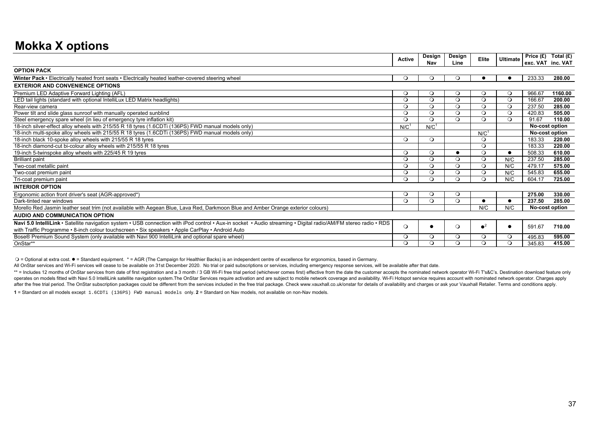## **Mokka X options**

|                                                                                                                                                                                                                                                                      | <b>Active</b> | Design<br>Nav    | Design<br>Line | Elite            | <b>Ultimate</b> | Price $(E)$<br>exc. VAT inc. VAT | Total $(E)$    |
|----------------------------------------------------------------------------------------------------------------------------------------------------------------------------------------------------------------------------------------------------------------------|---------------|------------------|----------------|------------------|-----------------|----------------------------------|----------------|
| <b>OPTION PACK</b>                                                                                                                                                                                                                                                   |               |                  |                |                  |                 |                                  |                |
| Winter Pack • Electrically heated front seats • Electrically heated leather-covered steering wheel                                                                                                                                                                   | $\circ$       | $\circ$          | $\circ$        |                  |                 | 233.33                           | 280.00         |
| <b>EXTERIOR AND CONVENIENCE OPTIONS</b>                                                                                                                                                                                                                              |               |                  |                |                  |                 |                                  |                |
| Premium LED Adaptive Forward Lighting (AFL)                                                                                                                                                                                                                          | $\circ$       | $\circ$          | $\circ$        | $\circ$          | $\circ$         | 966.67                           | 1160.00        |
| LED tail lights (standard with optional IntelliLux LED Matrix headlights)                                                                                                                                                                                            | $\circ$       | $\circ$          | $\circ$        | $\circ$          | $\circ$         | 166.67                           | 200.00         |
| Rear-view camera                                                                                                                                                                                                                                                     | $\circ$       | $\circ$          | $\circ$        | $\circ$          | $\circ$         | 237.50                           | 285.00         |
| Power tilt and slide glass sunroof with manually operated sunblind                                                                                                                                                                                                   | $\circ$       | $\Omega$         | $\circ$        | $\circ$          | $\circ$         | 420.83                           | 505.00         |
| Steel emergency spare wheel (in lieu of emergency tyre inflation kit)                                                                                                                                                                                                | $\circ$       | $\Omega$         | $\Omega$       | $\Omega$         | $\circ$         | 91.67                            | 110.00         |
| 18-inch silver-effect alloy wheels with 215/55 R 18 tyres (1.6CDTi (136PS) FWD manual models only)                                                                                                                                                                   | N/C           | N/C <sup>1</sup> |                |                  |                 | <b>No-cost option</b>            |                |
| 18-inch multi-spoke alloy wheels with 215/55 R 18 tyres (1.6CDTi (136PS) FWD manual models only)                                                                                                                                                                     |               |                  |                | N/C <sup>1</sup> |                 | No-cost option                   |                |
| 18-inch black 10-spoke alloy wheels with 215/55 R 18 tyres                                                                                                                                                                                                           | $\circ$       | $\Omega$         |                | $\Omega$         |                 | 183.33                           | 220.00         |
| 18-inch diamond-cut bi-colour alloy wheels with 215/55 R 18 tyres                                                                                                                                                                                                    |               |                  |                | $\Omega$         |                 | 183.33                           | 220.00         |
| 19-inch 5-twinspoke alloy wheels with 225/45 R 19 tyres                                                                                                                                                                                                              | $\circ$       | $\circ$          |                | $\circ$          | $\bullet$       | 508.33                           | 610.00         |
| <b>Brilliant paint</b>                                                                                                                                                                                                                                               | $\circ$       | $\circ$          | $\circ$        | $\circ$          | N/C             | 237.50                           | 285.00         |
| Two-coat metallic paint                                                                                                                                                                                                                                              | $\circ$       | $\circ$          | $\Omega$       | $\circ$          | N/C             | 479.17                           | 575.00         |
| Two-coat premium paint                                                                                                                                                                                                                                               | $\circ$       | $\circ$          | $\circ$        | $\circ$          | N/C             | 545.83                           | 655.00         |
| Tri-coat premium paint                                                                                                                                                                                                                                               | $\circ$       | $\Omega$         | $\Omega$       | $\Omega$         | N/C             | 604.17                           | 725.00         |
| <b>INTERIOR OPTION</b>                                                                                                                                                                                                                                               |               |                  |                |                  |                 |                                  |                |
| Ergonomic action front driver's seat (AGR-approved*)                                                                                                                                                                                                                 | $\circ$       | $\circ$          | $\circ$        |                  |                 | 275.00                           | 330.00         |
| Dark-tinted rear windows                                                                                                                                                                                                                                             | $\circ$       | $\circ$          | $\circ$        |                  | $\bullet$       | 237.50                           | 285.00         |
| Morello Red Jasmin leather seat trim (not available with Aegean Blue, Lava Red, Darkmoon Blue and Amber Orange exterior colours)                                                                                                                                     |               |                  |                | N/C              | N/C             |                                  | No-cost option |
| AUDIO AND COMMUNICATION OPTION                                                                                                                                                                                                                                       |               |                  |                |                  |                 |                                  |                |
| Navi 5.0 IntelliLink · Satellite navigation system · USB connection with iPod control · Aux-in socket · Audio streaming · Digital radio/AM/FM stereo radio · RDS<br>with Traffic Programme • 8-inch colour touchscreen • Six speakers • Apple CarPlay • Android Auto | $\circ$       |                  | $\circ$        | $\bullet^2$      | $\bullet$       | 591.67                           | 710.00         |
| Bose® Premium Sound System (only available with Navi 900 IntelliLink and optional spare wheel)                                                                                                                                                                       | $\circ$       | $\circ$          | $\circ$        | $\circ$          | $\circ$         | 495.83                           | 595.00         |
| OnStar**                                                                                                                                                                                                                                                             | $\circ$       | $\circ$          | $\Omega$       | $\circ$          | $\circ$         | 345.83                           | 415.00         |

= Optional at extra cost. = Standard equipment. \* = AGR (The Campaign for Healthier Backs) is an independent centre of excellence for ergonomics, based in Germany.

All OnStar services and Wi-Fi services will cease to be available on 31st December 2020. No trial or paid subscriptions or services, including emergency response services, will be available after that date.

**1** = Standard on all models except 1.6CDTi (136PS) FWD manual models only. **2** = Standard on Nav models, not available on non-Nav models. \*\* = Includes 12 months of OnStar services from date of first registration and a 3 month / 3 GB Wi-Fi free trial period (whichever comes first) effective from the date the customer accepts the nominated network operator Wi operates on models fitted with Navi 5.0 IntelliLink satellite navigation system. The OnStar Services require activation and are subject to mobile network coverage and availability. Wi-Fi Hotspot service requires account wi after the free trial period. The OnStar subscription packages could be different from the services included in the free trial package. Check www.vauxhall.co.uk/onstar for details of availability and charges or ask your Vau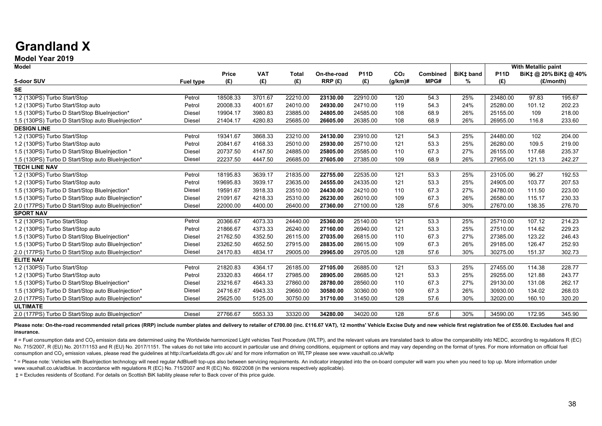## **Grandland X**

## **Model Year 2019**

| <b>Model</b>                                       |                  |              |            |              |             |             |                 |          |           |             | <b>With Metallic paint</b> |                       |
|----------------------------------------------------|------------------|--------------|------------|--------------|-------------|-------------|-----------------|----------|-----------|-------------|----------------------------|-----------------------|
|                                                    |                  | <b>Price</b> | <b>VAT</b> | <b>Total</b> | On-the-road | <b>P11D</b> | CO <sub>2</sub> | Combined | BiK‡ band | <b>P11D</b> |                            | BiK‡ @ 20% BiK‡ @ 40% |
| 5-door SUV                                         | <b>Fuel type</b> | (E)          | (E)        | (E)          | RRP(E)      | (E)         | $(g/km)$ #      | MPG#     | %         | (E)         |                            | (£/month)             |
| <b>SE</b>                                          |                  |              |            |              |             |             |                 |          |           |             |                            |                       |
| 1.2 (130PS) Turbo Start/Stop                       | Petrol           | 18508.33     | 3701.67    | 22210.00     | 23130.00    | 22910.00    | 120             | 54.3     | 25%       | 23480.00    | 97.83                      | 195.67                |
| 1.2 (130PS) Turbo Start/Stop auto                  | Petrol           | 20008.33     | 4001.67    | 24010.00     | 24930.00    | 24710.00    | 119             | 54.3     | 24%       | 25280.00    | 101.12                     | 202.23                |
| 1.5 (130PS) Turbo D Start/Stop BlueInjection*      | Diesel           | 19904.17     | 3980.83    | 23885.00     | 24805.00    | 24585.00    | 108             | 68.9     | 26%       | 25155.00    | 109                        | 218.00                |
| 1.5 (130PS) Turbo D Start/Stop auto BlueInjection* | Diesel           | 21404.17     | 4280.83    | 25685.00     | 26605.00    | 26385.00    | 108             | 68.9     | 26%       | 26955.00    | 116.8                      | 233.60                |
| <b>DESIGN LINE</b>                                 |                  |              |            |              |             |             |                 |          |           |             |                            |                       |
| 1.2 (130PS) Turbo Start/Stop                       | Petrol           | 19341.67     | 3868.33    | 23210.00     | 24130.00    | 23910.00    | 121             | 54.3     | 25%       | 24480.00    | 102                        | 204.00                |
| 1.2 (130PS) Turbo Start/Stop auto                  | Petrol           | 20841.67     | 4168.33    | 25010.00     | 25930.00    | 25710.00    | 121             | 53.3     | 25%       | 26280.00    | 109.5                      | 219.00                |
| 1.5 (130PS) Turbo D Start/Stop BlueInjection *     | Diesel           | 20737.50     | 4147.50    | 24885.00     | 25805.00    | 25585.00    | 110             | 67.3     | 27%       | 26155.00    | 117.68                     | 235.37                |
| 1.5 (130PS) Turbo D Start/Stop auto BlueInjection* | Diesel           | 22237.50     | 4447.50    | 26685.00     | 27605.00    | 27385.00    | 109             | 68.9     | 26%       | 27955.00    | 121.13                     | 242.27                |
| <b>TECH LINE NAV</b>                               |                  |              |            |              |             |             |                 |          |           |             |                            |                       |
| 1.2 (130PS) Turbo Start/Stop                       | Petrol           | 18195.83     | 3639.17    | 21835.00     | 22755.00    | 22535.00    | 121             | 53.3     | 25%       | 23105.00    | 96.27                      | 192.53                |
| 1.2 (130PS) Turbo Start/Stop auto                  | Petrol           | 19695.83     | 3939.17    | 23635.00     | 24555.00    | 24335.00    | 121             | 53.3     | 25%       | 24905.00    | 103.77                     | 207.53                |
| 1.5 (130PS) Turbo D Start/Stop BlueInjection*      | Diesel           | 19591.67     | 3918.33    | 23510.00     | 24430.00    | 24210.00    | 110             | 67.3     | 27%       | 24780.00    | 111.50                     | 223.00                |
| 1.5 (130PS) Turbo D Start/Stop auto BlueInjection* | <b>Diesel</b>    | 21091.67     | 4218.33    | 25310.00     | 26230.00    | 26010.00    | 109             | 67.3     | 26%       | 26580.00    | 115.17                     | 230.33                |
| 2.0 (177PS) Turbo D Start/Stop auto BlueInjection* | Diesel           | 22000.00     | 4400.00    | 26400.00     | 27360.00    | 27100.00    | 128             | 57.6     | 30%       | 27670.00    | 138.35                     | 276.70                |
| <b>SPORT NAV</b>                                   |                  |              |            |              |             |             |                 |          |           |             |                            |                       |
| 1.2 (130PS) Turbo Start/Stop                       | Petrol           | 20366.67     | 4073.33    | 24440.00     | 25360.00    | 25140.00    | 121             | 53.3     | 25%       | 25710.00    | 107.12                     | 214.23                |
| 1.2 (130PS) Turbo Start/Stop auto                  | Petrol           | 21866.67     | 4373.33    | 26240.00     | 27160.00    | 26940.00    | 121             | 53.3     | 25%       | 27510.00    | 114.62                     | 229.23                |
| 1.5 (130PS) Turbo D Start/Stop BlueInjection*      | Diesel           | 21762.50     | 4352.50    | 26115.00     | 27035.00    | 26815.00    | 110             | 67.3     | 27%       | 27385.00    | 123.22                     | 246.43                |
| 1.5 (130PS) Turbo D Start/Stop auto BlueInjection* | <b>Diesel</b>    | 23262.50     | 4652.50    | 27915.00     | 28835.00    | 28615.00    | 109             | 67.3     | 26%       | 29185.00    | 126.47                     | 252.93                |
| 2.0 (177PS) Turbo D Start/Stop auto BlueInjection* | <b>Diesel</b>    | 24170.83     | 4834.17    | 29005.00     | 29965.00    | 29705.00    | 128             | 57.6     | 30%       | 30275.00    | 151.37                     | 302.73                |
| <b>ELITE NAV</b>                                   |                  |              |            |              |             |             |                 |          |           |             |                            |                       |
| 1.2 (130PS) Turbo Start/Stop                       | Petrol           | 21820.83     | 4364.17    | 26185.00     | 27105.00    | 26885.00    | 121             | 53.3     | 25%       | 27455.00    | 114.38                     | 228.77                |
| 1.2 (130PS) Turbo Start/Stop auto                  | Petrol           | 23320.83     | 4664.17    | 27985.00     | 28905.00    | 28685.00    | 121             | 53.3     | 25%       | 29255.00    | 121.88                     | 243.77                |
| 1.5 (130PS) Turbo D Start/Stop BlueInjection*      | Diesel           | 23216.67     | 4643.33    | 27860.00     | 28780.00    | 28560.00    | 110             | 67.3     | 27%       | 29130.00    | 131.08                     | 262.17                |
| 1.5 (130PS) Turbo D Start/Stop auto BlueInjection* | Diesel           | 24716.67     | 4943.33    | 29660.00     | 30580.00    | 30360.00    | 109             | 67.3     | 26%       | 30930.00    | 134.02                     | 268.03                |
| 2.0 (177PS) Turbo D Start/Stop auto BlueInjection* | Diesel           | 25625.00     | 5125.00    | 30750.00     | 31710.00    | 31450.00    | 128             | 57.6     | 30%       | 32020.00    | 160.10                     | 320.20                |
| <b>ULTIMATE</b>                                    |                  |              |            |              |             |             |                 |          |           |             |                            |                       |
| 2.0 (177PS) Turbo D Start/Stop auto BlueInjection* | <b>Diesel</b>    | 27766.67     | 5553.33    | 33320.00     | 34280.00    | 34020.00    | 128             | 57.6     | 30%       | 34590.00    | 172.95                     | 345.90                |

#### Please note: On-the-road recommended retail prices (RRP) include number plates and delivery to retailer of £700.00 (inc. £116.67 VAT), 12 months' Vehicle Excise Duty and new vehicle first registration fee of £55.00. Exclud **insurance.**

# = Fuel consumption data and CO<sub>2</sub> emission data are determined using the Worldwide harmonized Light vehicles Test Procedure (WLTP), and the relevant values are translated back to allow the comparability into NEDC, accord No. 715/2007, R (EU) No. 2017/1153 and R (EU) No. 2017/1151. The values do not take into account in particular use and driving conditions, equipment or options and may vary depending on the format of tyres. For more inform consumption and CO<sub>2</sub> emission values, please read the guidelines at http://carfueldata.dft.gov.uk/ and for more information on WLTP please see www.vauxhall.co.uk/wltp

\* = Please note: Vehicles with BlueIniection technology will need regular AdBlue® top-ups also between servicing requirements. An indicator integrated into the on-board computer will warn you when you need to top up. More www.vauxhall.co.uk/adblue. In accordance with regulations R (EC) No. 715/2007 and R (EC) No. 692/2008 (in the versions respectively applicable).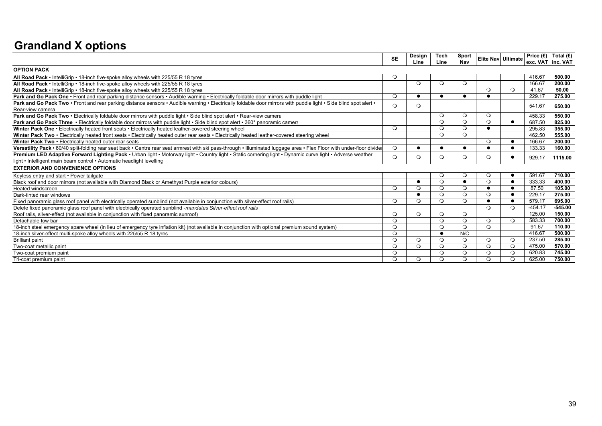## **Grandland X options**

|                                                                                                                                                                        | <b>SE</b> | Design    | Tech      | Sport     |           | <b>Elite Nav Ultimate</b> | Price $(E)$       | Total (£) |
|------------------------------------------------------------------------------------------------------------------------------------------------------------------------|-----------|-----------|-----------|-----------|-----------|---------------------------|-------------------|-----------|
|                                                                                                                                                                        |           | Line      | Line      | Nav       |           |                           | exc. VAT inc. VAT |           |
| <b>OPTION PACK</b>                                                                                                                                                     |           |           |           |           |           |                           |                   |           |
| All Road Pack • IntelliGrip • 18-inch five-spoke alloy wheels with 225/55 R 18 tyres                                                                                   | $\circ$   |           |           |           |           |                           | 416.67            | 500.00    |
| All Road Pack • IntelliGrip • 18-inch five-spoke alloy wheels with 225/55 R 18 tyres                                                                                   |           | $\Omega$  | $\Omega$  | $\circ$   |           |                           | 166.67            | 200.00    |
| All Road Pack • IntelliGrip • 18-inch five-spoke alloy wheels with 225/55 R 18 tyres                                                                                   |           |           |           |           | $\Omega$  | $\Omega$                  | 41.67             | 50.00     |
| Park and Go Pack One • Front and rear parking distance sensors • Audible warning • Electrically foldable door mirrors with puddle light                                | $\Omega$  | $\bullet$ | $\bullet$ | $\bullet$ | $\bullet$ |                           | 229.17            | 275.00    |
| Park and Go Pack Two • Front and rear parking distance sensors • Audible warning • Electrically foldable door mirrors with puddle light • Side blind spot alert •      | $\circ$   | $\circ$   |           |           |           |                           | 541.67            | 650.00    |
| Rear-view camera                                                                                                                                                       |           |           |           |           |           |                           |                   |           |
| Park and Go Pack Two . Electrically foldable door mirrors with puddle light . Side blind spot alert . Rear-view camera                                                 |           |           | $\circ$   | $\circ$   | $\circ$   |                           | 458.33            | 550.00    |
| Park and Go Pack Three • Electrically foldable door mirrors with puddle light • Side blind spot alert • 360° panoramic camera                                          |           |           | $\Omega$  | $\Omega$  | $\Omega$  | $\bullet$                 | 687.50            | 825.00    |
| Winter Pack One • Electrically heated front seats • Electrically heated leather-covered steering wheel                                                                 | $\Omega$  |           | $\Omega$  | $\circ$   |           |                           | 295.83            | 355.00    |
| Winter Pack Two . Electrically heated front seats . Electrically heated outer rear seats . Electrically heated leather-covered steering wheel                          |           |           | $\Omega$  | $\circ$   |           |                           | 462.50            | 555.00    |
| Winter Pack Two . Electrically heated outer rear seats                                                                                                                 |           |           |           |           | $\Omega$  | $\bullet$                 | 166.67            | 200.00    |
| Versatility Pack · 60/40 split-folding rear seat back · Centre rear seat armrest with ski pass-through · Illuminated luggage area · Flex Floor with under-floor divide | $\circ$   |           |           | $\bullet$ |           | $\bullet$                 | 133.33            | 160.00    |
| Premium LED Adaptive Forward Lighting Pack • Urban light • Motorway light • Country light • Static cornering light • Dynamic curve light • Adverse weather             | $\circ$   | $\circ$   | $\circ$   | $\circ$   | $\circ$   | $\bullet$                 | 929.17            | 1115.00   |
| light • Intelligent main beam control • Automatic headlight levelling                                                                                                  |           |           |           |           |           |                           |                   |           |
| <b>EXTERIOR AND CONVENIENCE OPTIONS</b>                                                                                                                                |           |           |           |           |           |                           |                   |           |
| Keyless entry and start • Power tailgate                                                                                                                               |           |           | $\circ$   | $\circ$   | $\circ$   | $\bullet$                 | 591.67            | 710.00    |
| Black roof and door mirrors (not available with Diamond Black or Amethyst Purple exterior colours)                                                                     |           |           | $\Omega$  | $\bullet$ | $\Omega$  | $\bullet$                 | 333.33            | 400.00    |
| Heated windscreen                                                                                                                                                      | $\Omega$  | $\circ$   | $\Omega$  | $\circ$   |           | $\bullet$                 | 87.50             | 105.00    |
| Dark-tinted rear windows                                                                                                                                               |           | $\bullet$ | $\Omega$  | $\circ$   | $\Omega$  | $\bullet$                 | 229.17            | 275.00    |
| Fixed panoramic glass roof panel with electrically operated sunblind (not available in conjunction with silver-effect roof rails)                                      | $\Omega$  | $\Omega$  | $\Omega$  | $\Omega$  |           | $\bullet$                 | 579.17            | 695.00    |
| Delete fixed panoramic glass roof panel with electrically operated sunblind -mandates Silver-effect roof rails                                                         |           |           |           |           | $\Omega$  | $\Omega$                  | $-454.17$         | $-545.00$ |
| Roof rails, silver-effect (not available in conjunction with fixed panoramic sunroof)                                                                                  | $\Omega$  | $\Omega$  | $\Omega$  | $\circ$   |           |                           | 125.00            | 150.00    |
| Detachable tow bar                                                                                                                                                     | $\Omega$  |           | $\Omega$  | $\Omega$  | $\Omega$  | $\Omega$                  | 583.33            | 700.00    |
| 18-inch steel emergency spare wheel (in lieu of emergency tyre inflation kit) (not available in conjunction with optional premium sound system)                        | $\Omega$  |           | $\Omega$  | $\circ$   | $\Omega$  |                           | 91.67             | 110.00    |
| 18-inch silver-effect multi-spoke alloy wheels with 225/55 R 18 tyres                                                                                                  | $\Omega$  |           | $\bullet$ | N/C       |           |                           | 416.67            | 500.00    |
| <b>Brilliant paint</b>                                                                                                                                                 | $\Omega$  | $\Omega$  | $\Omega$  | $\Omega$  | $\circ$   | $\circ$                   | 237.50            | 285.00    |
| Two-coat metallic paint                                                                                                                                                | $\Omega$  | $\circ$   | $\circ$   | $\circ$   | $\circ$   | $\circ$                   | 475.00            | 570.00    |
| Two-coat premium paint                                                                                                                                                 | $\Omega$  |           | $\Omega$  | $\circ$   | $\circ$   | $\circ$                   | 620.83            | 745.00    |
| Tri-coat premium paint                                                                                                                                                 | $\Omega$  | $\Omega$  | $\Omega$  | $\Omega$  | $\Omega$  | $\Omega$                  | 625.00            | 750.00    |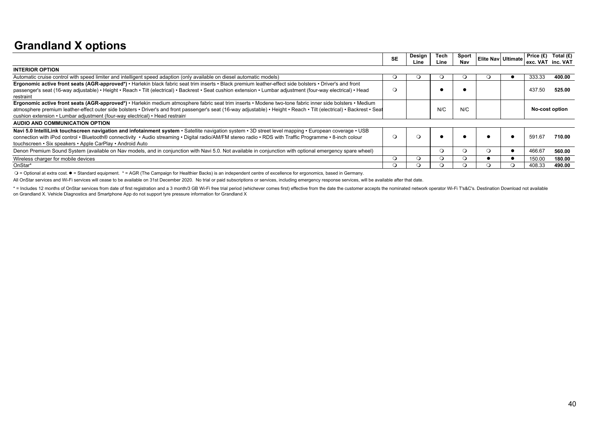## **Grandland X options**

|                                                                                                                                                                        | <b>SE</b> | Design<br>Line | Tech<br>Line | Sport<br>Nav | Elite Nav Ultimate | exc. VAT inc. VAT | Price $(E)$ Total $(E)$ |  |
|------------------------------------------------------------------------------------------------------------------------------------------------------------------------|-----------|----------------|--------------|--------------|--------------------|-------------------|-------------------------|--|
| <b>INTERIOR OPTION</b>                                                                                                                                                 |           |                |              |              |                    |                   |                         |  |
| Automatic cruise control with speed limiter and intelligent speed adaption (only available on diesel automatic models)                                                 |           |                |              | 0            |                    | 333.33            | 400.00                  |  |
| Ergonomic active front seats (AGR-approved*) • Harlekin black fabric seat trim inserts • Black premium leather-effect side bolsters • Driver's and front               |           |                |              |              |                    |                   |                         |  |
| passenger's seat (16-way adjustable) • Height • Reach • Tilt (electrical) • Backrest • Seat cushion extension • Lumbar adjustment (four-way electrical) • Head         |           |                |              |              |                    | 437.50            | 525.00                  |  |
| restraint                                                                                                                                                              |           |                |              |              |                    |                   |                         |  |
| Ergonomic active front seats (AGR-approved*) • Harlekin medium atmosphere fabric seat trim inserts • Modene two-tone fabric inner side bolsters • Medium               |           |                |              |              |                    |                   |                         |  |
| atmosphere premium leather-effect outer side bolsters · Driver's and front passenger's seat (16-way adjustable) · Height · Reach · Tilt (electrical) · Backrest · Seat |           |                | N/C          | N/C          |                    | No-cost option    |                         |  |
| cushion extension • Lumbar adjustment (four-way electrical) • Head restrain                                                                                            |           |                |              |              |                    |                   |                         |  |
| AUDIO AND COMMUNICATION OPTION                                                                                                                                         |           |                |              |              |                    |                   |                         |  |
| Navi 5.0 IntelliLink touchscreen navigation and infotainment system · Satellite navigation system · 3D street level mapping · European coverage · USB                  |           |                |              |              |                    |                   |                         |  |
| connection with iPod control • Bluetooth® connectivity • Audio streaming • Digital radio/AM/FM stereo radio • RDS with Traffic Programme • 8-inch colour               |           |                |              |              |                    | 591.67            | 710.00                  |  |
| touchscreen • Six speakers • Apple CarPlay • Android Auto                                                                                                              |           |                |              |              |                    |                   |                         |  |
| Denon Premium Sound System (available on Nav models, and in conjunction with Navi 5.0. Not available in conjunction with optional emergency spare wheel)               |           |                | О            | О            | ്                  | 466.67            | 560.00                  |  |
| Wireless charger for mobile devices                                                                                                                                    |           |                |              | റ            |                    | 150.00            | 180.00                  |  |
| OnStar*                                                                                                                                                                |           |                |              |              |                    | 408.33            | 490.00                  |  |

= Optional at extra cost. = Standard equipment. \* = AGR (The Campaign for Healthier Backs) is an independent centre of excellence for ergonomics, based in Germany.

All OnStar services and Wi-Fi services will cease to be available on 31st December 2020. No trial or paid subscriptions or services, including emergency response services, will be available after that date.

\* = Includes 12 months of OnStar services from date of first registration and a 3 month/3 GB Wi-Fi free trial period (whichever comes first) effective from the date the customer accepts the nominated network operator Wi-Fi on Grandland X. Vehicle Diagnostics and Smartphone App do not support tyre pressure information for Grandland X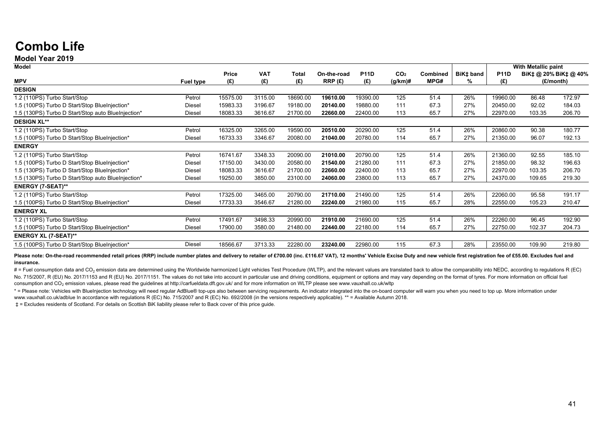## **Combo Life**

#### **Model Year 2019**

| <b>Model</b>                                       |               |              |            |          |             |             |                 |          |           | With Metallic paint |        |                       |
|----------------------------------------------------|---------------|--------------|------------|----------|-------------|-------------|-----------------|----------|-----------|---------------------|--------|-----------------------|
|                                                    |               | <b>Price</b> | <b>VAT</b> | Total    | On-the-road | <b>P11D</b> | CO <sub>2</sub> | Combined | BiK‡ band | <b>P11D</b>         |        | BiK‡ @ 20% BiK‡ @ 40% |
| <b>MPV</b>                                         | Fuel type     | (£)          | (E)        | (£)      | RRP(E)      | (£)         | $(g/km)\#$      | MPG#     | %         | (£)                 |        | (£/month)             |
| <b>DESIGN</b>                                      |               |              |            |          |             |             |                 |          |           |                     |        |                       |
| 1.2 (110PS) Turbo Start/Stop                       | Petrol        | 15575.00     | 3115.00    | 18690.00 | 19610.00    | 19390.00    | 125             | 51.4     | 26%       | 19960.00            | 86.48  | 172.97                |
| 1.5 (100PS) Turbo D Start/Stop BlueInjection*      | Diesel        | 15983.33     | 3196.67    | 19180.00 | 20140.00    | 19880.00    | 111             | 67.3     | 27%       | 20450.00            | 92.02  | 184.03                |
| 1.5 (130PS) Turbo D Start/Stop auto BlueInjection* | Diesel        | 18083.33     | 3616.67    | 21700.00 | 22660.00    | 22400.00    | 113             | 65.7     | 27%       | 22970.00            | 103.35 | 206.70                |
| <b>DESIGN XL**</b>                                 |               |              |            |          |             |             |                 |          |           |                     |        |                       |
| 1.2 (110PS) Turbo Start/Stop                       | Petrol        | 16325.00     | 3265.00    | 19590.00 | 20510.00    | 20290.00    | 125             | 51.4     | 26%       | 20860.00            | 90.38  | 180.77                |
| 1.5 (100PS) Turbo D Start/Stop BlueInjection*      | <b>Diesel</b> | 16733.33     | 3346.67    | 20080.00 | 21040.00    | 20780.00    | 114             | 65.7     | 27%       | 21350.00            | 96.07  | 192.13                |
| <b>ENERGY</b>                                      |               |              |            |          |             |             |                 |          |           |                     |        |                       |
| 1.2 (110PS) Turbo Start/Stop                       | Petrol        | 16741.67     | 3348.33    | 20090.00 | 21010.00    | 20790.00    | 125             | 51.4     | 26%       | 21360.00            | 92.55  | 185.10                |
| 1.5 (100PS) Turbo D Start/Stop BlueInjection*      | Diesel        | 17150.00     | 3430.00    | 20580.00 | 21540.00    | 21280.00    | 111             | 67.3     | 27%       | 21850.00            | 98.32  | 196.63                |
| 1.5 (130PS) Turbo D Start/Stop BlueInjection*      | Diesel        | 18083.33     | 3616.67    | 21700.00 | 22660.00    | 22400.00    | 113             | 65.7     | 27%       | 22970.00            | 103.35 | 206.70                |
| 1.5 (130PS) Turbo D Start/Stop auto BlueInjection* | Diesel        | 19250.00     | 3850.00    | 23100.00 | 24060.00    | 23800.00    | 113             | 65.7     | 27%       | 24370.00            | 109.65 | 219.30                |
| <b>ENERGY (7-SEAT)**</b>                           |               |              |            |          |             |             |                 |          |           |                     |        |                       |
| 1.2 (110PS) Turbo Start/Stop                       | Petrol        | 17325.00     | 3465.00    | 20790.00 | 21710.00    | 21490.00    | 125             | 51.4     | 26%       | 22060.00            | 95.58  | 191.17                |
| 1.5 (100PS) Turbo D Start/Stop BlueInjection*      | <b>Diesel</b> | 17733.33     | 3546.67    | 21280.00 | 22240.00    | 21980.00    | 115             | 65.7     | 28%       | 22550.00            | 105.23 | 210.47                |
| <b>ENERGY XL</b>                                   |               |              |            |          |             |             |                 |          |           |                     |        |                       |
| 1.2 (110PS) Turbo Start/Stop                       | Petrol        | 17491.67     | 3498.33    | 20990.00 | 21910.00    | 21690.00    | 125             | 51.4     | 26%       | 22260.00            | 96.45  | 192.90                |
| 1.5 (100PS) Turbo D Start/Stop BlueInjection*      | <b>Diesel</b> | 17900.00     | 3580.00    | 21480.00 | 22440.00    | 22180.00    | 114             | 65.7     | 27%       | 22750.00            | 102.37 | 204.73                |
| <b>ENERGY XL (7-SEAT)**</b>                        |               |              |            |          |             |             |                 |          |           |                     |        |                       |
| 1.5 (100PS) Turbo D Start/Stop BlueInjection*      | Diesel        | 18566.67     | 3713.33    | 22280.00 | 23240.00    | 22980.00    | 115             | 67.3     | 28%       | 23550.00            | 109.90 | 219.80                |

Please note: On-the-road recommended retail prices (RRP) include number plates and delivery to retailer of £700.00 (inc. £116.67 VAT). 12 months' Vehicle Excise Duty and new vehicle first registration fee of £55.00. Exclud **insurance.**

# = Fuel consumption data and CO<sub>2</sub> emission data are determined using the Worldwide harmonized Light vehicles Test Procedure (WLTP), and the relevant values are translated back to allow the comparability into NEDC, accord No. 715/2007, R (EU) No. 2017/1153 and R (EU) No. 2017/1151. The values do not take into account in particular use and driving conditions, equipment or options and may vary depending on the format of tyres. For more inform consumption and CO<sub>2</sub> emission values, please read the guidelines at http://carfueldata.dft.gov.uk/ and for more information on WLTP please see www.vauxhall.co.uk/wltp

\* = Please note: Vehicles with BlueIniection technology will need regular AdBlue® top-ups also between servicing requirements. An indicator integrated into the on-board computer will warn you when you need to top up. More www.vauxhall.co.uk/adblue In accordance with regulations R (EC) No. 715/2007 and R (EC) No. 692/2008 (in the versions respectively applicable). \*\* = Available Autumn 2018.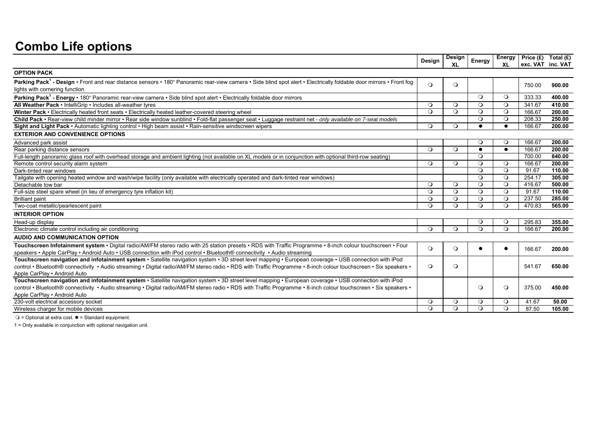## **Combo Life options**

|                                                                                                                                                                                                                   | Design   | Design   | Energy    | <b>XL</b> | Energy   Price $(E)$ Total $(E)$ | exc. VAT inc. VAT |
|-------------------------------------------------------------------------------------------------------------------------------------------------------------------------------------------------------------------|----------|----------|-----------|-----------|----------------------------------|-------------------|
| <b>OPTION PACK</b>                                                                                                                                                                                                |          |          |           |           |                                  |                   |
| Parking Pack <sup>1</sup> - Design • Front and rear distance sensors • 180° Panoramic rear-view camera • Side blind spot alert • Electrically foldable door mirrors • Front fog<br>lights with cornering function | $\circ$  | $\circ$  |           |           | 750.00                           | 900.00            |
| Parking Pack <sup>1</sup> - Energy · 180° Panoramic rear-view camera · Side blind spot alert · Electrically foldable door mirrors                                                                                 |          |          | $\circ$   | $\circ$   | 333.33                           | 400.00            |
| All Weather Pack · IntelliGrip · Includes all-weather tyres                                                                                                                                                       | $\circ$  | $\circ$  | $\circ$   | $\circ$   | 341.67                           | 410.00            |
| Winter Pack • Electrically heated front seats • Electrically heated leather-covered steering wheel                                                                                                                | $\circ$  | $\Omega$ | $\circ$   | $\circ$   | 166.67                           | 200.00            |
| Child Pack · Rear-view child minder mirror · Rear side window sunblind · Fold-flat passenger seat · Luggage restraint net - only available on 7-seat models                                                       |          |          | $\circ$   | $\circ$   | 208.33                           | 250.00            |
| Sight and Light Pack • Automatic lighting control • High beam assist • Rain-sensitive windscreen wipers                                                                                                           | $\circ$  | $\circ$  | $\bullet$ | $\bullet$ | 166.67                           | 200.00            |
| <b>EXTERIOR AND CONVENIENCE OPTIONS</b>                                                                                                                                                                           |          |          |           |           |                                  |                   |
| Advanced park assist                                                                                                                                                                                              |          |          | $\circ$   | $\Omega$  | 166.67                           | 200.00            |
| Rear parking distance sensors                                                                                                                                                                                     | $\circ$  | $\circ$  | $\bullet$ | $\bullet$ | 166.67                           | 200.00            |
| Full-length panoramic glass roof with overhead storage and ambient lighting (not available on XL models or in conjunction with optional third-row seating)                                                        |          |          | $\Omega$  |           | 700.00                           | 840.00            |
| Remote control security alarm system                                                                                                                                                                              | $\circ$  | $\circ$  | $\circ$   | $\circ$   | 166.67                           | 200.00            |
| Dark-tinted rear windows                                                                                                                                                                                          |          |          | $\circ$   | $\circ$   | 91.67                            | 110.00            |
| Tailgate with opening heated window and wash/wipe facility (only available with electrically operated and dark-tinted rear windows)                                                                               |          |          | $\circ$   | $\circ$   | 254.17                           | 305.00            |
| Detachable tow bar                                                                                                                                                                                                | $\Omega$ | $\Omega$ | $\circ$   | $\circ$   | 416.67                           | 500.00            |
| Full-size steel spare wheel (in lieu of emergency tyre inflation kit)                                                                                                                                             | $\Omega$ | $\Omega$ | $\circ$   | $\Omega$  | 91.67                            | 110.00            |
| <b>Brilliant paint</b>                                                                                                                                                                                            | $\circ$  | $\circ$  | $\circ$   | $\circ$   | 237.50                           | 285.00            |
| Two-coat metallic/pearlescent paint                                                                                                                                                                               | $\Omega$ | $\Omega$ | $\circ$   | $\circ$   | 470.83                           | 565.00            |
| <b>INTERIOR OPTION</b>                                                                                                                                                                                            |          |          |           |           |                                  |                   |
| Head-up display                                                                                                                                                                                                   |          |          | $\circ$   | $\circ$   | 295.83                           | 355.00            |
| Electronic climate control including air conditioning                                                                                                                                                             | $\circ$  | $\Omega$ | $\Omega$  | $\Omega$  | 166.67                           | 200.00            |
| <b>AUDIO AND COMMUNICATION OPTION</b>                                                                                                                                                                             |          |          |           |           |                                  |                   |
| Touchscreen Infotainment system • Digital radio/AM/FM stereo radio with 25 station presets • RDS with Traffic Programme • 8-inch colour touchscreen • Four                                                        | $\Omega$ | $\circ$  |           |           | 166.67                           | 200.00            |
| speakers • Apple CarPlay • Android Auto • USB connection with iPod control • Bluetooth® connectivity • Audio streaming                                                                                            |          |          |           |           |                                  |                   |
| Touchscreen navigation and infotainment system · Satellite navigation system · 3D street level mapping · European coverage · USB connection with iPod                                                             |          |          |           |           |                                  |                   |
| control • Bluetooth® connectivity • Audio streaming • Digital radio/AM/FM stereo radio • RDS with Traffic Programme • 8-inch colour touchscreen • Six speakers •                                                  | $\circ$  | $\circ$  |           |           | 541.67                           | 650.00            |
| Apple CarPlay . Android Auto                                                                                                                                                                                      |          |          |           |           |                                  |                   |
| Touchscreen navigation and infotainment system · Satellite navigation system · 3D street level mapping · European coverage · USB connection with iPod                                                             |          |          |           |           |                                  |                   |
| control • Bluetooth® connectivity • Audio streaming • Digital radio/AM/FM stereo radio • RDS with Traffic Programme • 8-inch colour touchscreen • Six speakers •                                                  |          |          | $\circ$   | $\circ$   | 375.00                           | 450.00            |
| Apple CarPlay . Android Auto                                                                                                                                                                                      |          |          |           |           |                                  |                   |
| 230-volt electrical accessory socket                                                                                                                                                                              | $\circ$  | $\circ$  | $\circ$   | $\circ$   | 41.67                            | 50.00             |
| Wireless charger for mobile devices                                                                                                                                                                               | $\Omega$ | $\circ$  | $\circ$   | $\circ$   | 87.50                            | 105.00            |

 $\overline{Q}$  = Optional at extra cost.  $\bullet$  = Standard equipment.

1 = Only available in conjunction with optional navigation unit.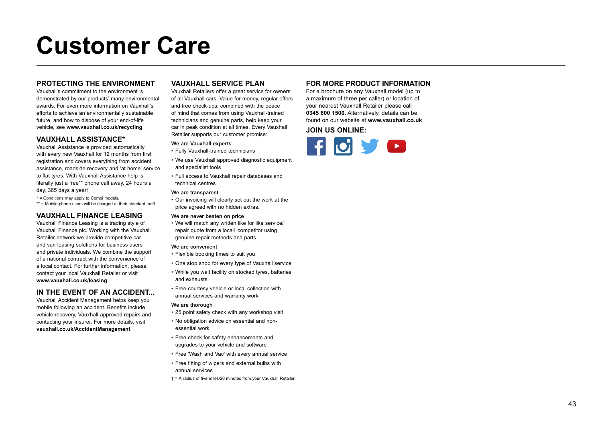# **Customer Care**

#### **PROTECTING THE ENVIRONMENT**

Vauxhall's commitment to the environment is demonstrated by our products' many environmental awards. For even more information on Vauxhall's efforts to achieve an environmentally sustainable future, and how to dispose of your end-of-life vehicle, see **www.vauxhall.co.uk/recycling**

#### **VAUXHALL ASSISTANCE\***

Vauxhall Assistance is provided automatically with every new Vauxhall for 12 months from first registration and covers everything from accident assistance, roadside recovery and 'at home' service to flat tyres. With Vauxhall Assistance help is literally just a free\*\* phone call away, 24 hours a day, 365 days a year!

\* = Conditions may apply to Combi models.

\*\* = Mobile phone users will be charged at their standard tariff.

#### **VAUXHALL FINANCE LEASING**

Vauxhall Finance Leasing is a trading style of Vauxhall Finance plc. Working with the Vauxhall Retailer network we provide competitive car and van leasing solutions for business users and private individuals. We combine the support of a national contract with the convenience of a local contact. For further information, please contact your local Vauxhall Retailer or visit **www.vauxhall.co.uk/leasing**

#### **IN THE EVENT OF AN ACCIDENT...**

Vauxhall Accident Management helps keep you mobile following an accident. Benefits include vehicle recovery, Vauxhall-approved repairs and contacting your insurer. For more details, visit **vauxhall.co.uk/AccidentManagement**

#### **VAUXHALL SERVICE PLAN**

Vauxhall Retailers offer a great service for owners of all Vauxhall cars. Value for money, regular offers and free check-ups, combined with the peace of mind that comes from using Vauxhall-trained technicians and genuine parts, help keep your car in peak condition at all times. Every Vauxhall Retailer supports our customer promise:

#### We are Vauxhall experts

- Fully Vauxhall-trained technicians
- We use Vauxhall approved diagnostic equipment and specialist tools
- Full access to Vauxhall repair databases and technical centres

#### We are transparent

• Our invoicing will clearly set out the work at the price agreed with no hidden extras.

#### We are never beaten on price

• We will match any written like for like service/ repair quote from a local† competitor using genuine repair methods and parts

#### We are convenient

- Flexible booking times to suit you
- One stop shop for every type of Vauxhall service
- While you wait facility on stocked tyres, batteries and exhausts
- Free courtesy vehicle or local collection with annual services and warranty work

#### We are thorough

- 25 point safety check with any workshop visit
- No obligation advice on essential and nonessential work
- Free check for safety enhancements and upgrades to your vehicle and software
- Free 'Wash and Vac' with every annual service
- Free fitting of wipers and external bulbs with annual services
- † = A radius of five miles/20 minutes from your Vauxhall Retailer.

#### **FOR MORE PRODUCT INFORMATION**

For a brochure on any Vauxhall model (up to a maximum of three per caller) or location of your nearest Vauxhall Retailer please call **0345 600 1500.** Alternatively, details can be found on our website at **www.vauxhall.co.uk**

**JOIN US ONLINE:**